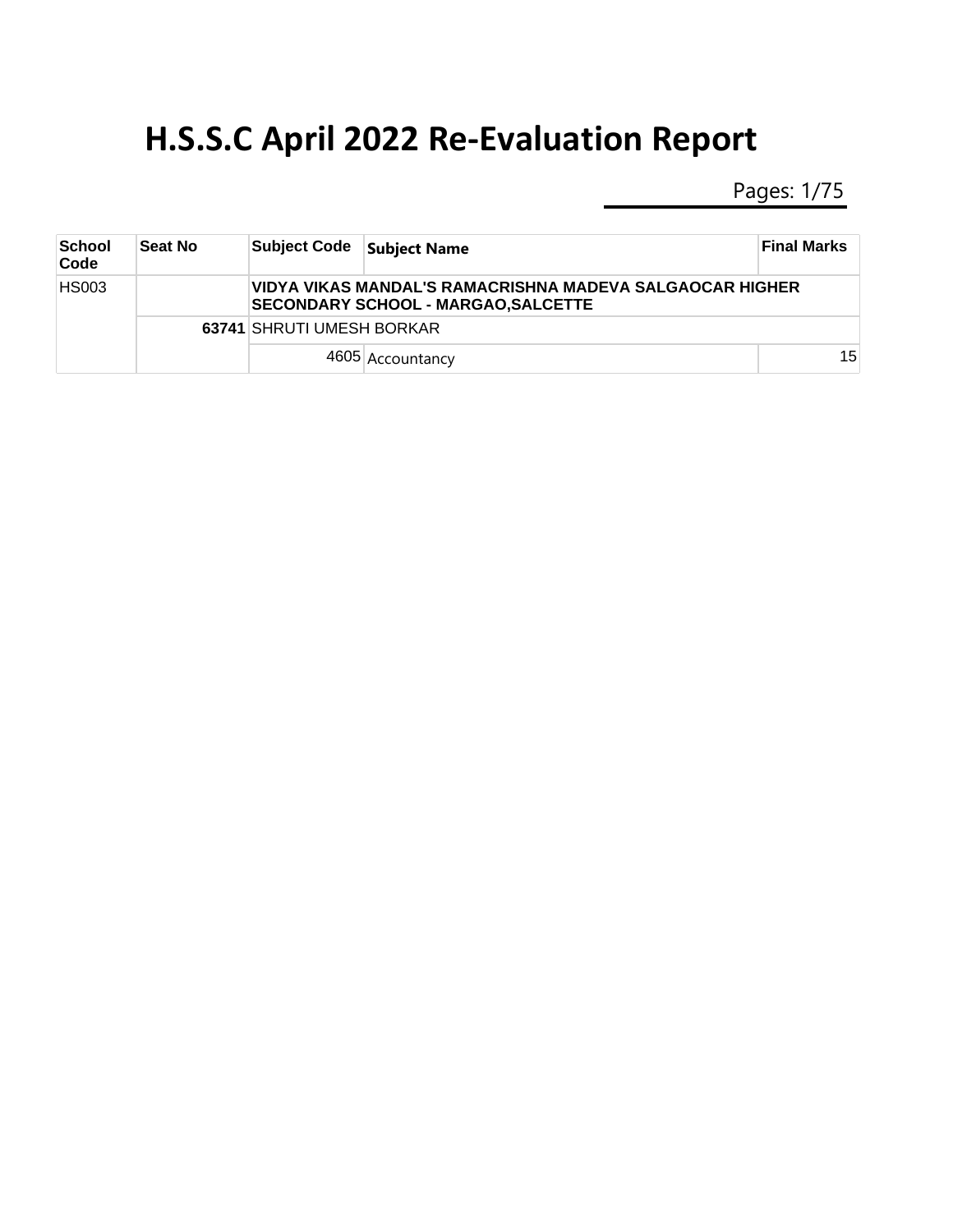Pages: 1/75

| School<br>Code | <b>Seat No</b> | <b>Subject Code</b>       | <b>Subject Name</b>                                                                                    | <b>Final Marks</b> |  |  |
|----------------|----------------|---------------------------|--------------------------------------------------------------------------------------------------------|--------------------|--|--|
| <b>HS003</b>   |                |                           | VIDYA VIKAS MANDAL'S RAMACRISHNA MADEVA SALGAOCAR HIGHER<br><b>SECONDARY SCHOOL - MARGAO, SALCETTE</b> |                    |  |  |
|                |                | 63741 SHRUTI UMESH BORKAR |                                                                                                        |                    |  |  |
|                |                |                           | 4605 Accountancy                                                                                       | 15                 |  |  |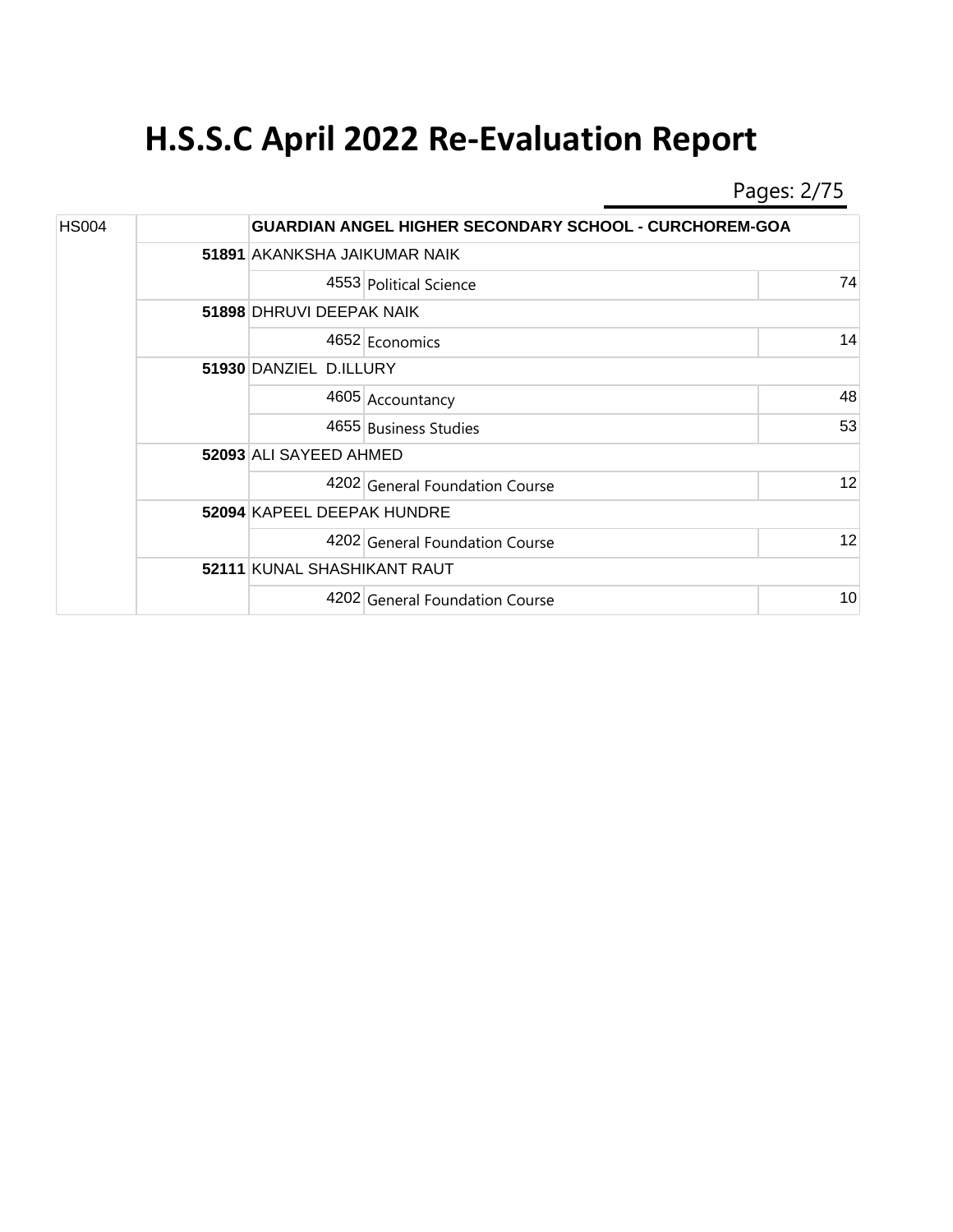Pages: 2/75

| <b>HS004</b> |                              | <b>GUARDIAN ANGEL HIGHER SECONDARY SCHOOL - CURCHOREM-GOA</b> |    |  |  |
|--------------|------------------------------|---------------------------------------------------------------|----|--|--|
|              | 51891 AKANKSHA JAIKUMAR NAIK |                                                               |    |  |  |
|              |                              | 4553 Political Science                                        | 74 |  |  |
|              | 51898 DHRUVI DEEPAK NAIK     |                                                               |    |  |  |
|              |                              | 4652 Economics                                                | 14 |  |  |
|              | 51930 DANZIEL D.ILLURY       |                                                               |    |  |  |
|              |                              | 4605 Accountancy                                              | 48 |  |  |
|              |                              | 4655 Business Studies                                         | 53 |  |  |
|              | 52093 ALI SAYEED AHMED       |                                                               |    |  |  |
|              |                              | 4202 General Foundation Course                                | 12 |  |  |
|              | 52094 KAPEEL DEEPAK HUNDRE   |                                                               |    |  |  |
|              |                              | 4202 General Foundation Course                                | 12 |  |  |
|              | 52111 KUNAL SHASHIKANT RAUT  |                                                               |    |  |  |
|              |                              | 4202 General Foundation Course                                | 10 |  |  |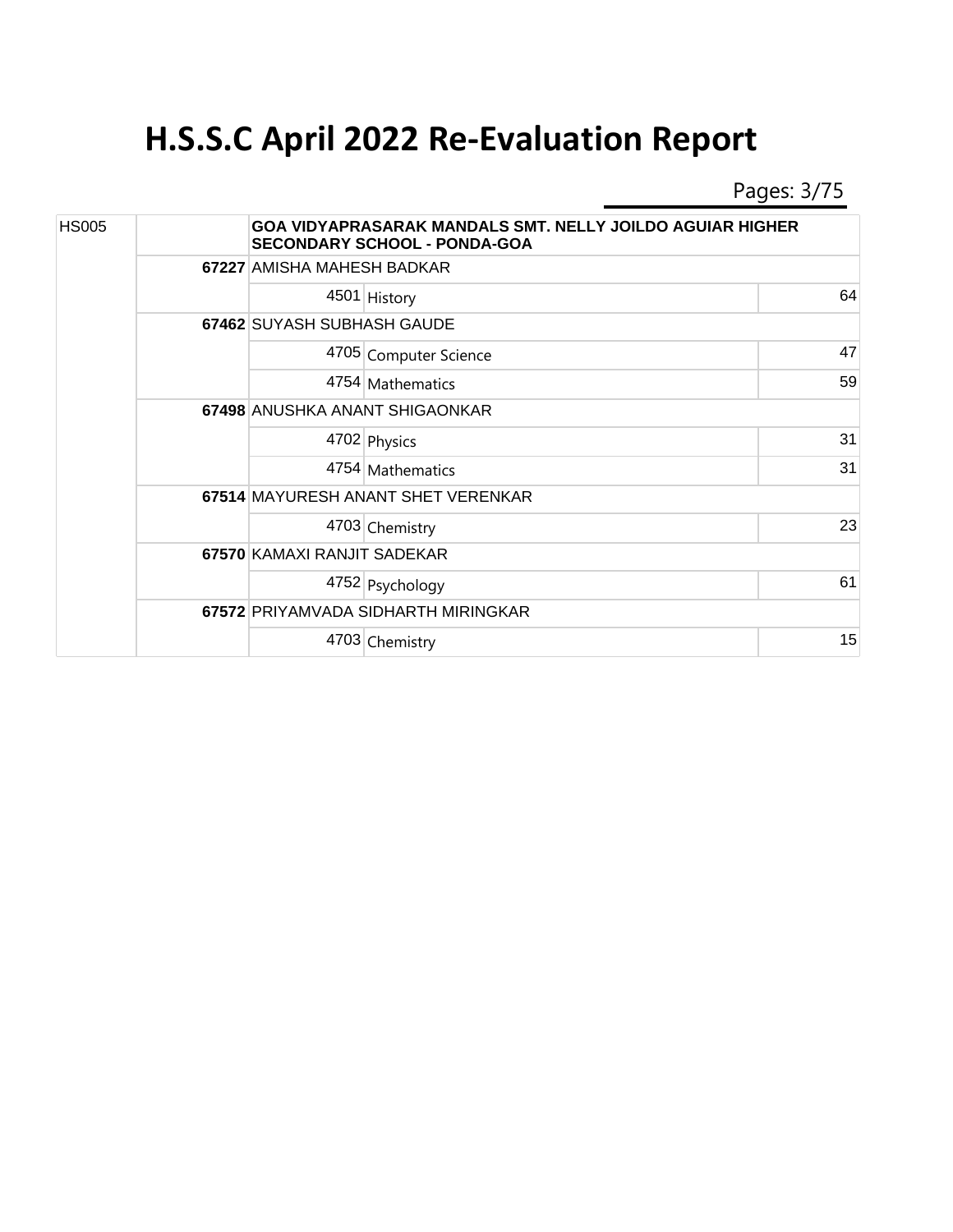Pages: 3/75

| <b>HS005</b> |  | <b>GOA VIDYAPRASARAK MANDALS SMT. NELLY JOILDO AGUIAR HIGHER</b><br><b>SECONDARY SCHOOL - PONDA-GOA</b> |                                     |    |  |  |
|--------------|--|---------------------------------------------------------------------------------------------------------|-------------------------------------|----|--|--|
|              |  |                                                                                                         | 67227 AMISHA MAHESH BADKAR          |    |  |  |
|              |  |                                                                                                         | 4501 History                        | 64 |  |  |
|              |  | 67462 SUYASH SUBHASH GAUDE                                                                              |                                     |    |  |  |
|              |  |                                                                                                         | 4705 Computer Science               | 47 |  |  |
|              |  |                                                                                                         | 4754 Mathematics                    | 59 |  |  |
|              |  | 67498 ANUSHKA ANANT SHIGAONKAR                                                                          |                                     |    |  |  |
|              |  |                                                                                                         | 4702 Physics                        | 31 |  |  |
|              |  |                                                                                                         | 4754 Mathematics                    | 31 |  |  |
|              |  | 67514 MAYURESH ANANT SHET VERENKAR                                                                      |                                     |    |  |  |
|              |  |                                                                                                         | 4703 Chemistry                      | 23 |  |  |
|              |  | 67570 KAMAXI RANJIT SADEKAR                                                                             |                                     |    |  |  |
|              |  |                                                                                                         | 4752 Psychology                     | 61 |  |  |
|              |  |                                                                                                         | 67572 PRIYAMVADA SIDHARTH MIRINGKAR |    |  |  |
|              |  |                                                                                                         | 4703 Chemistry                      | 15 |  |  |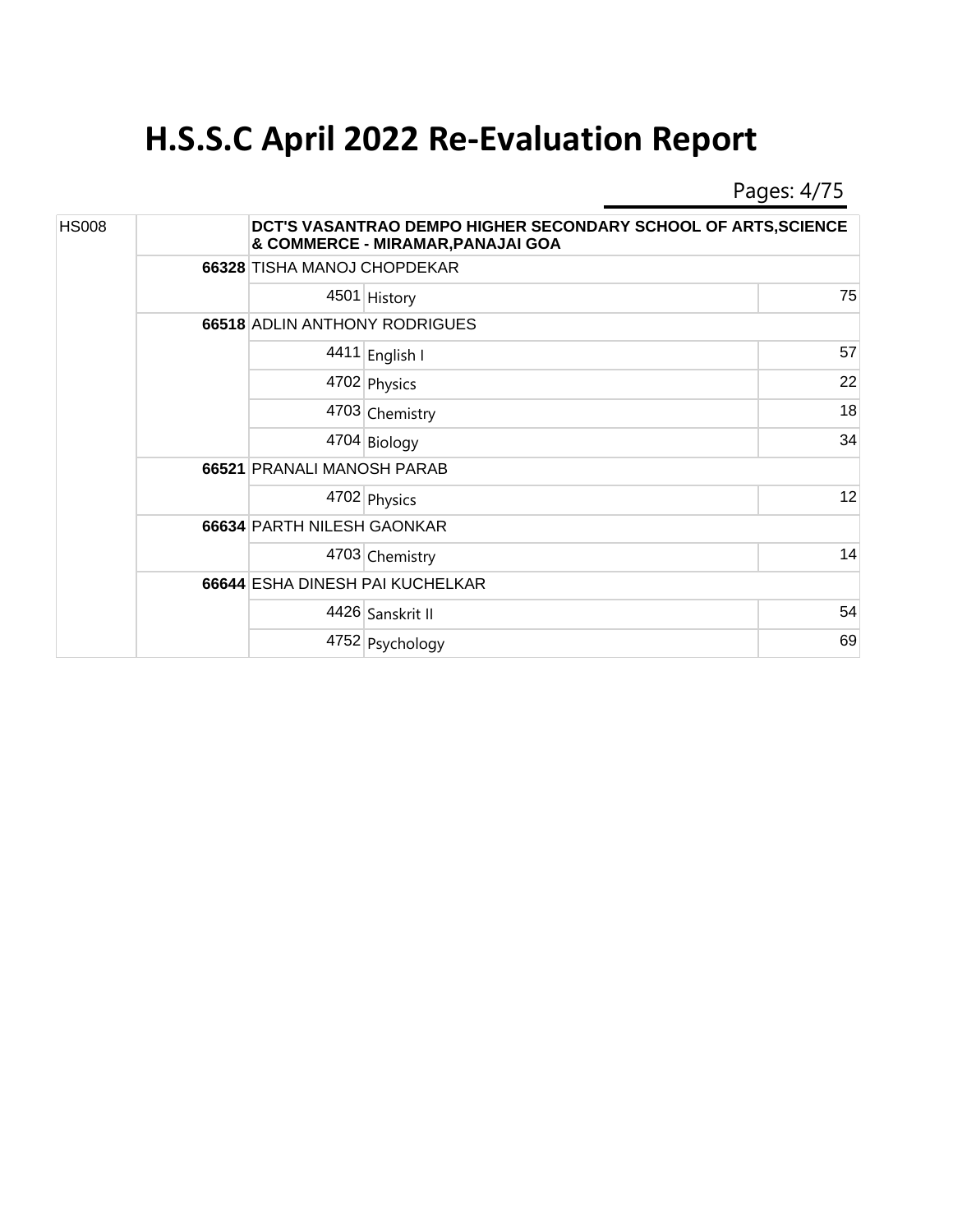Pages: 4/75

| <b>HS008</b> |  |                               | DCT'S VASANTRAO DEMPO HIGHER SECONDARY SCHOOL OF ARTS, SCIENCE<br>& COMMERCE - MIRAMAR, PANAJAI GOA |    |  |  |
|--------------|--|-------------------------------|-----------------------------------------------------------------------------------------------------|----|--|--|
|              |  | 66328 TISHA MANOJ CHOPDEKAR   |                                                                                                     |    |  |  |
|              |  |                               | 4501 History                                                                                        | 75 |  |  |
|              |  | 66518 ADLIN ANTHONY RODRIGUES |                                                                                                     |    |  |  |
|              |  |                               | 4411 English I                                                                                      | 57 |  |  |
|              |  |                               | 4702 Physics                                                                                        | 22 |  |  |
|              |  |                               | 4703 Chemistry                                                                                      | 18 |  |  |
|              |  |                               | 4704 Biology                                                                                        | 34 |  |  |
|              |  | 66521 PRANALI MANOSH PARAB    |                                                                                                     |    |  |  |
|              |  |                               | 4702 Physics                                                                                        | 12 |  |  |
|              |  | 66634 PARTH NILESH GAONKAR    |                                                                                                     |    |  |  |
|              |  |                               | 4703 Chemistry                                                                                      | 14 |  |  |
|              |  |                               | 66644 ESHA DINESH PAI KUCHELKAR                                                                     |    |  |  |
|              |  |                               | 4426 Sanskrit II                                                                                    | 54 |  |  |
|              |  |                               | 4752 Psychology                                                                                     | 69 |  |  |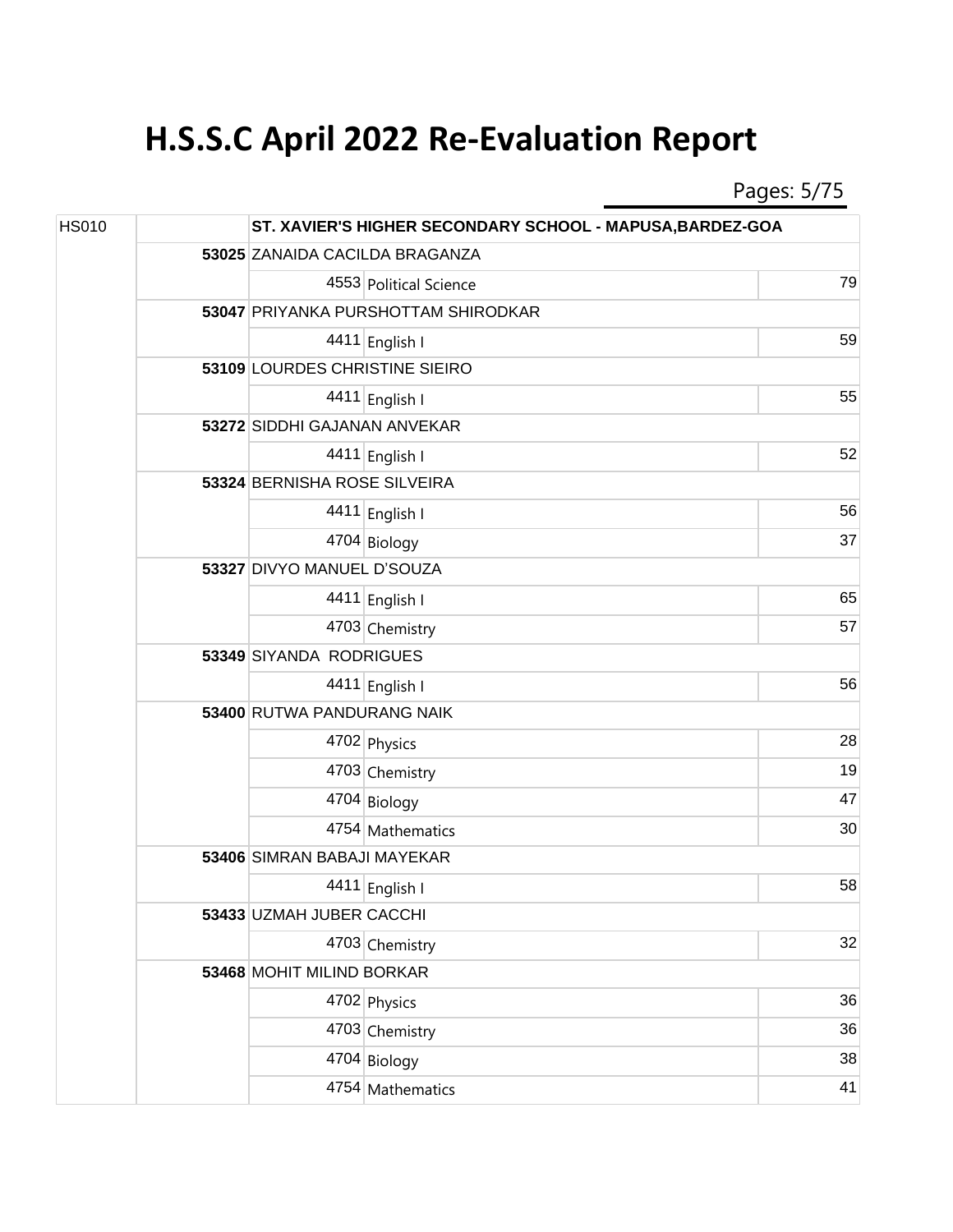Pages: 5/75

| <b>HS010</b> |  | ST. XAVIER'S HIGHER SECONDARY SCHOOL - MAPUSA, BARDEZ-GOA |                                     |    |  |  |
|--------------|--|-----------------------------------------------------------|-------------------------------------|----|--|--|
|              |  |                                                           | 53025 ZANAIDA CACILDA BRAGANZA      |    |  |  |
|              |  |                                                           | 4553 Political Science              | 79 |  |  |
|              |  |                                                           | 53047 PRIYANKA PURSHOTTAM SHIRODKAR |    |  |  |
|              |  |                                                           | 4411 English I                      | 59 |  |  |
|              |  | 53109 LOURDES CHRISTINE SIEIRO                            |                                     |    |  |  |
|              |  |                                                           | 4411 English I                      | 55 |  |  |
|              |  | 53272 SIDDHI GAJANAN ANVEKAR                              |                                     |    |  |  |
|              |  |                                                           | 4411 English I                      | 52 |  |  |
|              |  |                                                           | 53324 BERNISHA ROSE SILVEIRA        |    |  |  |
|              |  |                                                           | 4411 English I                      | 56 |  |  |
|              |  |                                                           | 4704 Biology                        | 37 |  |  |
|              |  | 53327 DIVYO MANUEL D'SOUZA                                |                                     |    |  |  |
|              |  |                                                           | 4411 English I                      | 65 |  |  |
|              |  |                                                           | 4703 Chemistry                      | 57 |  |  |
|              |  | 53349 SIYANDA RODRIGUES                                   |                                     |    |  |  |
|              |  |                                                           | 4411 English I                      | 56 |  |  |
|              |  | 53400 RUTWA PANDURANG NAIK                                |                                     |    |  |  |
|              |  |                                                           | 4702 Physics                        | 28 |  |  |
|              |  |                                                           | 4703 Chemistry                      | 19 |  |  |
|              |  |                                                           | 4704 Biology                        | 47 |  |  |
|              |  |                                                           | 4754 Mathematics                    | 30 |  |  |
|              |  | 53406 SIMRAN BABAJI MAYEKAR                               |                                     |    |  |  |
|              |  |                                                           | 4411 English I                      | 58 |  |  |
|              |  | 53433 UZMAH JUBER CACCHI                                  |                                     |    |  |  |
|              |  |                                                           | 4703 Chemistry                      | 32 |  |  |
|              |  | 53468 MOHIT MILIND BORKAR                                 |                                     |    |  |  |
|              |  |                                                           | 4702 Physics                        | 36 |  |  |
|              |  |                                                           | 4703 Chemistry                      | 36 |  |  |
|              |  |                                                           | 4704 Biology                        | 38 |  |  |
|              |  |                                                           | 4754 Mathematics                    | 41 |  |  |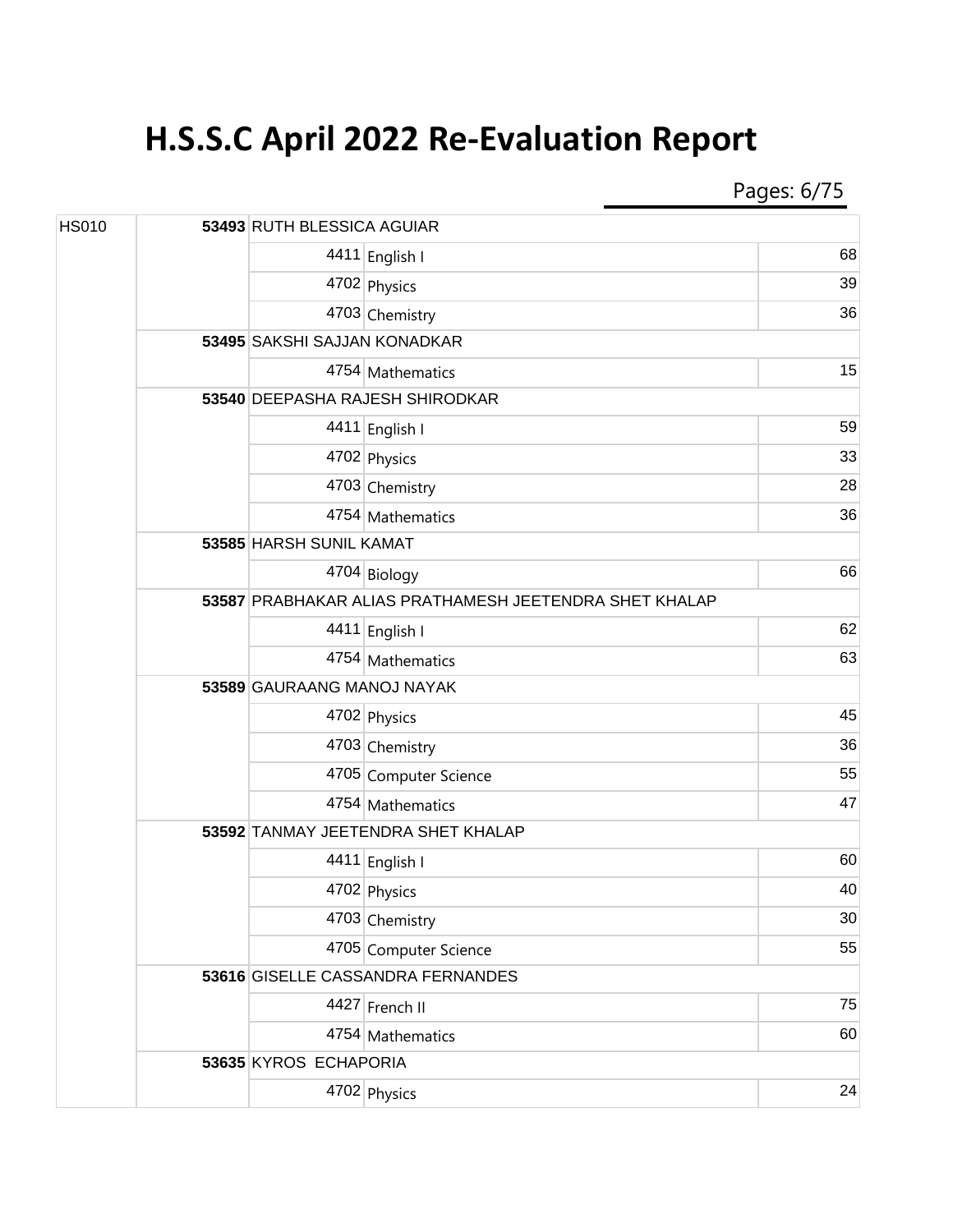Pages: 6/75

| <b>HS010</b> |  | 53493 RUTH BLESSICA AGUIAR                             |                                    |                 |  |  |
|--------------|--|--------------------------------------------------------|------------------------------------|-----------------|--|--|
|              |  |                                                        | 4411 English I                     | 68              |  |  |
|              |  |                                                        | 4702 Physics                       | 39              |  |  |
|              |  |                                                        | 4703 Chemistry                     | 36              |  |  |
|              |  | 53495 SAKSHI SAJJAN KONADKAR                           |                                    |                 |  |  |
|              |  |                                                        | 4754 Mathematics                   | 15              |  |  |
|              |  | 53540 DEEPASHA RAJESH SHIRODKAR                        |                                    |                 |  |  |
|              |  |                                                        | 4411 English I                     | 59              |  |  |
|              |  |                                                        | 4702 Physics                       | 33              |  |  |
|              |  |                                                        | 4703 Chemistry                     | 28              |  |  |
|              |  |                                                        | 4754 Mathematics                   | 36              |  |  |
|              |  |                                                        | 53585 HARSH SUNIL KAMAT            |                 |  |  |
|              |  |                                                        | 4704 Biology                       | 66              |  |  |
|              |  | 53587 PRABHAKAR ALIAS PRATHAMESH JEETENDRA SHET KHALAP |                                    |                 |  |  |
|              |  |                                                        | 4411 English I                     | 62              |  |  |
|              |  |                                                        | 4754 Mathematics                   | 63              |  |  |
|              |  | 53589 GAURAANG MANOJ NAYAK                             |                                    |                 |  |  |
|              |  |                                                        | 4702 Physics                       | 45              |  |  |
|              |  |                                                        | 4703 Chemistry                     | 36              |  |  |
|              |  |                                                        | 4705 Computer Science              | 55              |  |  |
|              |  |                                                        | 4754 Mathematics                   | 47              |  |  |
|              |  |                                                        | 53592 TANMAY JEETENDRA SHET KHALAP |                 |  |  |
|              |  |                                                        | 4411 English I                     | 60              |  |  |
|              |  |                                                        | 4702 Physics                       | 40              |  |  |
|              |  |                                                        | 4703 Chemistry                     | 30 <sup>°</sup> |  |  |
|              |  |                                                        | 4705 Computer Science              | 55              |  |  |
|              |  |                                                        | 53616 GISELLE CASSANDRA FERNANDES  |                 |  |  |
|              |  |                                                        | 4427 French II                     | 75              |  |  |
|              |  |                                                        | 4754 Mathematics                   | 60              |  |  |
|              |  | 53635 KYROS ECHAPORIA                                  |                                    |                 |  |  |
|              |  |                                                        | 4702 Physics                       | 24              |  |  |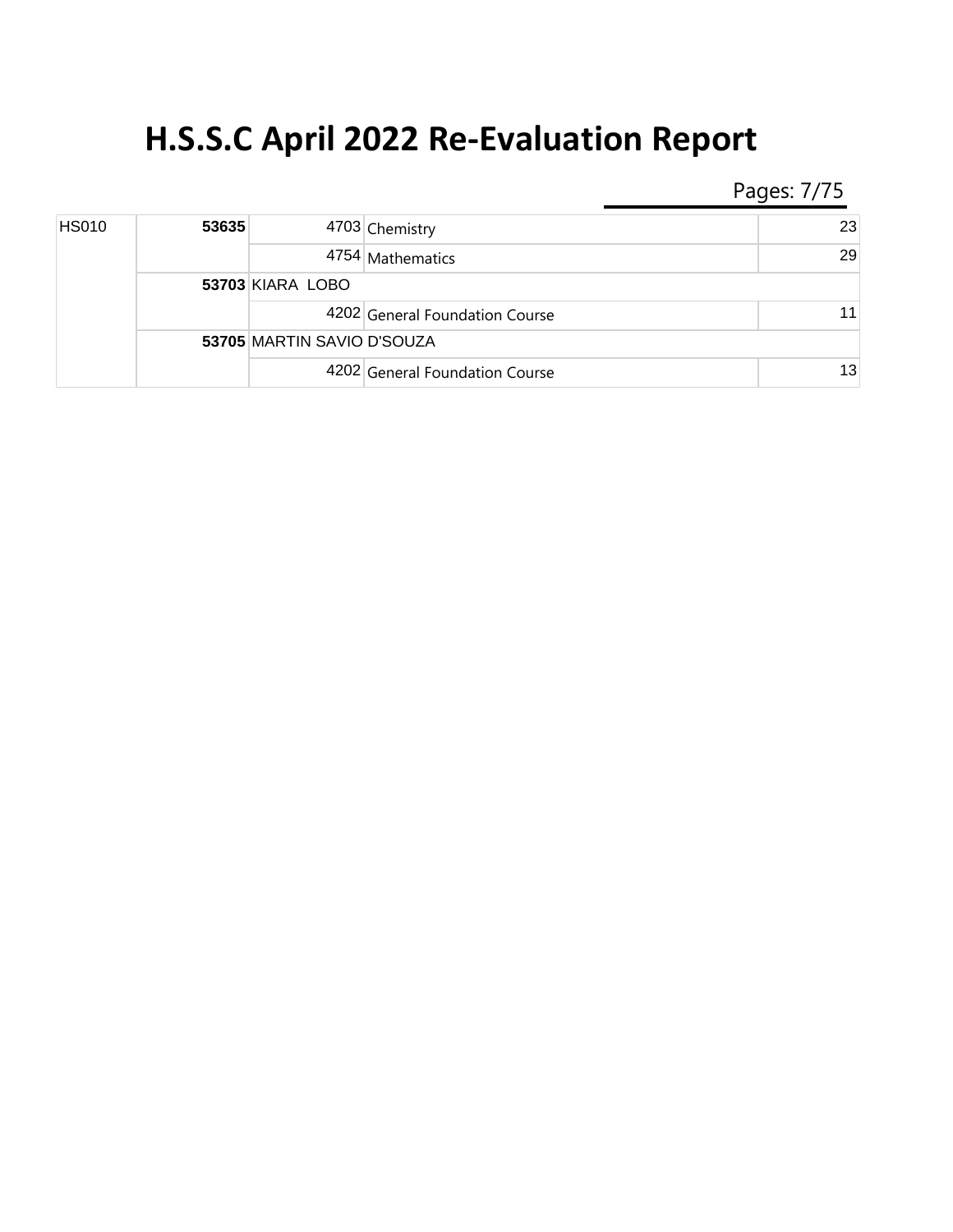Pages: 7/75

| <b>HS010</b> | 53635 |                            | 4703 Chemistry                 | 23 |
|--------------|-------|----------------------------|--------------------------------|----|
|              |       |                            | 4754 Mathematics               | 29 |
|              |       | 53703 KIARA LOBO           |                                |    |
|              |       |                            | 4202 General Foundation Course | 11 |
|              |       | 53705 MARTIN SAVIO D'SOUZA |                                |    |
|              |       |                            | 4202 General Foundation Course | 13 |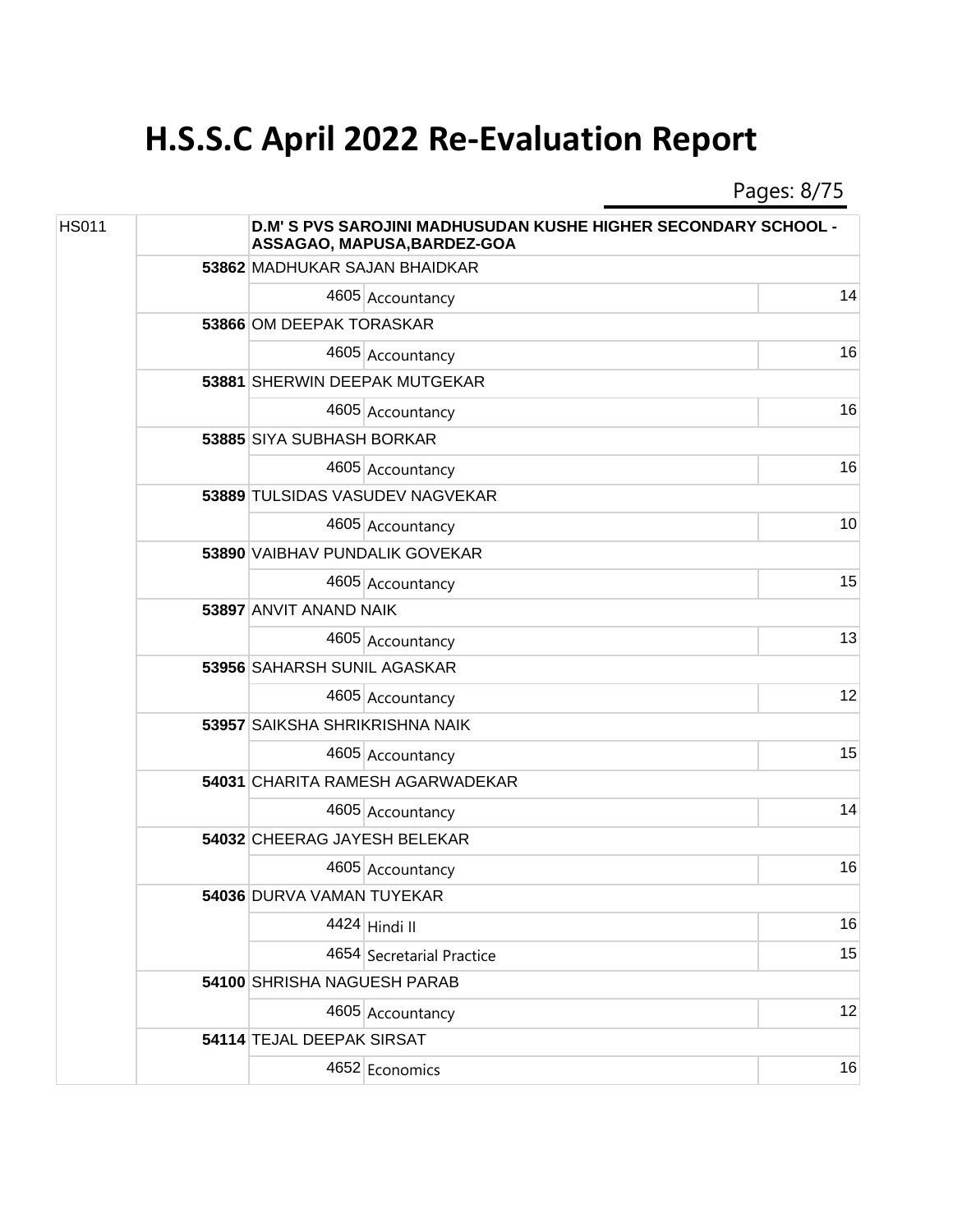Pages: 8/75

| <b>HS011</b> |  | <b>D.M' S PVS SAROJINI MADHUSUDAN KUSHE HIGHER SECONDARY SCHOOL -</b><br>ASSAGAO, MAPUSA, BARDEZ-GOA |                                  |    |  |
|--------------|--|------------------------------------------------------------------------------------------------------|----------------------------------|----|--|
|              |  | 53862 MADHUKAR SAJAN BHAIDKAR                                                                        |                                  |    |  |
|              |  |                                                                                                      | 4605 Accountancy                 | 14 |  |
|              |  | 53866 OM DEEPAK TORASKAR                                                                             |                                  |    |  |
|              |  |                                                                                                      | 4605 Accountancy                 | 16 |  |
|              |  |                                                                                                      | 53881 SHERWIN DEEPAK MUTGEKAR    |    |  |
|              |  |                                                                                                      | 4605 Accountancy                 | 16 |  |
|              |  | 53885 SIYA SUBHASH BORKAR                                                                            |                                  |    |  |
|              |  |                                                                                                      | 4605 Accountancy                 | 16 |  |
|              |  |                                                                                                      | 53889 TULSIDAS VASUDEV NAGVEKAR  |    |  |
|              |  |                                                                                                      | 4605 Accountancy                 | 10 |  |
|              |  | 53890 VAIBHAV PUNDALIK GOVEKAR                                                                       |                                  |    |  |
|              |  |                                                                                                      | 4605 Accountancy                 | 15 |  |
|              |  | 53897 ANVIT ANAND NAIK                                                                               |                                  |    |  |
|              |  |                                                                                                      | 4605 Accountancy                 | 13 |  |
|              |  | 53956 SAHARSH SUNIL AGASKAR                                                                          |                                  |    |  |
|              |  |                                                                                                      | 4605 Accountancy                 | 12 |  |
|              |  | 53957 SAIKSHA SHRIKRISHNA NAIK                                                                       |                                  |    |  |
|              |  |                                                                                                      | 4605 Accountancy                 | 15 |  |
|              |  |                                                                                                      | 54031 CHARITA RAMESH AGARWADEKAR |    |  |
|              |  |                                                                                                      | 4605 Accountancy                 | 14 |  |
|              |  | 54032 CHEERAG JAYESH BELEKAR                                                                         |                                  |    |  |
|              |  |                                                                                                      | 4605 Accountancy                 | 16 |  |
|              |  | 54036 DURVA VAMAN TUYEKAR                                                                            |                                  |    |  |
|              |  |                                                                                                      | 4424 Hindi II                    | 16 |  |
|              |  |                                                                                                      | 4654 Secretarial Practice        | 15 |  |
|              |  | 54100 SHRISHA NAGUESH PARAB                                                                          |                                  |    |  |
|              |  |                                                                                                      | 4605 Accountancy                 | 12 |  |
|              |  | 54114 TEJAL DEEPAK SIRSAT                                                                            |                                  |    |  |
|              |  |                                                                                                      | 4652 Economics                   | 16 |  |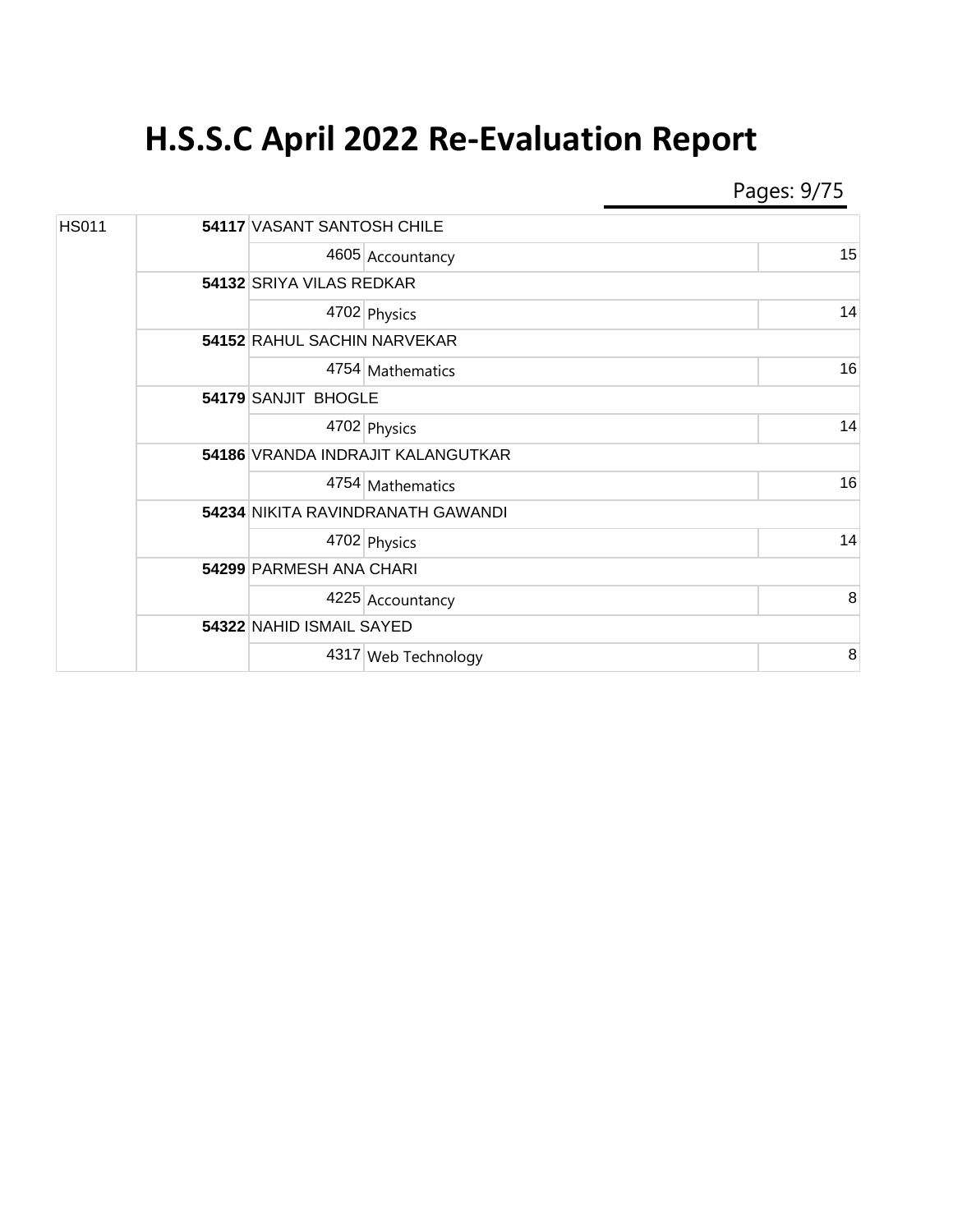Pages: 9/75

| <b>HS011</b> |  | <b>54117 VASANT SANTOSH CHILE</b> |    |  |  |  |
|--------------|--|-----------------------------------|----|--|--|--|
|              |  | 4605 Accountancy                  | 15 |  |  |  |
|              |  | 54132 SRIYA VILAS REDKAR          |    |  |  |  |
|              |  | 4702 Physics                      | 14 |  |  |  |
|              |  | 54152 RAHUL SACHIN NARVEKAR       |    |  |  |  |
|              |  | 4754 Mathematics                  | 16 |  |  |  |
|              |  | 54179 SANJIT BHOGLE               |    |  |  |  |
|              |  | 4702 Physics                      | 14 |  |  |  |
|              |  | 54186 VRANDA INDRAJIT KALANGUTKAR |    |  |  |  |
|              |  | 4754 Mathematics                  | 16 |  |  |  |
|              |  | 54234 NIKITA RAVINDRANATH GAWANDI |    |  |  |  |
|              |  | 4702 Physics                      | 14 |  |  |  |
|              |  | 54299 PARMESH ANA CHARI           |    |  |  |  |
|              |  | 4225 Accountancy                  | 8  |  |  |  |
|              |  | 54322 NAHID ISMAIL SAYED          |    |  |  |  |
|              |  | 4317 Web Technology               | 8  |  |  |  |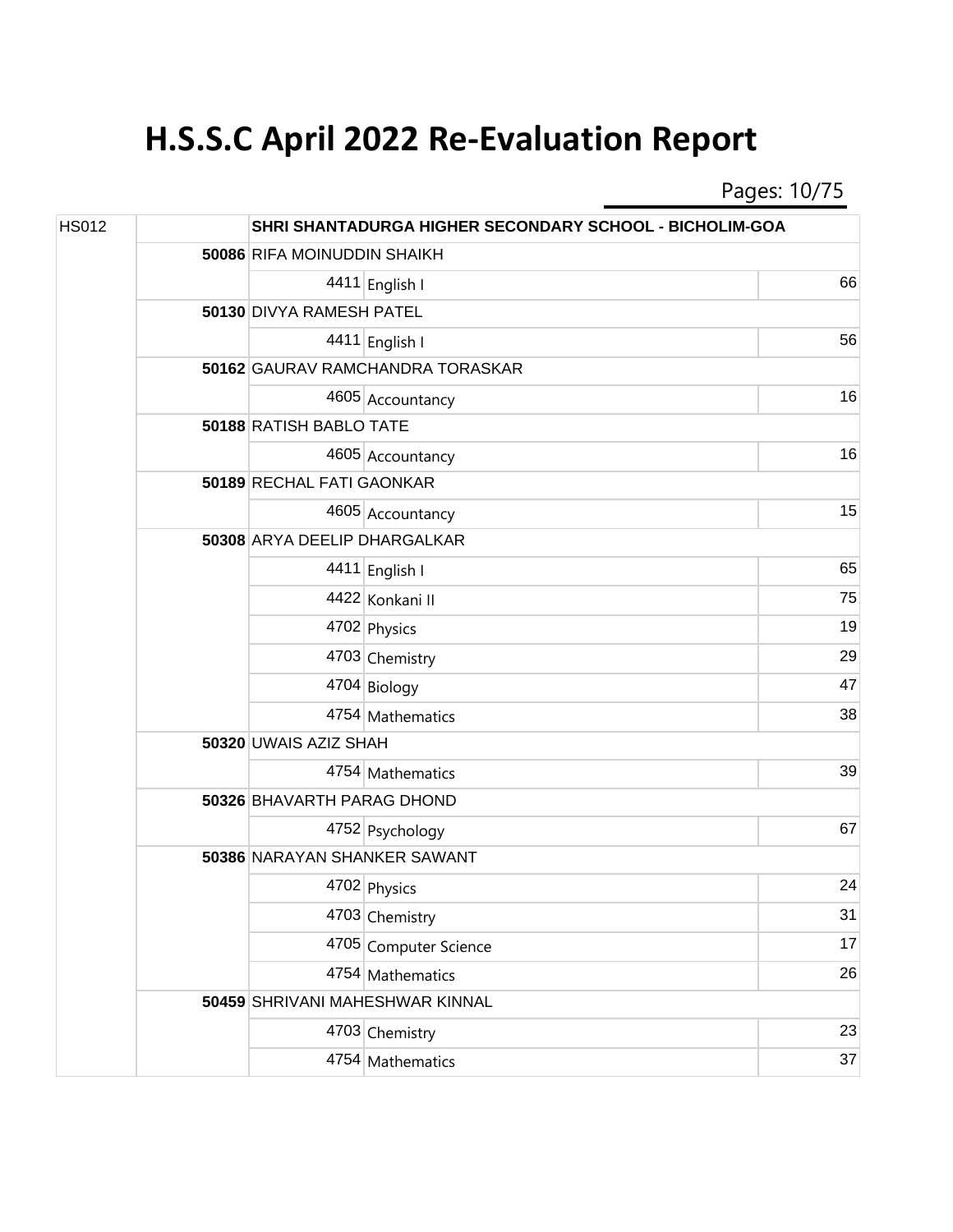Pages: 10/75

| <b>HS012</b> |  |                              | SHRI SHANTADURGA HIGHER SECONDARY SCHOOL - BICHOLIM-GOA |    |  |  |  |
|--------------|--|------------------------------|---------------------------------------------------------|----|--|--|--|
|              |  | 50086 RIFA MOINUDDIN SHAIKH  |                                                         |    |  |  |  |
|              |  |                              | 4411 English I                                          | 66 |  |  |  |
|              |  | 50130 DIVYA RAMESH PATEL     |                                                         |    |  |  |  |
|              |  |                              | 4411 English I                                          | 56 |  |  |  |
|              |  |                              | 50162 GAURAV RAMCHANDRA TORASKAR                        |    |  |  |  |
|              |  |                              | 4605 Accountancy                                        | 16 |  |  |  |
|              |  | 50188 RATISH BABLO TATE      |                                                         |    |  |  |  |
|              |  |                              | 4605 Accountancy                                        | 16 |  |  |  |
|              |  | 50189 RECHAL FATI GAONKAR    |                                                         |    |  |  |  |
|              |  |                              | 4605 Accountancy                                        | 15 |  |  |  |
|              |  | 50308 ARYA DEELIP DHARGALKAR |                                                         |    |  |  |  |
|              |  |                              | 4411 English I                                          | 65 |  |  |  |
|              |  |                              | 4422 Konkani II                                         | 75 |  |  |  |
|              |  |                              | 4702 Physics                                            | 19 |  |  |  |
|              |  |                              | 4703 Chemistry                                          | 29 |  |  |  |
|              |  |                              | 4704 Biology                                            | 47 |  |  |  |
|              |  |                              | 4754 Mathematics                                        | 38 |  |  |  |
|              |  | 50320 UWAIS AZIZ SHAH        |                                                         |    |  |  |  |
|              |  |                              | 4754 Mathematics                                        | 39 |  |  |  |
|              |  | 50326 BHAVARTH PARAG DHOND   |                                                         |    |  |  |  |
|              |  |                              | 4752 Psychology                                         | 67 |  |  |  |
|              |  | 50386 NARAYAN SHANKER SAWANT |                                                         |    |  |  |  |
|              |  |                              | 4702 Physics                                            | 24 |  |  |  |
|              |  |                              | 4703 Chemistry                                          | 31 |  |  |  |
|              |  |                              | 4705 Computer Science                                   | 17 |  |  |  |
|              |  |                              | 4754 Mathematics                                        | 26 |  |  |  |
|              |  |                              | 50459 SHRIVANI MAHESHWAR KINNAL                         |    |  |  |  |
|              |  |                              | 4703 Chemistry                                          | 23 |  |  |  |
|              |  |                              | 4754 Mathematics                                        | 37 |  |  |  |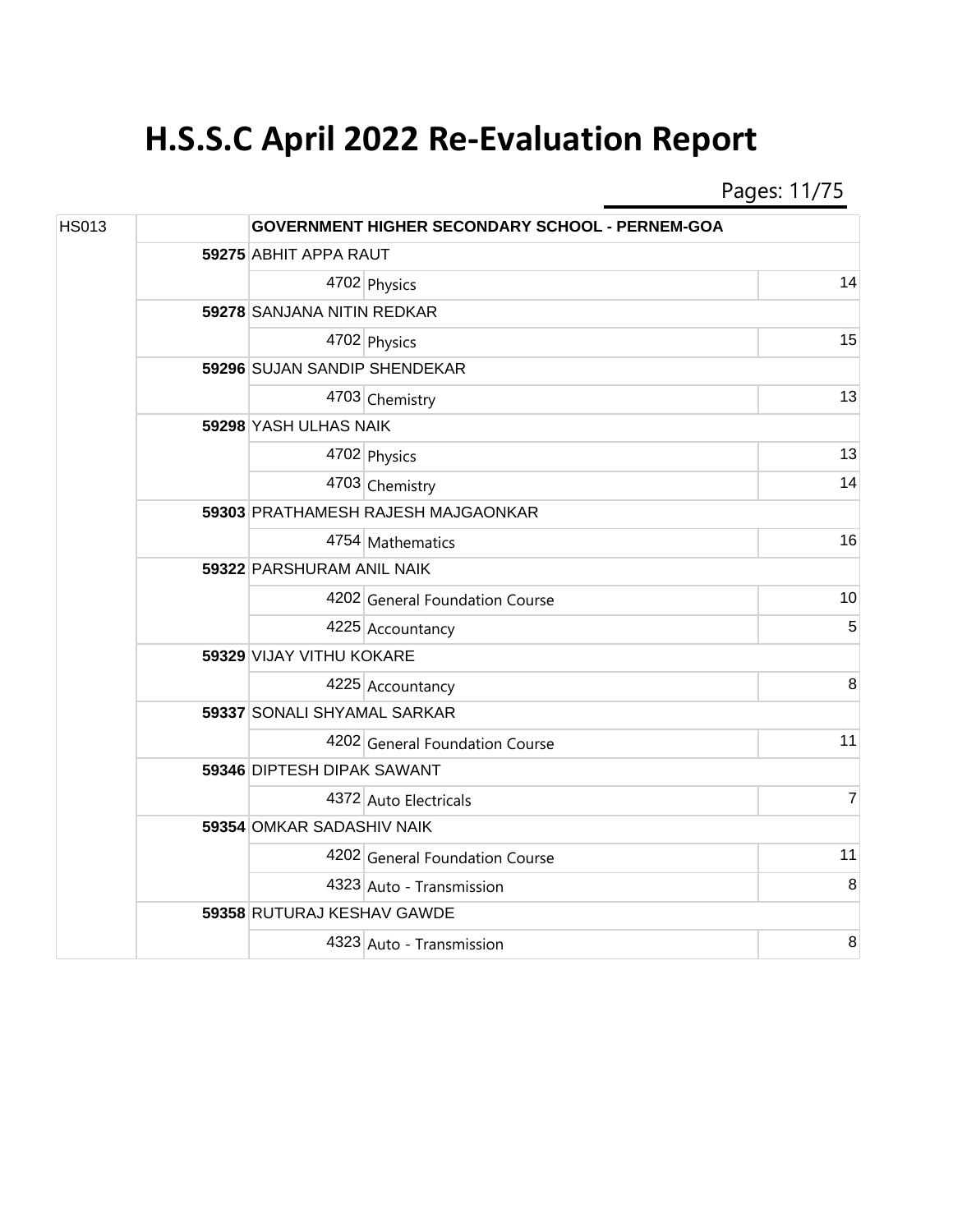Pages: 11/75

| <b>HS013</b> |                            |                                    | <b>GOVERNMENT HIGHER SECONDARY SCHOOL - PERNEM-GOA</b> |                |  |
|--------------|----------------------------|------------------------------------|--------------------------------------------------------|----------------|--|
|              | 59275 ABHIT APPA RAUT      |                                    |                                                        |                |  |
|              |                            |                                    | 4702 Physics                                           | 14             |  |
|              | 59278 SANJANA NITIN REDKAR |                                    |                                                        |                |  |
|              |                            |                                    | 4702 Physics                                           | 15             |  |
|              |                            |                                    | 59296 SUJAN SANDIP SHENDEKAR                           |                |  |
|              |                            |                                    | 4703 Chemistry                                         | 13             |  |
|              |                            | 59298 YASH ULHAS NAIK              |                                                        |                |  |
|              |                            |                                    | 4702 Physics                                           | 13             |  |
|              |                            |                                    | 4703 Chemistry                                         | 14             |  |
|              |                            | 59303 PRATHAMESH RAJESH MAJGAONKAR |                                                        |                |  |
|              |                            |                                    | 4754 Mathematics                                       | 16             |  |
|              |                            | 59322 PARSHURAM ANIL NAIK          |                                                        |                |  |
|              |                            |                                    | 4202 General Foundation Course                         | 10             |  |
|              |                            |                                    | 4225 Accountancy                                       | 5              |  |
|              |                            | 59329 VIJAY VITHU KOKARE           |                                                        |                |  |
|              |                            |                                    | 4225 Accountancy                                       | 8              |  |
|              |                            | 59337 SONALI SHYAMAL SARKAR        |                                                        |                |  |
|              |                            |                                    | 4202 General Foundation Course                         | 11             |  |
|              |                            | 59346 DIPTESH DIPAK SAWANT         |                                                        |                |  |
|              |                            |                                    | 4372 Auto Electricals                                  | $\overline{7}$ |  |
|              |                            | 59354 OMKAR SADASHIV NAIK          |                                                        |                |  |
|              |                            |                                    | 4202 General Foundation Course                         | 11             |  |
|              |                            |                                    | 4323 Auto - Transmission                               | 8              |  |
|              |                            |                                    | 59358 RUTURAJ KESHAV GAWDE                             |                |  |
|              |                            |                                    | 4323 Auto - Transmission                               | $\, 8$         |  |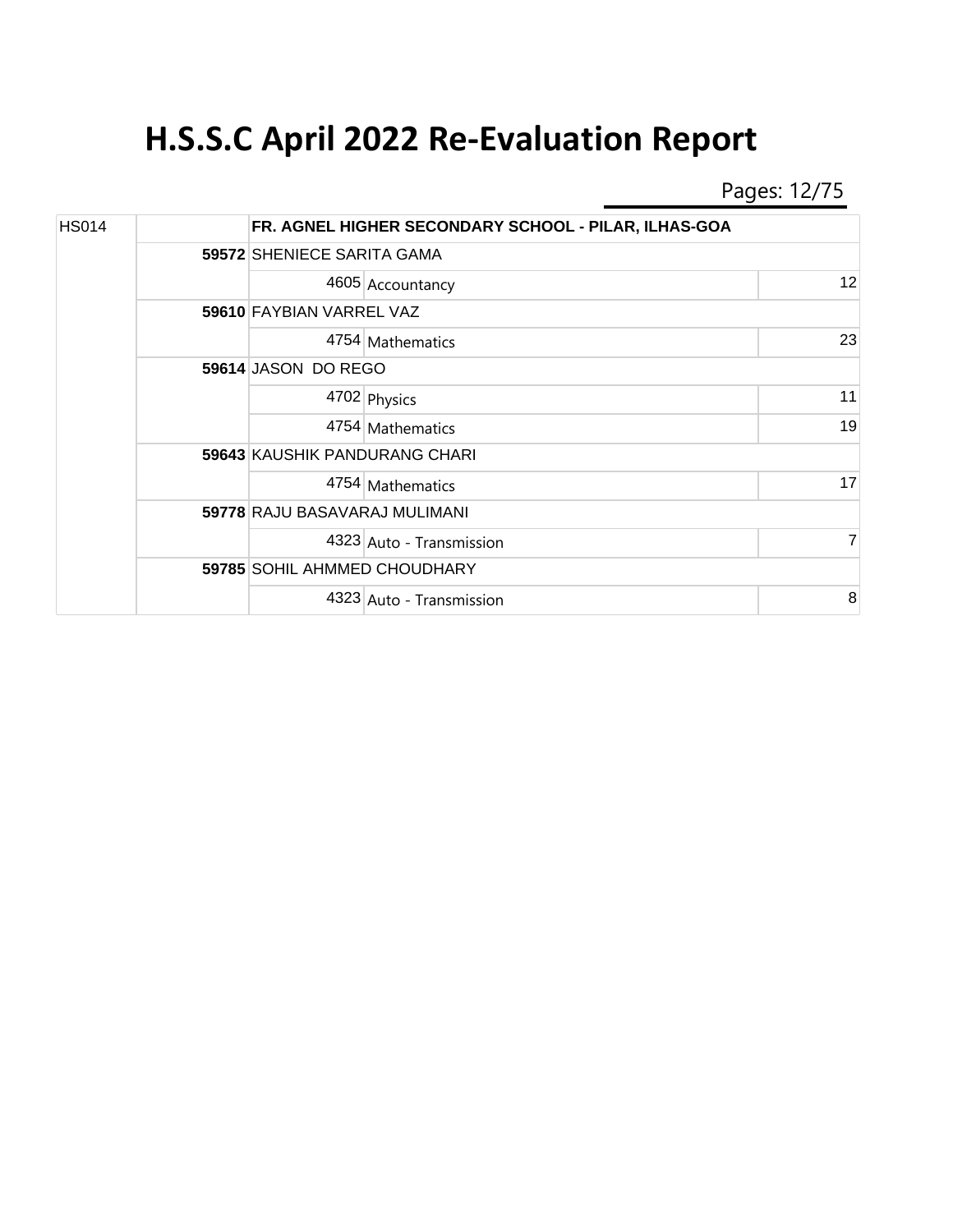Pages: 12/75

| <b>HS014</b> |                               | FR. AGNEL HIGHER SECONDARY SCHOOL - PILAR, ILHAS-GOA |    |  |  |  |
|--------------|-------------------------------|------------------------------------------------------|----|--|--|--|
|              |                               | 59572 SHENIECE SARITA GAMA                           |    |  |  |  |
|              |                               | 4605 Accountancy                                     | 12 |  |  |  |
|              |                               | 59610 FAYBIAN VARREL VAZ                             |    |  |  |  |
|              |                               | 4754 Mathematics                                     | 23 |  |  |  |
|              |                               | 59614 JASON DO REGO                                  |    |  |  |  |
|              |                               | 4702 Physics                                         | 11 |  |  |  |
|              |                               | 4754 Mathematics                                     | 19 |  |  |  |
|              | 59643 KAUSHIK PANDURANG CHARI |                                                      |    |  |  |  |
|              |                               | 4754 Mathematics                                     | 17 |  |  |  |
|              | 59778 RAJU BASAVARAJ MULIMANI |                                                      |    |  |  |  |
|              |                               | 4323 Auto - Transmission                             | 7  |  |  |  |
|              | 59785 SOHIL AHMMED CHOUDHARY  |                                                      |    |  |  |  |
|              |                               | 4323 Auto - Transmission                             | 8  |  |  |  |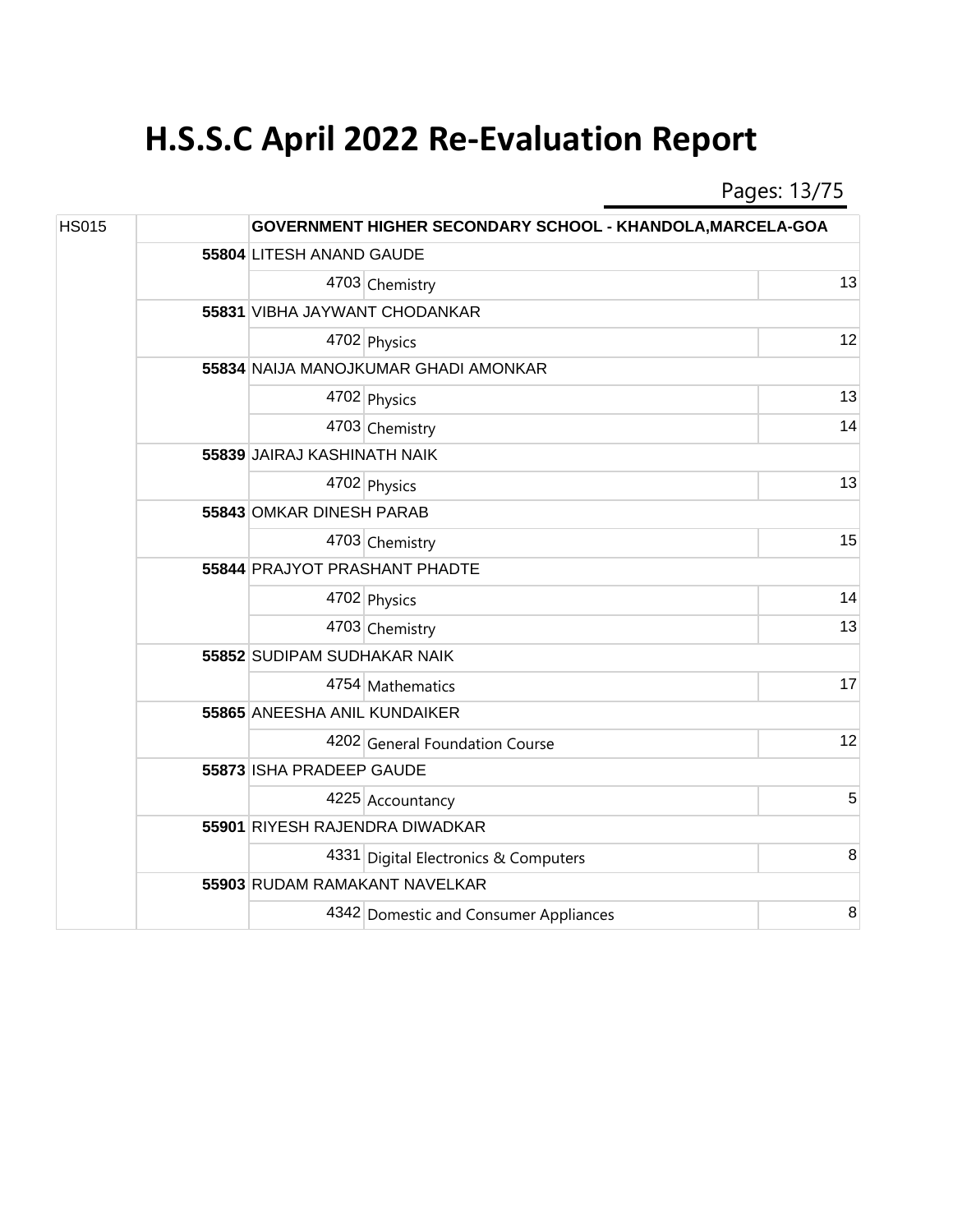Pages: 13/75

| <b>HS015</b> |  |                               | GOVERNMENT HIGHER SECONDARY SCHOOL - KHANDOLA, MARCELA-GOA |    |  |  |
|--------------|--|-------------------------------|------------------------------------------------------------|----|--|--|
|              |  | 55804 LITESH ANAND GAUDE      |                                                            |    |  |  |
|              |  |                               | 4703 Chemistry                                             | 13 |  |  |
|              |  |                               | 55831 VIBHA JAYWANT CHODANKAR                              |    |  |  |
|              |  |                               | 4702 Physics                                               | 12 |  |  |
|              |  |                               | 55834 NAIJA MANOJKUMAR GHADI AMONKAR                       |    |  |  |
|              |  |                               | 4702 Physics                                               | 13 |  |  |
|              |  |                               | 4703 Chemistry                                             | 14 |  |  |
|              |  |                               | 55839 JAIRAJ KASHINATH NAIK                                |    |  |  |
|              |  |                               | 4702 Physics                                               | 13 |  |  |
|              |  | 55843 OMKAR DINESH PARAB      |                                                            |    |  |  |
|              |  |                               | 4703 Chemistry                                             | 15 |  |  |
|              |  | 55844 PRAJYOT PRASHANT PHADTE |                                                            |    |  |  |
|              |  |                               | 4702 Physics                                               | 14 |  |  |
|              |  |                               | 4703 Chemistry                                             | 13 |  |  |
|              |  | 55852 SUDIPAM SUDHAKAR NAIK   |                                                            |    |  |  |
|              |  |                               | 4754 Mathematics                                           | 17 |  |  |
|              |  | 55865 ANEESHA ANIL KUNDAIKER  |                                                            |    |  |  |
|              |  |                               | 4202 General Foundation Course                             | 12 |  |  |
|              |  | 55873 ISHA PRADEEP GAUDE      |                                                            |    |  |  |
|              |  |                               | 4225 Accountancy                                           | 5  |  |  |
|              |  |                               | 55901 RIYESH RAJENDRA DIWADKAR                             |    |  |  |
|              |  |                               | 4331 Digital Electronics & Computers                       | 8  |  |  |
|              |  |                               | 55903 RUDAM RAMAKANT NAVELKAR                              |    |  |  |
|              |  |                               | 4342 Domestic and Consumer Appliances                      | 8  |  |  |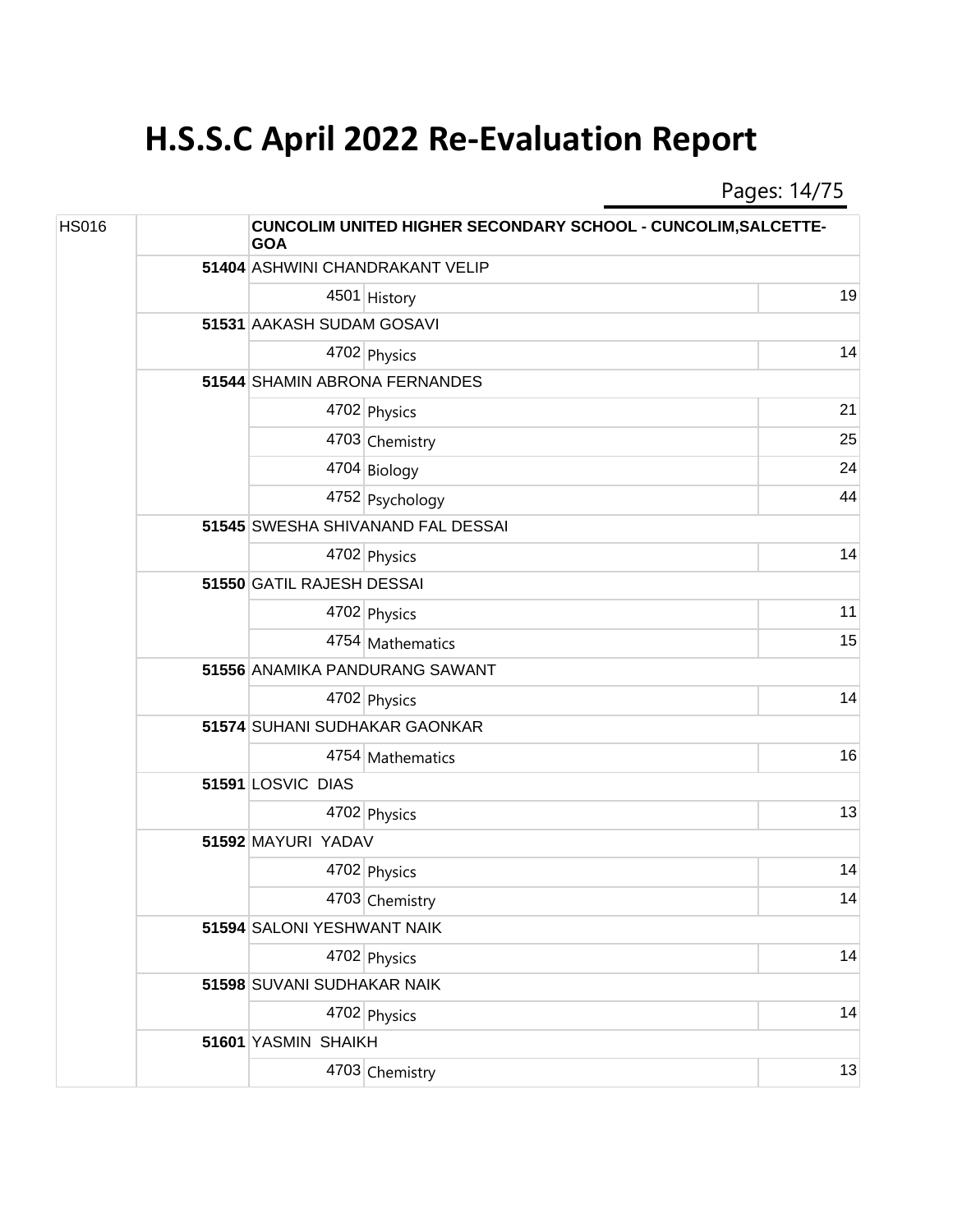Pages: 14/75

| <b>HS016</b> |  | <b>CUNCOLIM UNITED HIGHER SECONDARY SCHOOL - CUNCOLIM, SALCETTE-</b><br><b>GOA</b> |                                   |    |  |
|--------------|--|------------------------------------------------------------------------------------|-----------------------------------|----|--|
|              |  |                                                                                    | 51404 ASHWINI CHANDRAKANT VELIP   |    |  |
|              |  |                                                                                    | 4501 History                      | 19 |  |
|              |  |                                                                                    | 51531 AAKASH SUDAM GOSAVI         |    |  |
|              |  |                                                                                    | 4702 Physics                      | 14 |  |
|              |  |                                                                                    | 51544 SHAMIN ABRONA FERNANDES     |    |  |
|              |  |                                                                                    | 4702 Physics                      | 21 |  |
|              |  |                                                                                    | 4703 Chemistry                    | 25 |  |
|              |  |                                                                                    | 4704 Biology                      | 24 |  |
|              |  |                                                                                    | 4752 Psychology                   | 44 |  |
|              |  |                                                                                    | 51545 SWESHA SHIVANAND FAL DESSAI |    |  |
|              |  |                                                                                    | 4702 Physics                      | 14 |  |
|              |  | 51550 GATIL RAJESH DESSAI                                                          |                                   |    |  |
|              |  |                                                                                    | 4702 Physics                      | 11 |  |
|              |  |                                                                                    | 4754 Mathematics                  | 15 |  |
|              |  | 51556 ANAMIKA PANDURANG SAWANT                                                     |                                   |    |  |
|              |  |                                                                                    | 4702 Physics                      | 14 |  |
|              |  | 51574 SUHANI SUDHAKAR GAONKAR                                                      |                                   |    |  |
|              |  |                                                                                    | 4754 Mathematics                  | 16 |  |
|              |  | 51591 LOSVIC DIAS                                                                  |                                   |    |  |
|              |  |                                                                                    | 4702 Physics                      | 13 |  |
|              |  | 51592 MAYURI YADAV                                                                 |                                   |    |  |
|              |  |                                                                                    | 4702 Physics                      | 14 |  |
|              |  |                                                                                    | 4703 Chemistry                    | 14 |  |
|              |  | 51594 SALONI YESHWANT NAIK                                                         |                                   |    |  |
|              |  |                                                                                    | 4702 Physics                      | 14 |  |
|              |  | 51598 SUVANI SUDHAKAR NAIK                                                         |                                   |    |  |
|              |  |                                                                                    | 4702 Physics                      | 14 |  |
|              |  | 51601 YASMIN SHAIKH                                                                |                                   |    |  |
|              |  |                                                                                    | 4703 Chemistry                    | 13 |  |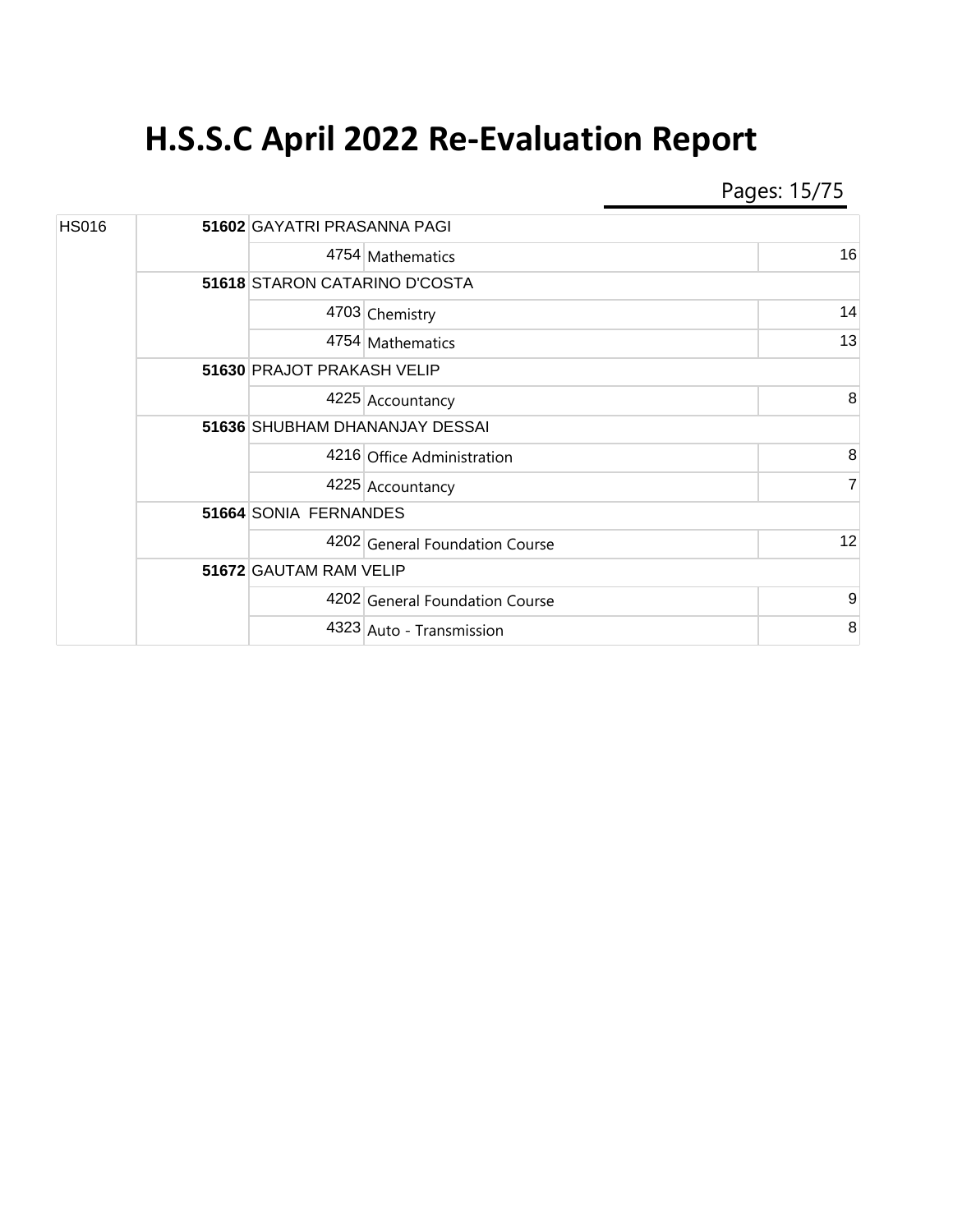Pages: 15/75

| <b>HS016</b> |  |                                | 51602 GAYATRI PRASANNA PAGI       |                |  |  |
|--------------|--|--------------------------------|-----------------------------------|----------------|--|--|
|              |  |                                | 4754 Mathematics                  | 16             |  |  |
|              |  | 51618 STARON CATARINO D'COSTA  |                                   |                |  |  |
|              |  |                                | 4703 Chemistry                    | 14             |  |  |
|              |  |                                | 4754 Mathematics                  | 13             |  |  |
|              |  |                                | <b>51630 PRAJOT PRAKASH VELIP</b> |                |  |  |
|              |  |                                | 4225 Accountancy                  | 8              |  |  |
|              |  | 51636 SHUBHAM DHANANJAY DESSAI |                                   |                |  |  |
|              |  |                                | 4216 Office Administration        | 8              |  |  |
|              |  |                                | 4225 Accountancy                  | $\overline{7}$ |  |  |
|              |  | 51664 SONIA FERNANDES          |                                   |                |  |  |
|              |  |                                | 4202 General Foundation Course    | 12             |  |  |
|              |  | 51672 GAUTAM RAM VELIP         |                                   |                |  |  |
|              |  |                                | 4202 General Foundation Course    | 9              |  |  |
|              |  |                                | 4323 Auto - Transmission          | 8              |  |  |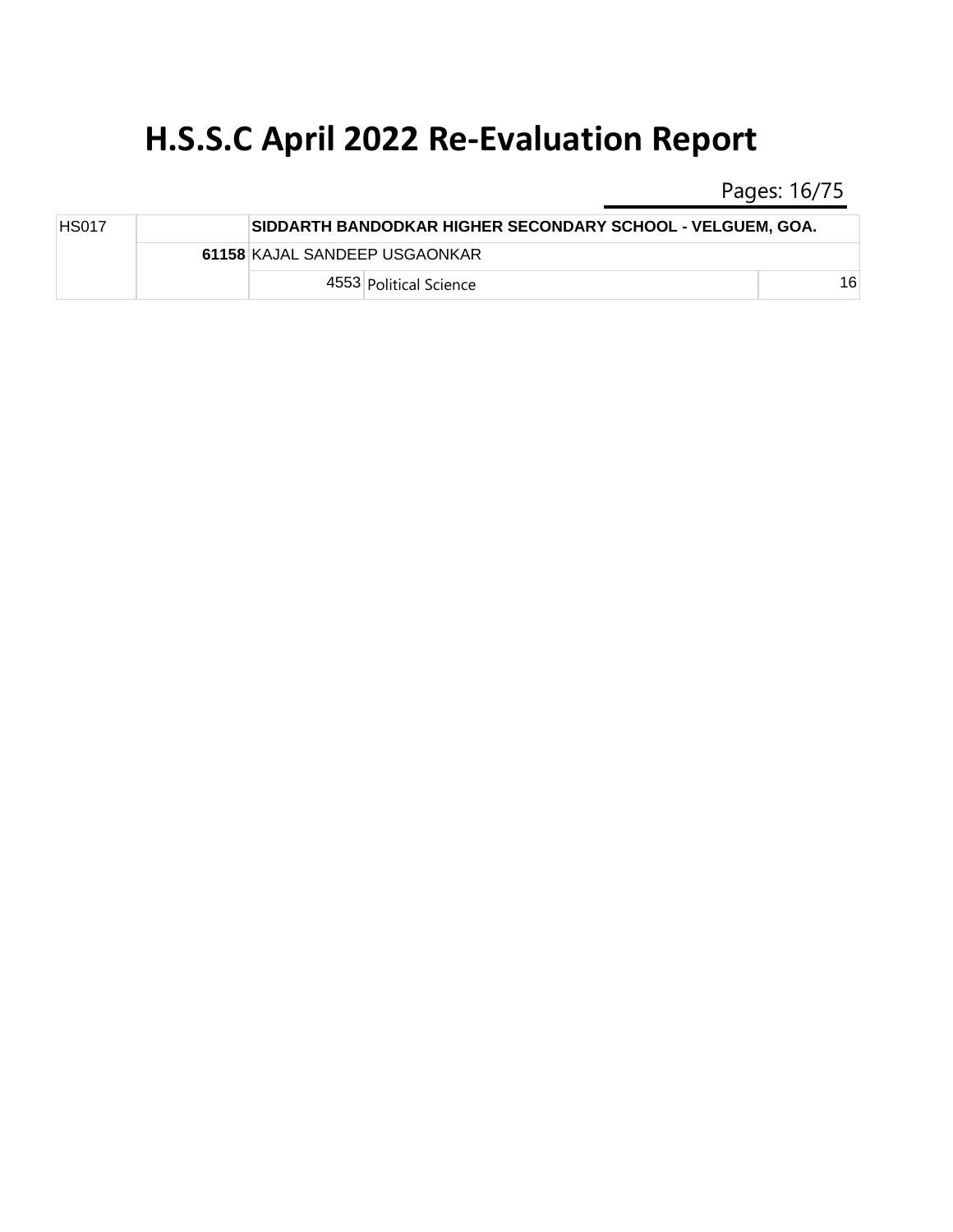Pages: 16/75

| <b>HS017</b> |  |                               | SIDDARTH BANDODKAR HIGHER SECONDARY SCHOOL - VELGUEM, GOA. |    |
|--------------|--|-------------------------------|------------------------------------------------------------|----|
|              |  | 61158 KAJAL SANDEEP USGAONKAR |                                                            |    |
|              |  |                               | 4553 Political Science                                     | 16 |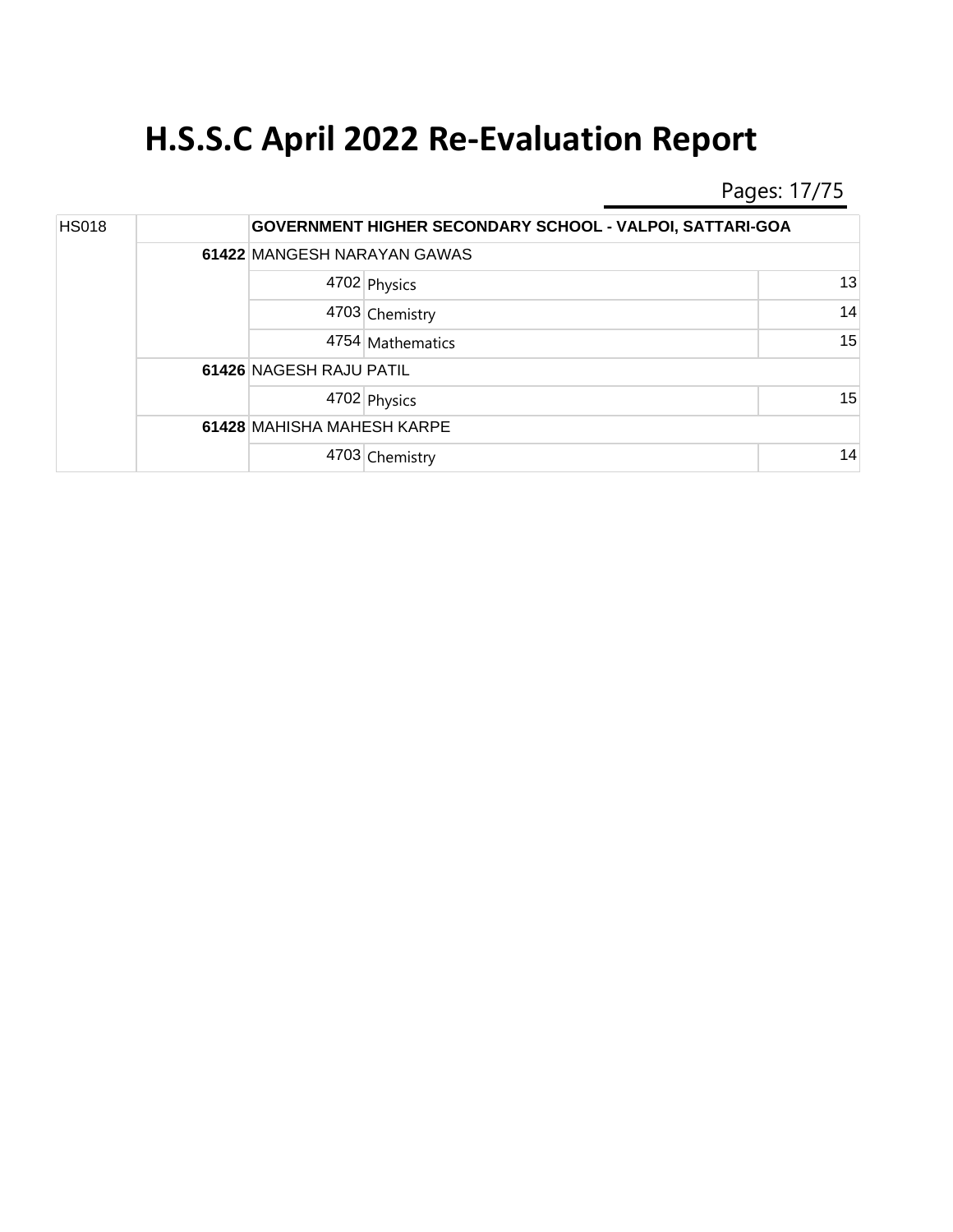Pages: 17/75

| <b>HS018</b> |  |                            | <b>GOVERNMENT HIGHER SECONDARY SCHOOL - VALPOI, SATTARI-GOA</b> |    |
|--------------|--|----------------------------|-----------------------------------------------------------------|----|
|              |  |                            | 61422 MANGESH NARAYAN GAWAS                                     |    |
|              |  |                            | 4702 Physics                                                    | 13 |
|              |  |                            | 4703 Chemistry                                                  | 14 |
|              |  |                            | 4754 Mathematics                                                | 15 |
|              |  | 61426 NAGESH RAJU PATIL    |                                                                 |    |
|              |  |                            | 4702 Physics                                                    | 15 |
|              |  | 61428 MAHISHA MAHESH KARPE |                                                                 |    |
|              |  |                            | 4703 Chemistry                                                  | 14 |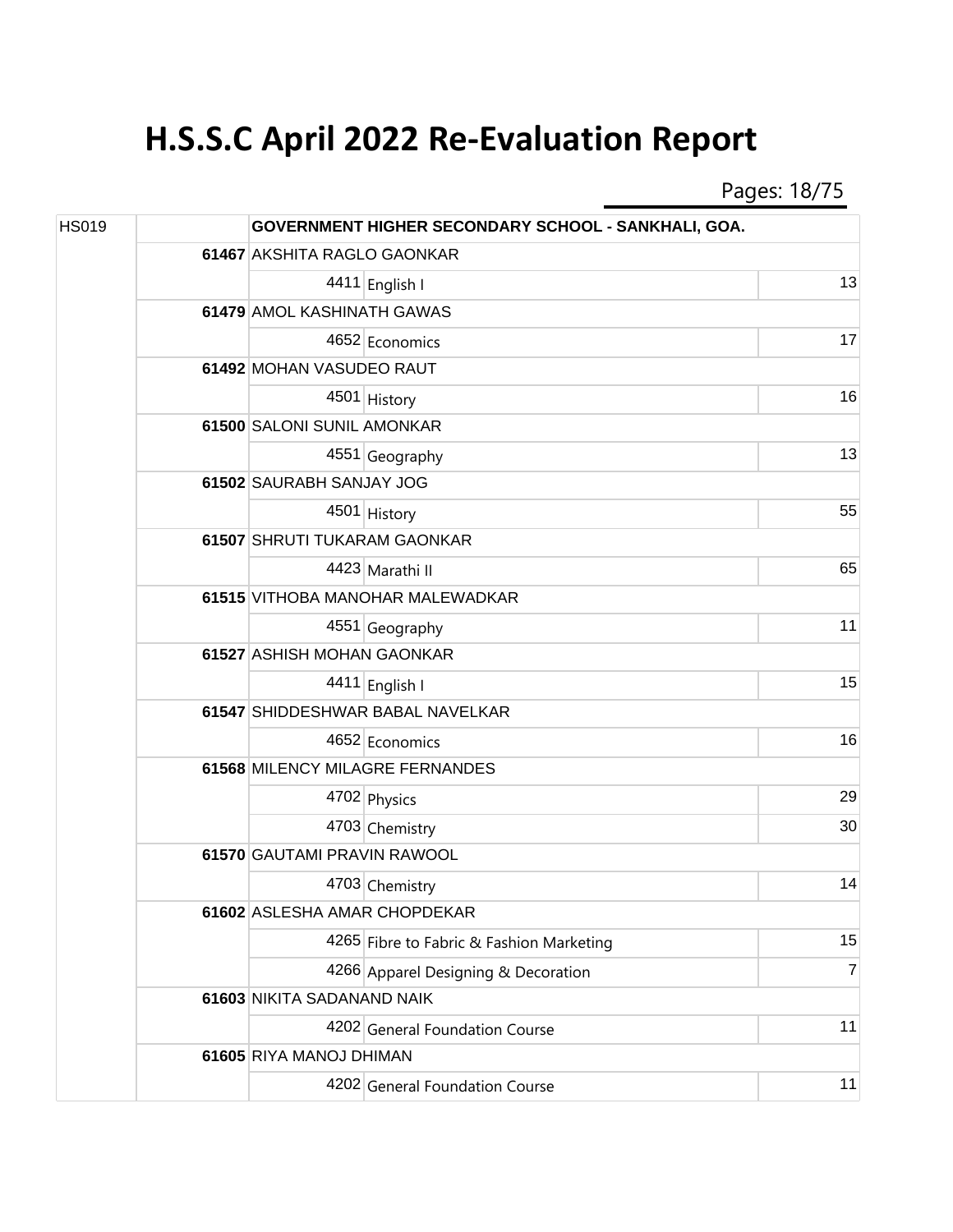Pages: 18/75

| <b>HS019</b> |  |                              | GOVERNMENT HIGHER SECONDARY SCHOOL - SANKHALI, GOA. |                |
|--------------|--|------------------------------|-----------------------------------------------------|----------------|
|              |  | 61467 AKSHITA RAGLO GAONKAR  |                                                     |                |
|              |  |                              | 4411 English I                                      | 13             |
|              |  | 61479 AMOL KASHINATH GAWAS   |                                                     |                |
|              |  |                              | 4652 Economics                                      | 17             |
|              |  | 61492 MOHAN VASUDEO RAUT     |                                                     |                |
|              |  |                              | 4501 History                                        | 16             |
|              |  | 61500 SALONI SUNIL AMONKAR   |                                                     |                |
|              |  |                              | 4551 Geography                                      | 13             |
|              |  | 61502 SAURABH SANJAY JOG     |                                                     |                |
|              |  |                              | 4501 History                                        | 55             |
|              |  | 61507 SHRUTI TUKARAM GAONKAR |                                                     |                |
|              |  |                              | 4423 Marathi II                                     | 65             |
|              |  |                              | 61515 VITHOBA MANOHAR MALEWADKAR                    |                |
|              |  |                              | 4551 Geography                                      | 11             |
|              |  | 61527 ASHISH MOHAN GAONKAR   |                                                     |                |
|              |  |                              | 4411 English I                                      | 15             |
|              |  |                              | 61547 SHIDDESHWAR BABAL NAVELKAR                    |                |
|              |  |                              | 4652 Economics                                      | 16             |
|              |  |                              | 61568 MILENCY MILAGRE FERNANDES                     |                |
|              |  |                              | 4702 Physics                                        | 29             |
|              |  |                              | 4703 Chemistry                                      | 30             |
|              |  | 61570 GAUTAMI PRAVIN RAWOOL  |                                                     |                |
|              |  |                              | 4703 Chemistry                                      | 14             |
|              |  | 61602 ASLESHA AMAR CHOPDEKAR |                                                     |                |
|              |  |                              | 4265 Fibre to Fabric & Fashion Marketing            | 15             |
|              |  |                              | 4266 Apparel Designing & Decoration                 | $\overline{7}$ |
|              |  | 61603 NIKITA SADANAND NAIK   |                                                     |                |
|              |  |                              | 4202 General Foundation Course                      | 11             |
|              |  | 61605 RIYA MANOJ DHIMAN      |                                                     |                |
|              |  |                              | 4202 General Foundation Course                      | 11             |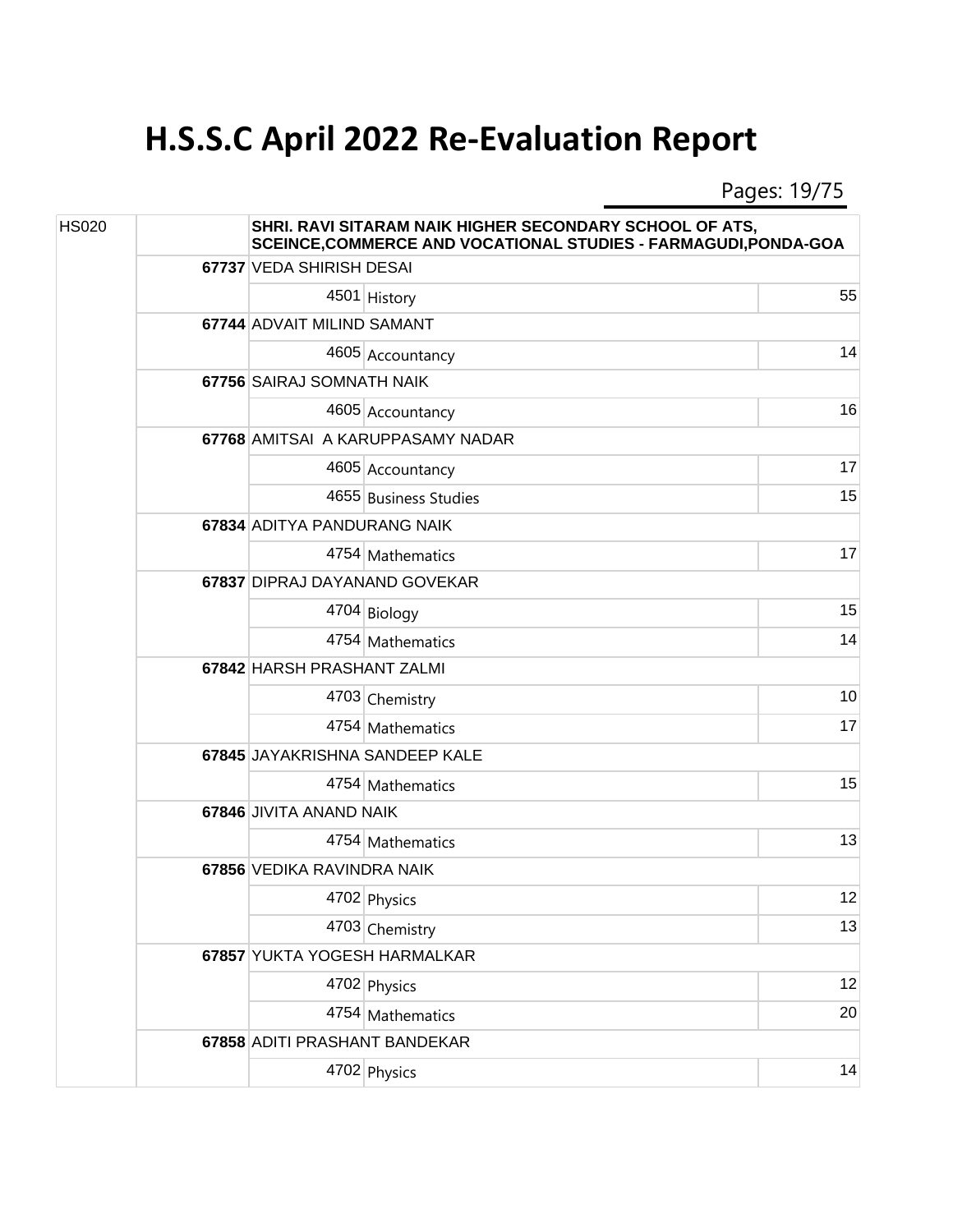Pages: 19/75

| <b>HS020</b> |  | SHRI. RAVI SITARAM NAIK HIGHER SECONDARY SCHOOL OF ATS,<br>SCEINCE, COMMERCE AND VOCATIONAL STUDIES - FARMAGUDI, PONDA-GOA |                                   |    |  |
|--------------|--|----------------------------------------------------------------------------------------------------------------------------|-----------------------------------|----|--|
|              |  | 67737 VEDA SHIRISH DESAI                                                                                                   |                                   |    |  |
|              |  |                                                                                                                            | 4501 History                      | 55 |  |
|              |  | 67744 ADVAIT MILIND SAMANT                                                                                                 |                                   |    |  |
|              |  |                                                                                                                            | 4605 Accountancy                  | 14 |  |
|              |  | 67756 SAIRAJ SOMNATH NAIK                                                                                                  |                                   |    |  |
|              |  |                                                                                                                            | 4605 Accountancy                  | 16 |  |
|              |  |                                                                                                                            | 67768 AMITSAI A KARUPPASAMY NADAR |    |  |
|              |  |                                                                                                                            | 4605 Accountancy                  | 17 |  |
|              |  |                                                                                                                            | 4655 Business Studies             | 15 |  |
|              |  | 67834 ADITYA PANDURANG NAIK                                                                                                |                                   |    |  |
|              |  |                                                                                                                            | 4754 Mathematics                  | 17 |  |
|              |  | 67837 DIPRAJ DAYANAND GOVEKAR                                                                                              |                                   |    |  |
|              |  |                                                                                                                            | 4704 Biology                      | 15 |  |
|              |  |                                                                                                                            | 4754 Mathematics                  | 14 |  |
|              |  | 67842 HARSH PRASHANT ZALMI                                                                                                 |                                   |    |  |
|              |  |                                                                                                                            | 4703 Chemistry                    | 10 |  |
|              |  |                                                                                                                            | 4754 Mathematics                  | 17 |  |
|              |  |                                                                                                                            | 67845 JAYAKRISHNA SANDEEP KALE    |    |  |
|              |  |                                                                                                                            | 4754 Mathematics                  | 15 |  |
|              |  | 67846 JIVITA ANAND NAIK                                                                                                    |                                   |    |  |
|              |  |                                                                                                                            | 4754 Mathematics                  | 13 |  |
|              |  | 67856 VEDIKA RAVINDRA NAIK                                                                                                 |                                   |    |  |
|              |  |                                                                                                                            | 4702 Physics                      | 12 |  |
|              |  |                                                                                                                            | 4703 Chemistry                    | 13 |  |
|              |  | 67857 YUKTA YOGESH HARMALKAR                                                                                               |                                   |    |  |
|              |  |                                                                                                                            | 4702 Physics                      | 12 |  |
|              |  |                                                                                                                            | 4754 Mathematics                  | 20 |  |
|              |  | 67858 ADITI PRASHANT BANDEKAR                                                                                              |                                   |    |  |
|              |  |                                                                                                                            | 4702 Physics                      | 14 |  |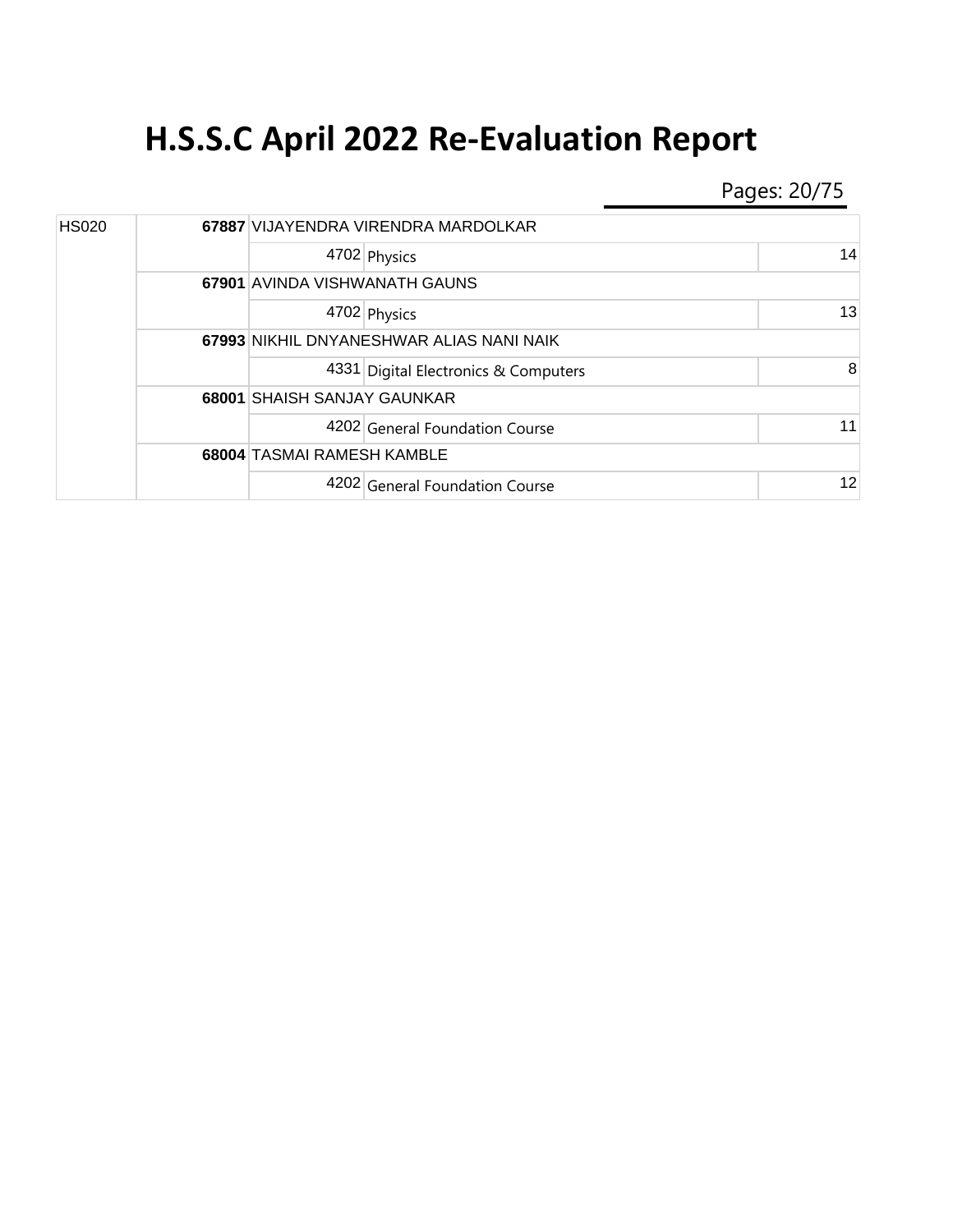Pages: 20/75

| <b>HS020</b> |  | 67887 VIJAYENDRA VIRENDRA MARDOLKAR      |                                      |    |  |
|--------------|--|------------------------------------------|--------------------------------------|----|--|
|              |  |                                          | 4702 Physics                         | 14 |  |
|              |  |                                          | 67901 AVINDA VISHWANATH GAUNS        |    |  |
|              |  |                                          | 4702 Physics                         | 13 |  |
|              |  | 67993 NIKHIL DNYANESHWAR ALIAS NANI NAIK |                                      |    |  |
|              |  |                                          | 4331 Digital Electronics & Computers | 8  |  |
|              |  | <b>68001 SHAISH SANJAY GAUNKAR</b>       |                                      |    |  |
|              |  |                                          | 4202 General Foundation Course       | 11 |  |
|              |  | <b>68004 TASMAI RAMESH KAMBLE</b>        |                                      |    |  |
|              |  |                                          | 4202 General Foundation Course       | 12 |  |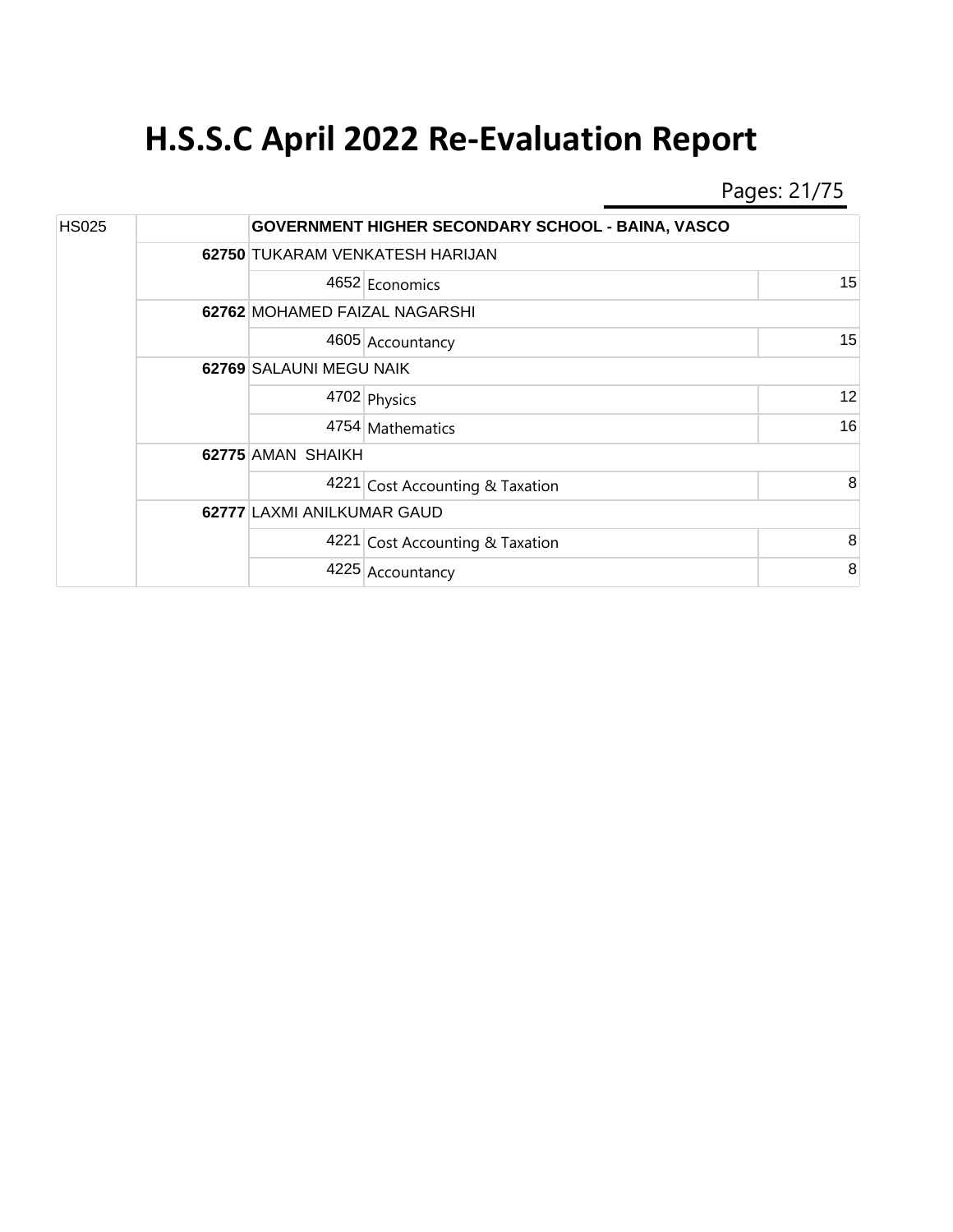Pages: 21/75

| <b>HS025</b> |  |                                 | <b>GOVERNMENT HIGHER SECONDARY SCHOOL - BAINA, VASCO</b> |    |
|--------------|--|---------------------------------|----------------------------------------------------------|----|
|              |  | 62750 TUKARAM VENKATESH HARIJAN |                                                          |    |
|              |  |                                 | 4652 Economics                                           | 15 |
|              |  | 62762 MOHAMED FAIZAL NAGARSHI   |                                                          |    |
|              |  |                                 | 4605 Accountancy                                         | 15 |
|              |  | 62769 SALAUNI MEGU NAIK         |                                                          |    |
|              |  |                                 | 4702 Physics                                             | 12 |
|              |  |                                 | 4754 Mathematics                                         | 16 |
|              |  | 62775 AMAN SHAIKH               |                                                          |    |
|              |  |                                 | 4221 Cost Accounting & Taxation                          | 8  |
|              |  | 62777 LAXMI ANILKUMAR GAUD      |                                                          |    |
|              |  |                                 | 4221 Cost Accounting & Taxation                          | 8  |
|              |  |                                 | 4225 Accountancy                                         | 8  |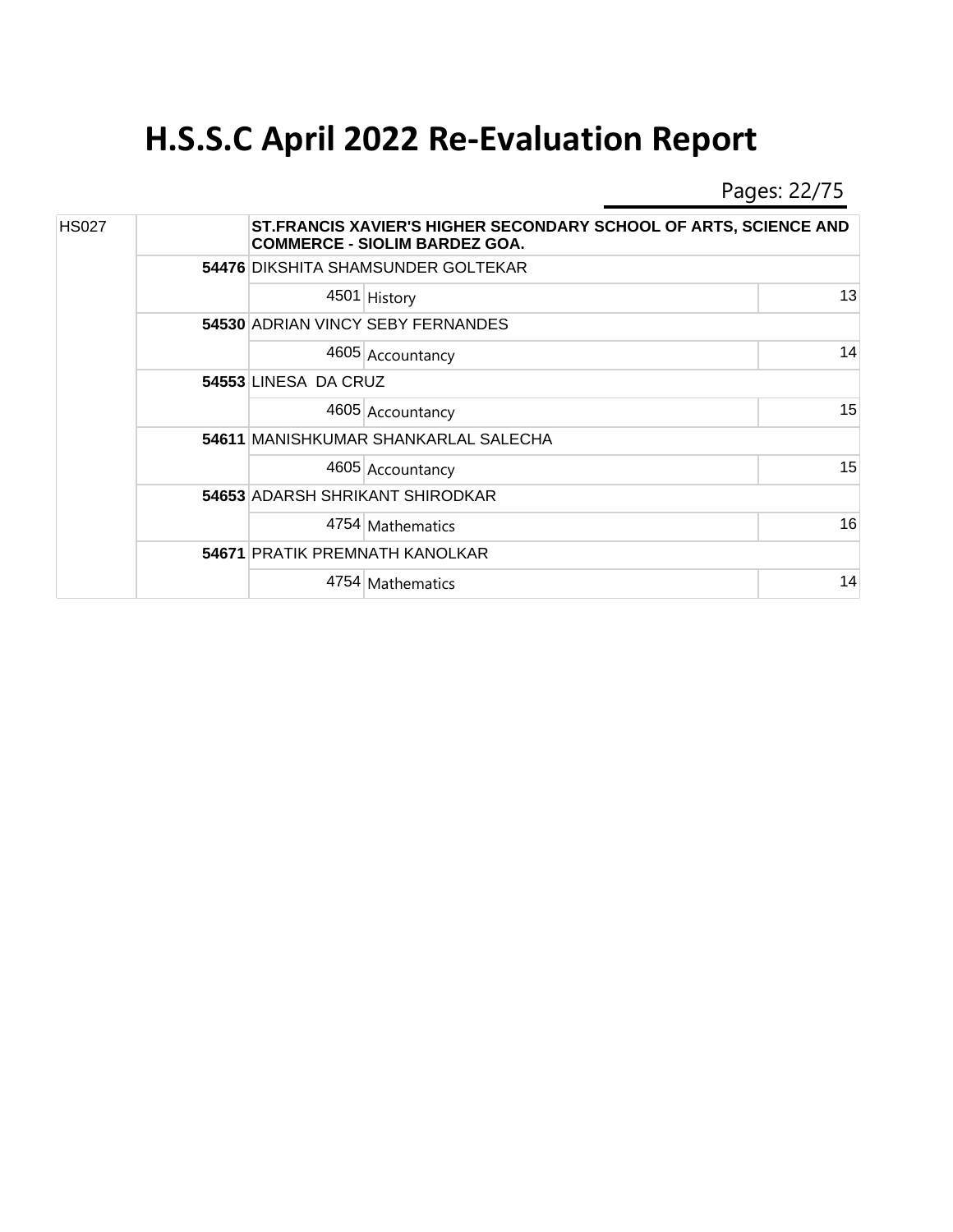Pages: 22/75

| <b>HS027</b> |  |                      | ST.FRANCIS XAVIER'S HIGHER SECONDARY SCHOOL OF ARTS, SCIENCE AND<br><b>COMMERCE - SIOLIM BARDEZ GOA.</b> |    |  |  |  |
|--------------|--|----------------------|----------------------------------------------------------------------------------------------------------|----|--|--|--|
|              |  |                      | 54476 DIKSHITA SHAMSUNDER GOLTEKAR                                                                       |    |  |  |  |
|              |  |                      | 4501 History                                                                                             | 13 |  |  |  |
|              |  |                      | 54530 ADRIAN VINCY SEBY FERNANDES                                                                        |    |  |  |  |
|              |  |                      | 4605 Accountancy                                                                                         | 14 |  |  |  |
|              |  | 54553 LINESA DA CRUZ |                                                                                                          |    |  |  |  |
|              |  |                      | 4605 Accountancy                                                                                         | 15 |  |  |  |
|              |  |                      | 54611 MANISHKUMAR SHANKARLAL SALECHA                                                                     |    |  |  |  |
|              |  |                      | 4605 Accountancy                                                                                         | 15 |  |  |  |
|              |  |                      | <b>54653 ADARSH SHRIKANT SHIRODKAR</b>                                                                   |    |  |  |  |
|              |  |                      | 4754 Mathematics                                                                                         | 16 |  |  |  |
|              |  |                      | <b>54671 PRATIK PREMNATH KANOLKAR</b>                                                                    |    |  |  |  |
|              |  |                      | 4754 Mathematics                                                                                         | 14 |  |  |  |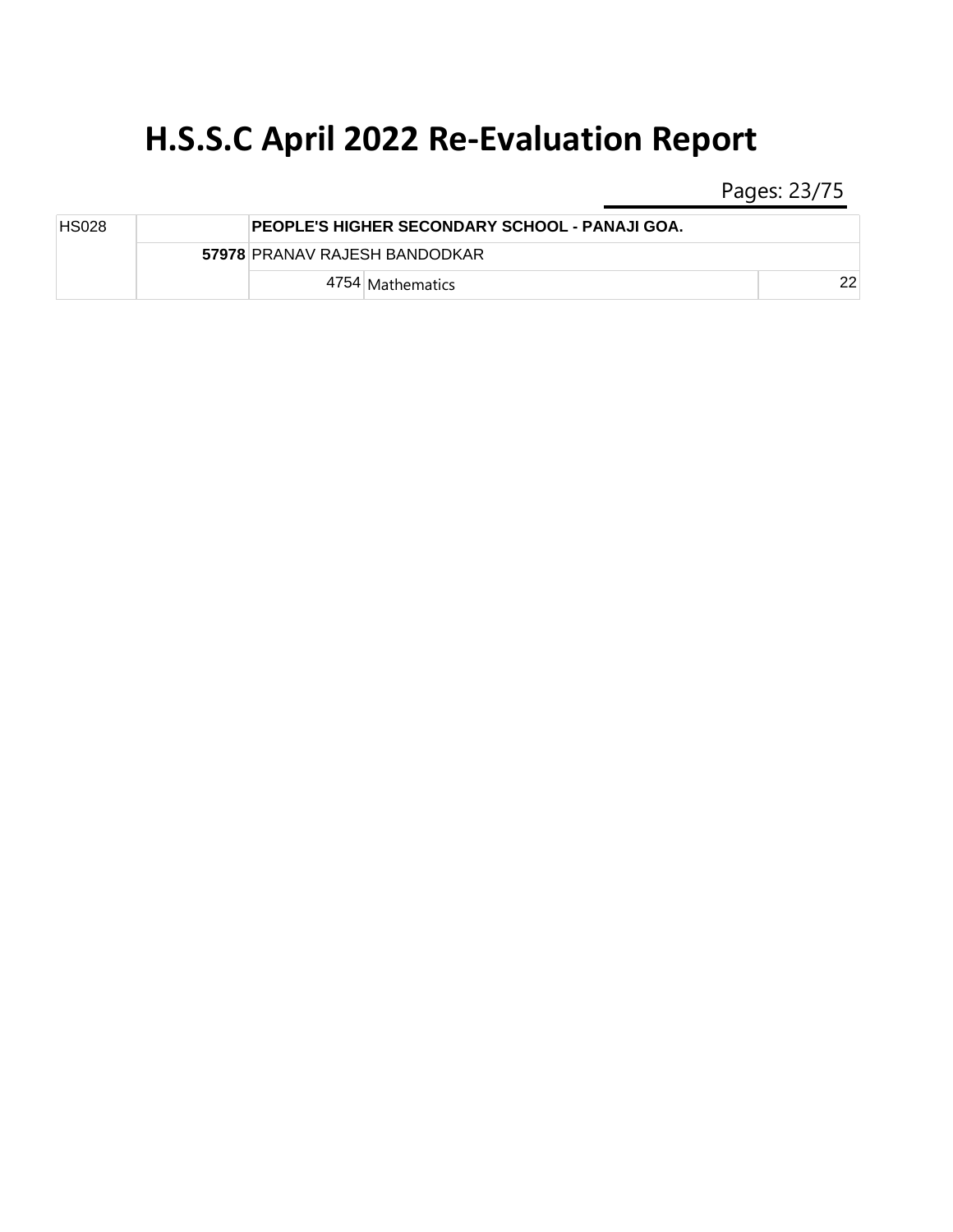Pages: 23/75

| <b>HS028</b> |  | <b>PEOPLE'S HIGHER SECONDARY SCHOOL - PANAJI GOA.</b> |    |
|--------------|--|-------------------------------------------------------|----|
|              |  | 57978 PRANAV RAJESH BANDODKAR                         |    |
|              |  | 4754   Mathematics                                    | つつ |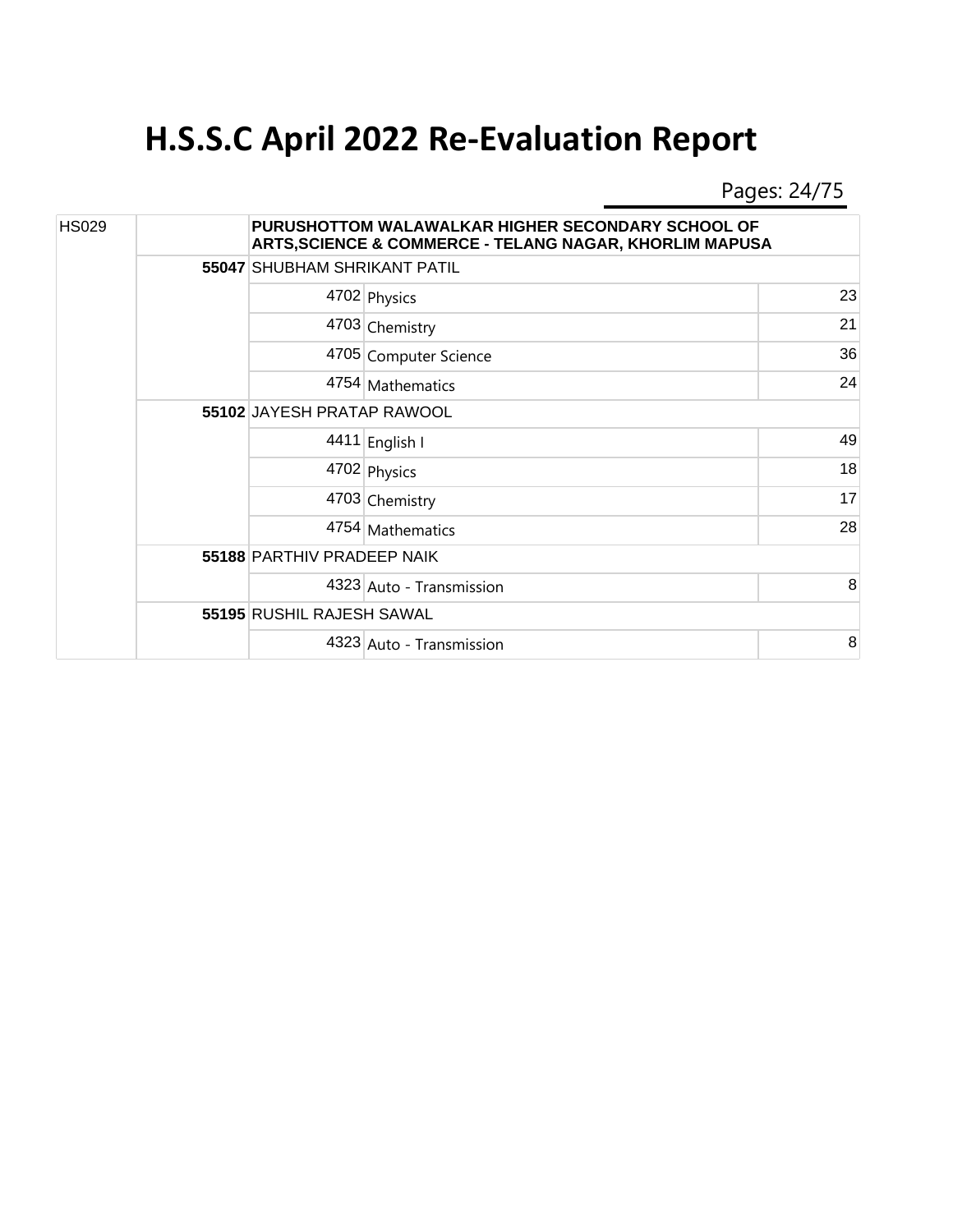Pages: 24/75

| <b>HS029</b> |  |                            | PURUSHOTTOM WALAWALKAR HIGHER SECONDARY SCHOOL OF<br>ARTS, SCIENCE & COMMERCE - TELANG NAGAR, KHORLIM MAPUSA |    |  |  |
|--------------|--|----------------------------|--------------------------------------------------------------------------------------------------------------|----|--|--|
|              |  |                            | 55047 SHUBHAM SHRIKANT PATIL                                                                                 |    |  |  |
|              |  |                            | 4702 Physics                                                                                                 | 23 |  |  |
|              |  |                            | 4703 Chemistry                                                                                               | 21 |  |  |
|              |  |                            | 4705 Computer Science                                                                                        | 36 |  |  |
|              |  |                            | 4754 Mathematics                                                                                             | 24 |  |  |
|              |  | 55102 JAYESH PRATAP RAWOOL |                                                                                                              |    |  |  |
|              |  |                            | 4411 English I                                                                                               | 49 |  |  |
|              |  |                            | 4702 Physics                                                                                                 | 18 |  |  |
|              |  |                            | 4703 Chemistry                                                                                               | 17 |  |  |
|              |  |                            | 4754 Mathematics                                                                                             | 28 |  |  |
|              |  | 55188 PARTHIV PRADEEP NAIK |                                                                                                              |    |  |  |
|              |  |                            | 4323 Auto - Transmission                                                                                     | 8  |  |  |
|              |  | 55195 RUSHIL RAJESH SAWAL  |                                                                                                              |    |  |  |
|              |  |                            | 4323 Auto - Transmission                                                                                     | 8  |  |  |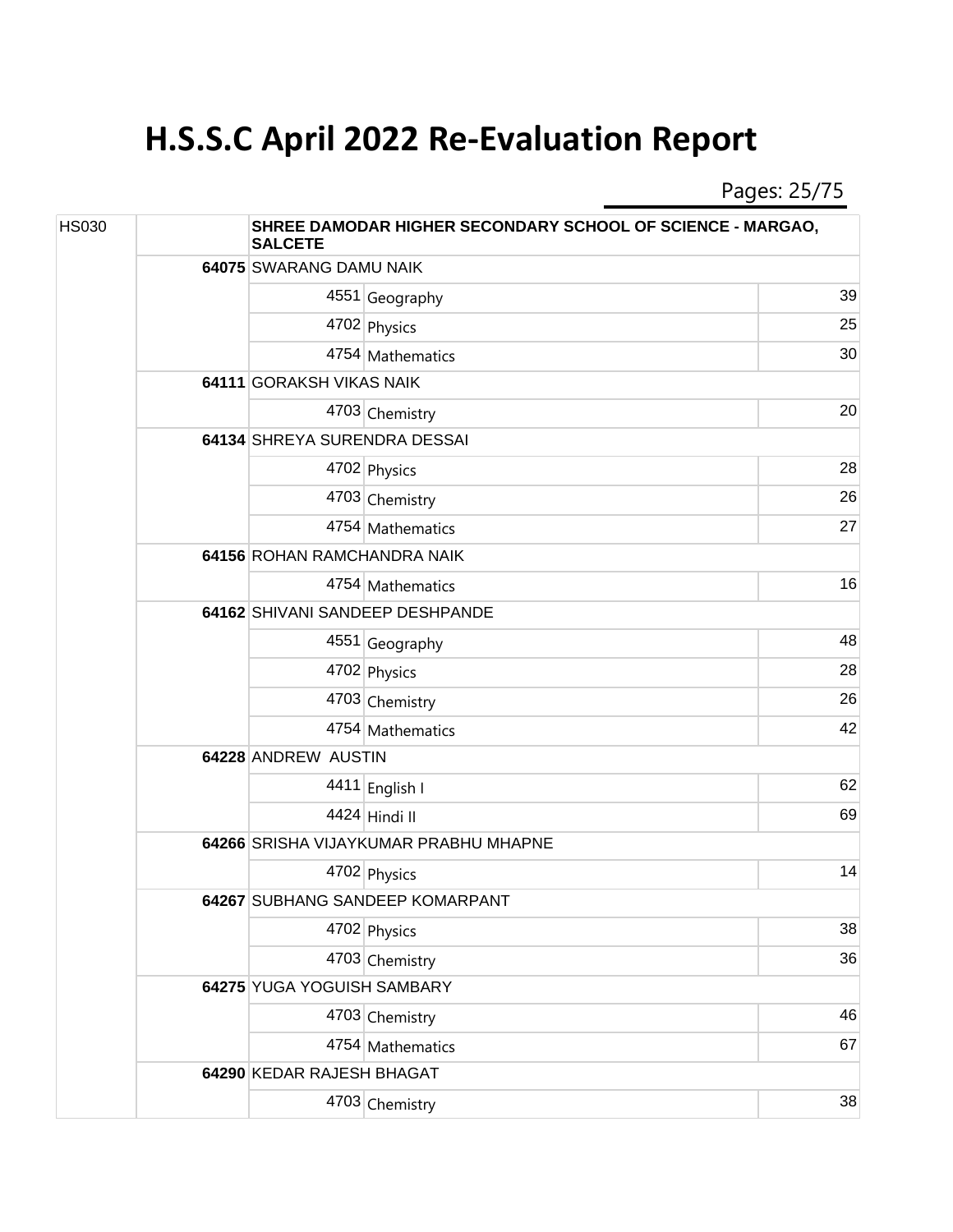Pages: 25/75

| <b>HS030</b> | SHREE DAMODAR HIGHER SECONDARY SCHOOL OF SCIENCE - MARGAO,<br><b>SALCETE</b> |                                 |                                       |    |  |
|--------------|------------------------------------------------------------------------------|---------------------------------|---------------------------------------|----|--|
|              |                                                                              | 64075 SWARANG DAMU NAIK         |                                       |    |  |
|              |                                                                              |                                 | 4551 Geography                        | 39 |  |
|              |                                                                              |                                 | 4702 Physics                          | 25 |  |
|              |                                                                              |                                 | 4754 Mathematics                      | 30 |  |
|              |                                                                              | 64111 GORAKSH VIKAS NAIK        |                                       |    |  |
|              |                                                                              |                                 | 4703 Chemistry                        | 20 |  |
|              |                                                                              | 64134 SHREYA SURENDRA DESSAI    |                                       |    |  |
|              |                                                                              |                                 | 4702 Physics                          | 28 |  |
|              |                                                                              |                                 | 4703 Chemistry                        | 26 |  |
|              |                                                                              |                                 | 4754 Mathematics                      | 27 |  |
|              |                                                                              |                                 | 64156 ROHAN RAMCHANDRA NAIK           |    |  |
|              |                                                                              |                                 | 4754 Mathematics                      | 16 |  |
|              |                                                                              | 64162 SHIVANI SANDEEP DESHPANDE |                                       |    |  |
|              |                                                                              |                                 | 4551 Geography                        | 48 |  |
|              |                                                                              |                                 | 4702 Physics                          | 28 |  |
|              |                                                                              |                                 | 4703 Chemistry                        | 26 |  |
|              |                                                                              |                                 | 4754 Mathematics                      | 42 |  |
|              |                                                                              | 64228 ANDREW AUSTIN             |                                       |    |  |
|              |                                                                              |                                 | 4411 English I                        | 62 |  |
|              |                                                                              |                                 | 4424 Hindi II                         | 69 |  |
|              |                                                                              |                                 | 64266 SRISHA VIJAYKUMAR PRABHU MHAPNE |    |  |
|              |                                                                              |                                 | 4702 Physics                          | 14 |  |
|              |                                                                              |                                 | 64267 SUBHANG SANDEEP KOMARPANT       |    |  |
|              |                                                                              |                                 | 4702 Physics                          | 38 |  |
|              |                                                                              |                                 | 4703 Chemistry                        | 36 |  |
|              |                                                                              | 64275 YUGA YOGUISH SAMBARY      |                                       |    |  |
|              |                                                                              |                                 | 4703 Chemistry                        | 46 |  |
|              |                                                                              |                                 | 4754 Mathematics                      | 67 |  |
|              |                                                                              | 64290 KEDAR RAJESH BHAGAT       |                                       |    |  |
|              |                                                                              |                                 | 4703 Chemistry                        | 38 |  |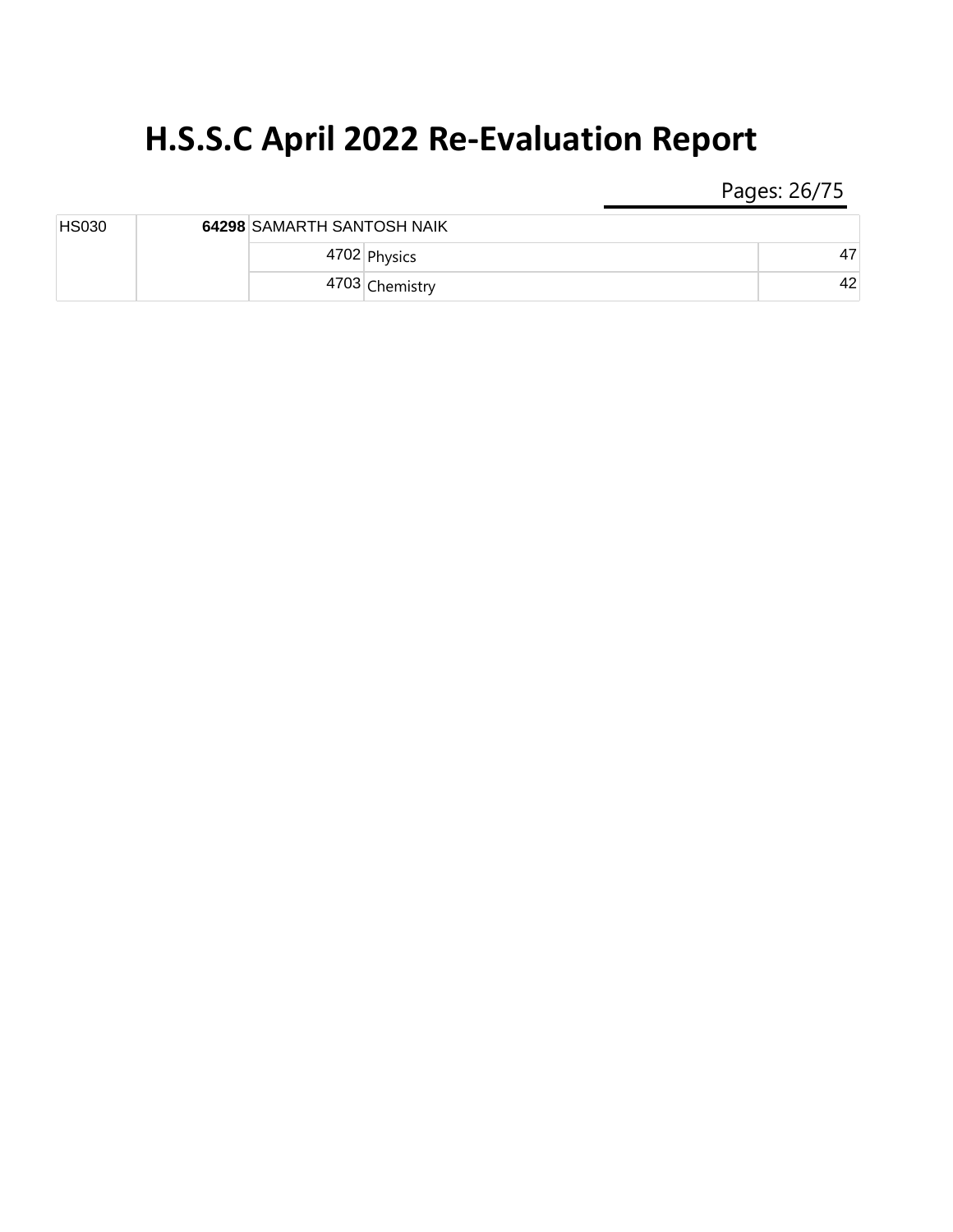Pages: 26/75

| <b>HS030</b> | 64298 SAMARTH SANTOSH NAIK |                |    |
|--------------|----------------------------|----------------|----|
|              |                            | 4702 Physics   | 47 |
|              |                            | 4703 Chemistry | 42 |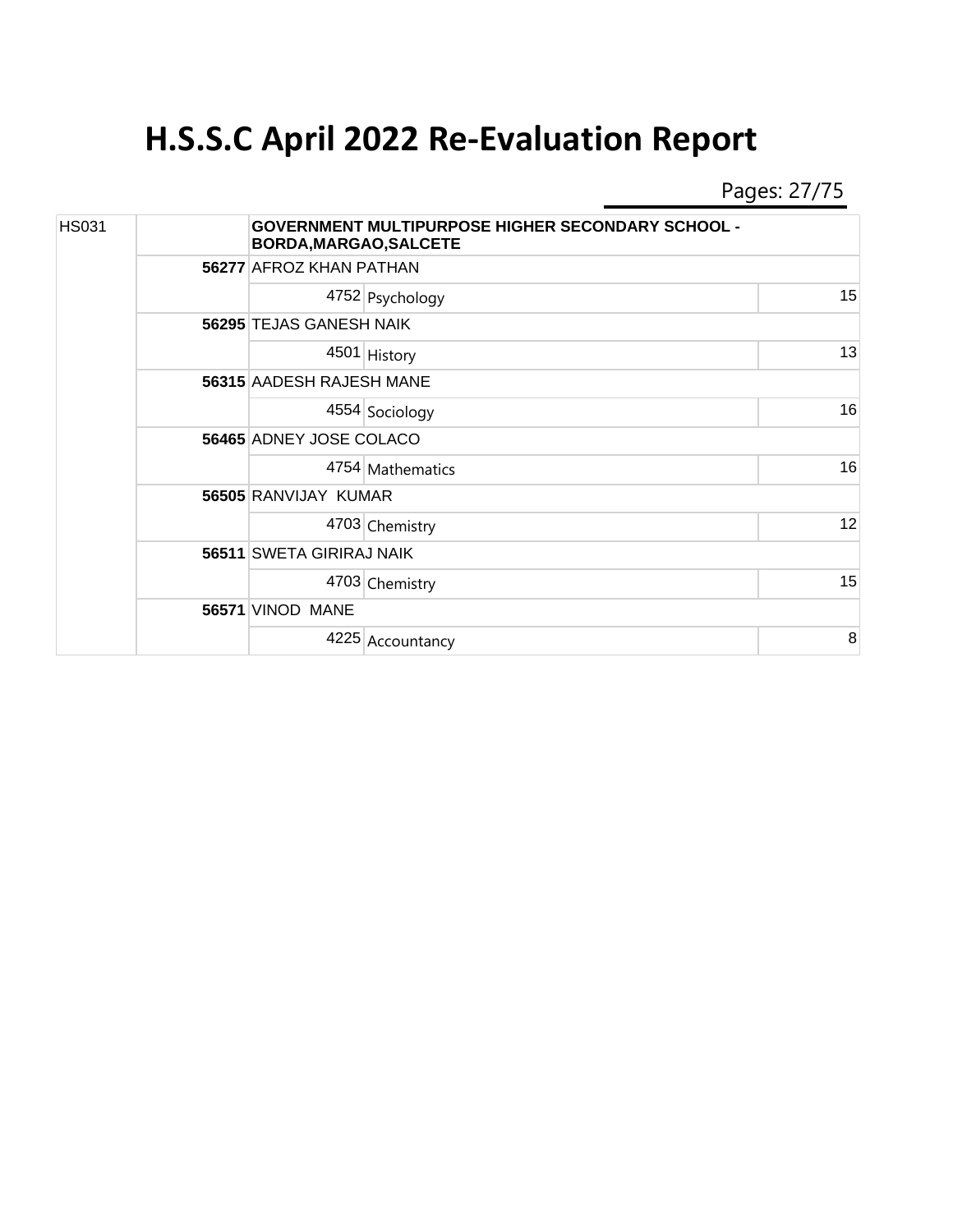Pages: 27/75

| <b>HS031</b> |  |                          | <b>GOVERNMENT MULTIPURPOSE HIGHER SECONDARY SCHOOL -</b><br>BORDA, MARGAO, SALCETE |    |  |  |  |
|--------------|--|--------------------------|------------------------------------------------------------------------------------|----|--|--|--|
|              |  |                          | 56277 AFROZ KHAN PATHAN                                                            |    |  |  |  |
|              |  |                          | 4752 Psychology                                                                    | 15 |  |  |  |
|              |  | 56295 TEJAS GANESH NAIK  |                                                                                    |    |  |  |  |
|              |  |                          | 4501 History                                                                       | 13 |  |  |  |
|              |  |                          | 56315 AADESH RAJESH MANE                                                           |    |  |  |  |
|              |  |                          | 4554 Sociology                                                                     | 16 |  |  |  |
|              |  | 56465 ADNEY JOSE COLACO  |                                                                                    |    |  |  |  |
|              |  |                          | 4754 Mathematics                                                                   | 16 |  |  |  |
|              |  | 56505 RANVIJAY KUMAR     |                                                                                    |    |  |  |  |
|              |  |                          | 4703 Chemistry                                                                     | 12 |  |  |  |
|              |  | 56511 SWETA GIRIRAJ NAIK |                                                                                    |    |  |  |  |
|              |  |                          | 4703 Chemistry                                                                     | 15 |  |  |  |
|              |  | 56571 VINOD MANE         |                                                                                    |    |  |  |  |
|              |  |                          | 4225 Accountancy                                                                   | 8  |  |  |  |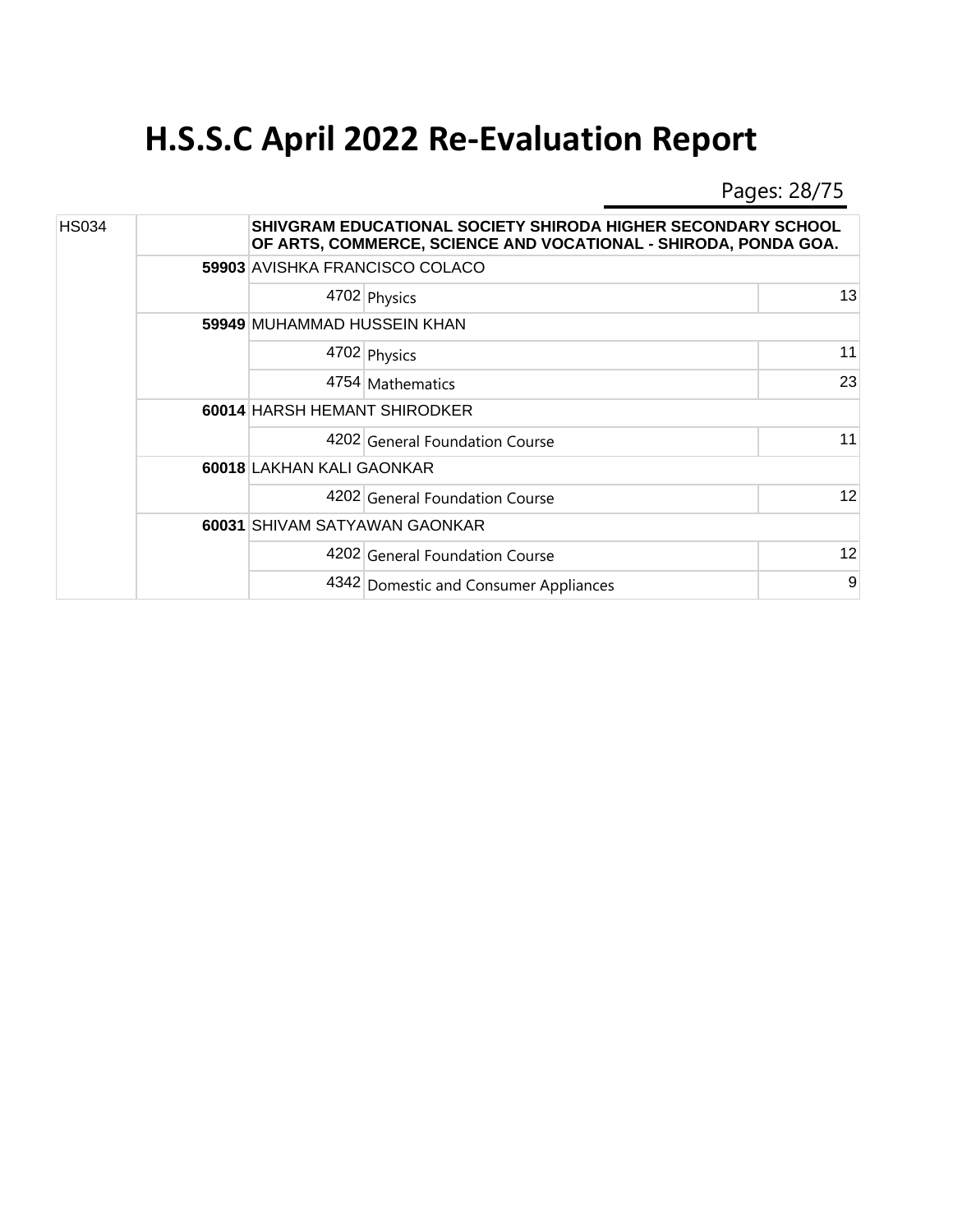Pages: 28/75

| <b>HS034</b> |  |                                     | SHIVGRAM EDUCATIONAL SOCIETY SHIRODA HIGHER SECONDARY SCHOOL<br>OF ARTS, COMMERCE, SCIENCE AND VOCATIONAL - SHIRODA, PONDA GOA. |    |  |  |
|--------------|--|-------------------------------------|---------------------------------------------------------------------------------------------------------------------------------|----|--|--|
|              |  |                                     | 59903 AVISHKA FRANCISCO COLACO                                                                                                  |    |  |  |
|              |  |                                     | 4702 Physics                                                                                                                    | 13 |  |  |
|              |  | 59949 MUHAMMAD HUSSEIN KHAN         |                                                                                                                                 |    |  |  |
|              |  |                                     | 4702 Physics                                                                                                                    | 11 |  |  |
|              |  |                                     | 4754 Mathematics                                                                                                                | 23 |  |  |
|              |  | <b>60014 HARSH HEMANT SHIRODKER</b> |                                                                                                                                 |    |  |  |
|              |  |                                     | 4202 General Foundation Course                                                                                                  | 11 |  |  |
|              |  | 60018 LAKHAN KALI GAONKAR           |                                                                                                                                 |    |  |  |
|              |  |                                     | 4202 General Foundation Course                                                                                                  | 12 |  |  |
|              |  | 60031 SHIVAM SATYAWAN GAONKAR       |                                                                                                                                 |    |  |  |
|              |  |                                     | 4202 General Foundation Course                                                                                                  | 12 |  |  |
|              |  |                                     | 4342 Domestic and Consumer Appliances                                                                                           | 9  |  |  |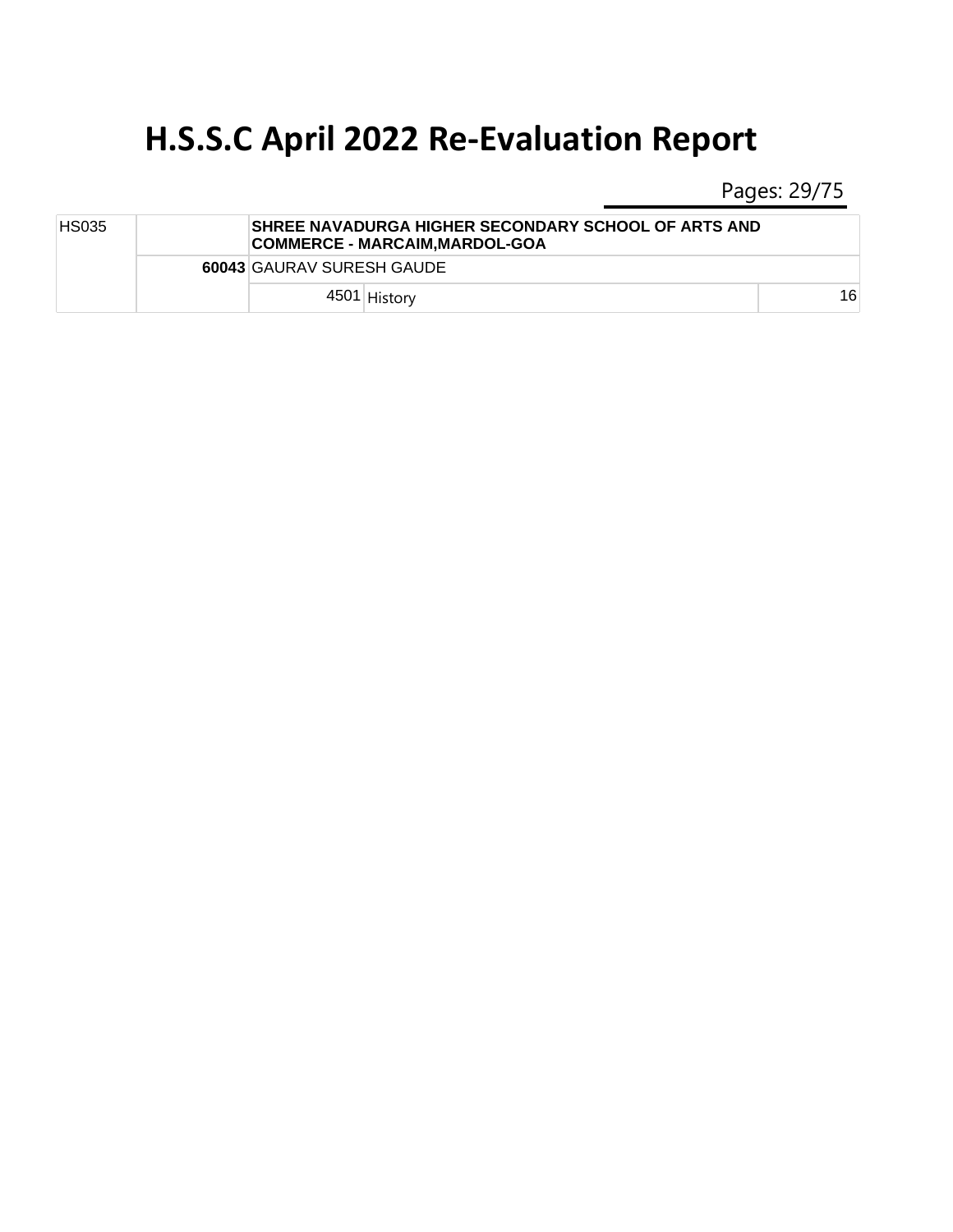Pages: 29/75

| <b>HS035</b> |  |                                  | SHREE NAVADURGA HIGHER SECONDARY SCHOOL OF ARTS AND<br> COMMERCE - MARCAIM.MARDOL-GOA |    |  |  |  |
|--------------|--|----------------------------------|---------------------------------------------------------------------------------------|----|--|--|--|
|              |  | <b>60043 GAURAV SURESH GAUDE</b> |                                                                                       |    |  |  |  |
|              |  |                                  | 4501 History                                                                          | 16 |  |  |  |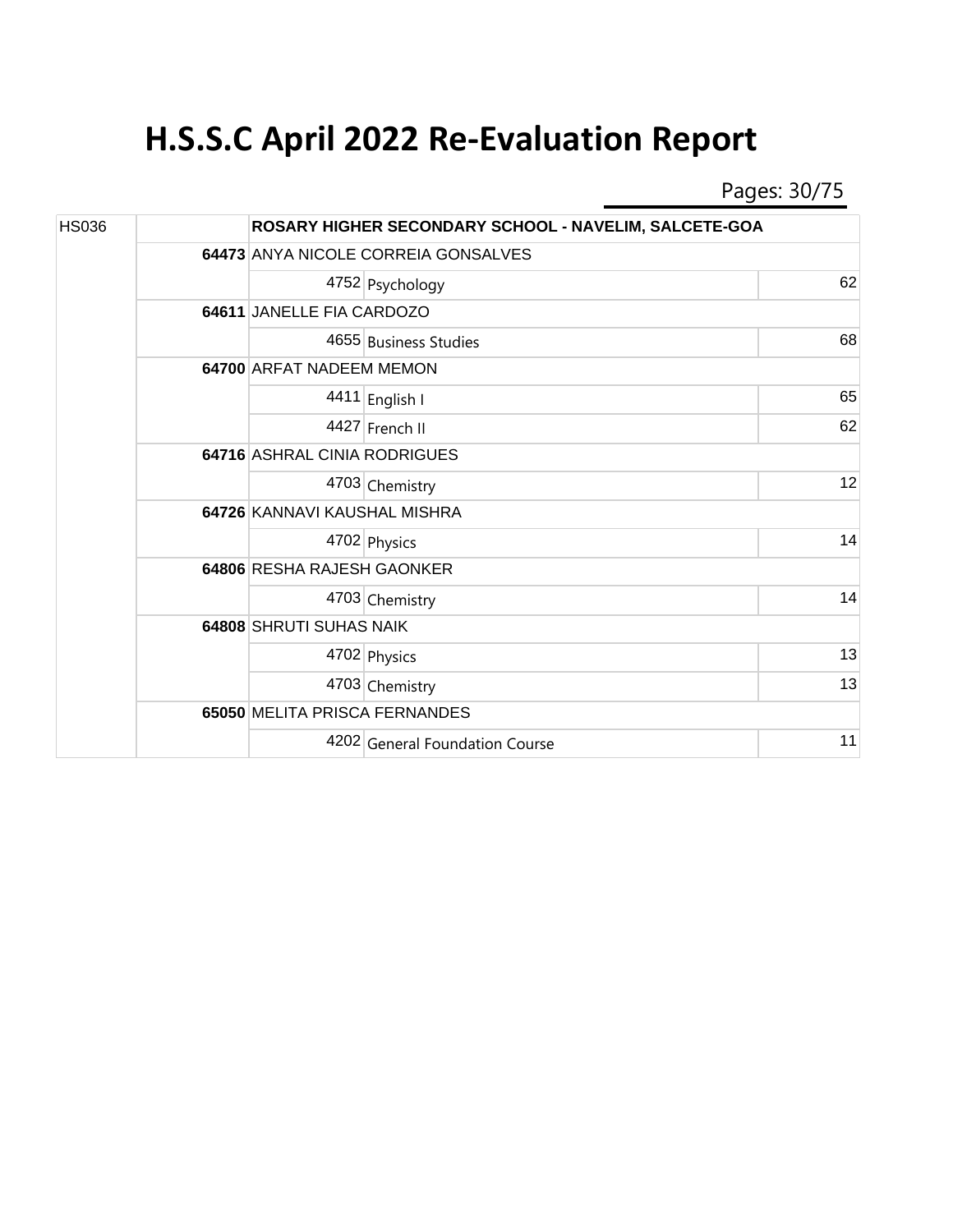Pages: 30/75

| <b>HS036</b> |  |                               | ROSARY HIGHER SECONDARY SCHOOL - NAVELIM, SALCETE-GOA |    |  |  |
|--------------|--|-------------------------------|-------------------------------------------------------|----|--|--|
|              |  |                               | 64473 ANYA NICOLE CORREIA GONSALVES                   |    |  |  |
|              |  |                               | 4752 Psychology                                       | 62 |  |  |
|              |  |                               | 64611 JANELLE FIA CARDOZO                             |    |  |  |
|              |  |                               | 4655 Business Studies                                 | 68 |  |  |
|              |  |                               | 64700 ARFAT NADEEM MEMON                              |    |  |  |
|              |  |                               | 4411 English I                                        | 65 |  |  |
|              |  |                               | 4427 French II                                        | 62 |  |  |
|              |  | 64716 ASHRAL CINIA RODRIGUES  |                                                       |    |  |  |
|              |  |                               | 4703 Chemistry                                        | 12 |  |  |
|              |  | 64726 KANNAVI KAUSHAL MISHRA  |                                                       |    |  |  |
|              |  |                               | 4702 Physics                                          | 14 |  |  |
|              |  | 64806 RESHA RAJESH GAONKER    |                                                       |    |  |  |
|              |  |                               | 4703 Chemistry                                        | 14 |  |  |
|              |  | 64808 SHRUTI SUHAS NAIK       |                                                       |    |  |  |
|              |  |                               | 4702 Physics                                          | 13 |  |  |
|              |  |                               | 4703 Chemistry                                        | 13 |  |  |
|              |  | 65050 MELITA PRISCA FERNANDES |                                                       |    |  |  |
|              |  |                               | 4202 General Foundation Course                        | 11 |  |  |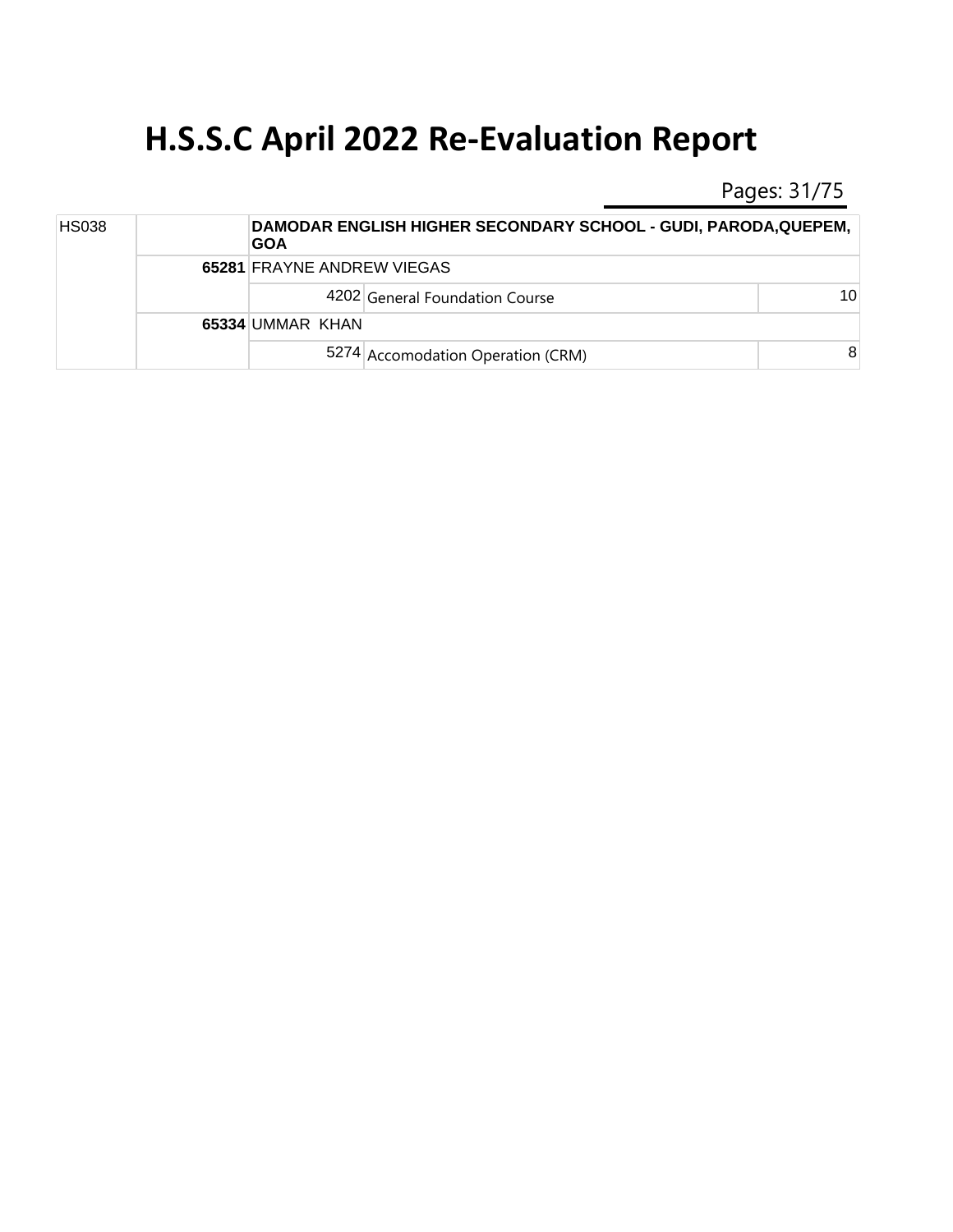Pages: 31/75

| <b>HS038</b> |  | <b>GOA</b>       | DAMODAR ENGLISH HIGHER SECONDARY SCHOOL - GUDI, PARODA, QUEPEM, |                 |  |  |  |
|--------------|--|------------------|-----------------------------------------------------------------|-----------------|--|--|--|
|              |  |                  | <b>65281 FRAYNE ANDREW VIEGAS</b>                               |                 |  |  |  |
|              |  |                  | 4202 General Foundation Course                                  | 10 <sup>1</sup> |  |  |  |
|              |  | 65334 UMMAR KHAN |                                                                 |                 |  |  |  |
|              |  |                  | 5274 Accomodation Operation (CRM)                               | 8               |  |  |  |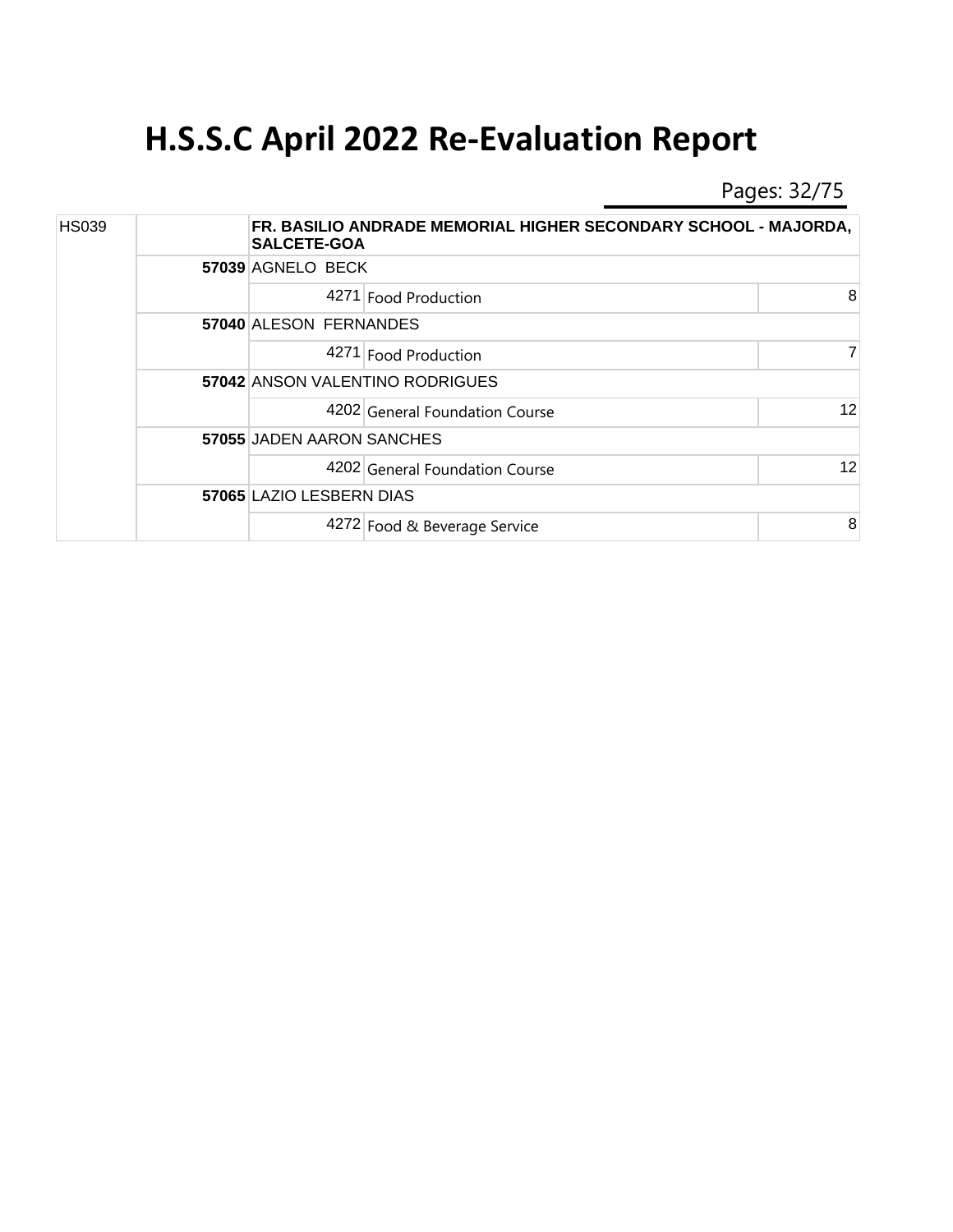Pages: 32/75

| <b>HS039</b> |  | <b>SALCETE-GOA</b>              | FR. BASILIO ANDRADE MEMORIAL HIGHER SECONDARY SCHOOL - MAJORDA, |                |  |  |  |
|--------------|--|---------------------------------|-----------------------------------------------------------------|----------------|--|--|--|
|              |  | 57039 AGNELO BECK               |                                                                 |                |  |  |  |
|              |  |                                 | 4271 Food Production                                            | 8              |  |  |  |
|              |  |                                 | 57040 ALESON FERNANDES                                          |                |  |  |  |
|              |  |                                 | 4271 Food Production                                            | $\overline{7}$ |  |  |  |
|              |  | 57042 ANSON VALENTINO RODRIGUES |                                                                 |                |  |  |  |
|              |  |                                 | 4202 General Foundation Course                                  | 12             |  |  |  |
|              |  | 57055 JADEN AARON SANCHES       |                                                                 |                |  |  |  |
|              |  |                                 | 4202 General Foundation Course                                  | 12             |  |  |  |
|              |  | 57065 LAZIO LESBERN DIAS        |                                                                 |                |  |  |  |
|              |  |                                 | 4272 Food & Beverage Service                                    | 8              |  |  |  |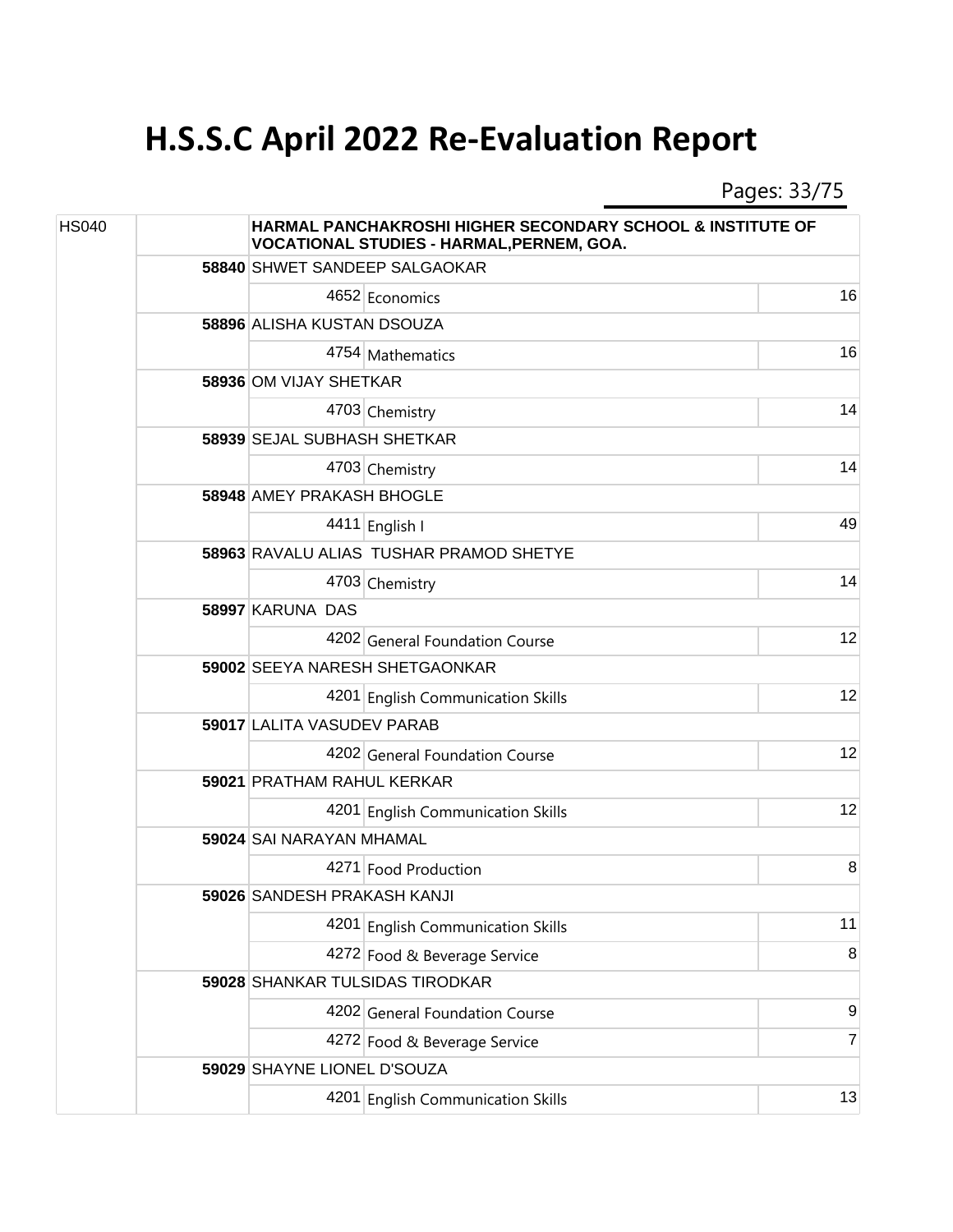Pages: 33/75

| <b>HS040</b> |  | <b>HARMAL PANCHAKROSHI HIGHER SECONDARY SCHOOL &amp; INSTITUTE OF</b><br>VOCATIONAL STUDIES - HARMAL, PERNEM, GOA. |                                         |       |  |
|--------------|--|--------------------------------------------------------------------------------------------------------------------|-----------------------------------------|-------|--|
|              |  |                                                                                                                    | 58840 SHWET SANDEEP SALGAOKAR           |       |  |
|              |  |                                                                                                                    | 4652 Economics                          | 16    |  |
|              |  | 58896 ALISHA KUSTAN DSOUZA                                                                                         |                                         |       |  |
|              |  |                                                                                                                    | 4754 Mathematics                        | 16    |  |
|              |  | 58936 OM VIJAY SHETKAR                                                                                             |                                         |       |  |
|              |  |                                                                                                                    | 4703 Chemistry                          | 14    |  |
|              |  |                                                                                                                    | 58939 SEJAL SUBHASH SHETKAR             |       |  |
|              |  |                                                                                                                    | 4703 Chemistry                          | 14    |  |
|              |  | <b>58948 AMEY PRAKASH BHOGLE</b>                                                                                   |                                         |       |  |
|              |  |                                                                                                                    | 4411 English I                          | 49    |  |
|              |  |                                                                                                                    | 58963 RAVALU ALIAS TUSHAR PRAMOD SHETYE |       |  |
|              |  |                                                                                                                    | 4703 Chemistry                          | 14    |  |
|              |  | 58997 KARUNA DAS                                                                                                   |                                         |       |  |
|              |  |                                                                                                                    | 4202 General Foundation Course          | 12    |  |
|              |  | 59002 SEEYA NARESH SHETGAONKAR                                                                                     |                                         |       |  |
|              |  |                                                                                                                    | 4201 English Communication Skills       | 12    |  |
|              |  | 59017 LALITA VASUDEV PARAB                                                                                         |                                         |       |  |
|              |  |                                                                                                                    | 4202 General Foundation Course          | 12    |  |
|              |  | 59021 PRATHAM RAHUL KERKAR                                                                                         |                                         |       |  |
|              |  |                                                                                                                    | 4201 English Communication Skills       | 12    |  |
|              |  | 59024 SAI NARAYAN MHAMAL                                                                                           |                                         |       |  |
|              |  |                                                                                                                    | 4271 Food Production                    | 8     |  |
|              |  | 59026 SANDESH PRAKASH KANJI                                                                                        |                                         |       |  |
|              |  |                                                                                                                    | 4201 English Communication Skills       | 11    |  |
|              |  |                                                                                                                    | 4272 Food & Beverage Service            | 8     |  |
|              |  |                                                                                                                    | 59028 SHANKAR TULSIDAS TIRODKAR         |       |  |
|              |  |                                                                                                                    | 4202 General Foundation Course          | $9\,$ |  |
|              |  |                                                                                                                    | 4272 Food & Beverage Service            | 7     |  |
|              |  | 59029 SHAYNE LIONEL D'SOUZA                                                                                        |                                         |       |  |
|              |  |                                                                                                                    | 4201 English Communication Skills       | 13    |  |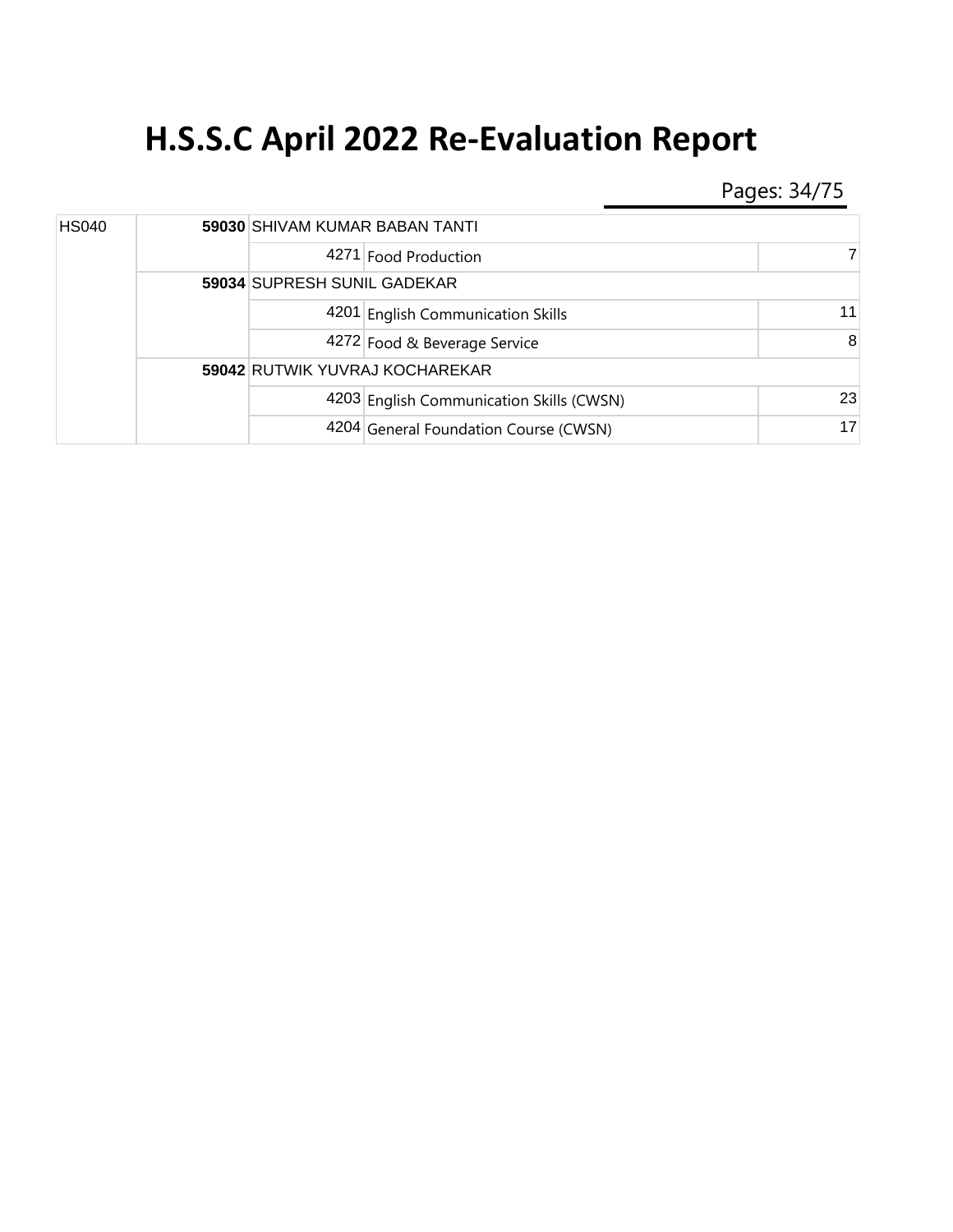Pages: 34/75

| <b>HS040</b> |  | 59030 SHIVAM KUMAR BABAN TANTI |                                          |    |  |
|--------------|--|--------------------------------|------------------------------------------|----|--|
|              |  |                                | 4271 Food Production                     | 7  |  |
|              |  |                                | 59034 SUPRESH SUNIL GADEKAR              |    |  |
|              |  |                                | 4201 English Communication Skills        | 11 |  |
|              |  |                                | 4272 Food & Beverage Service             | 8  |  |
|              |  |                                | 59042 RUTWIK YUVRAJ KOCHAREKAR           |    |  |
|              |  |                                | 4203 English Communication Skills (CWSN) | 23 |  |
|              |  |                                | 4204 General Foundation Course (CWSN)    | 17 |  |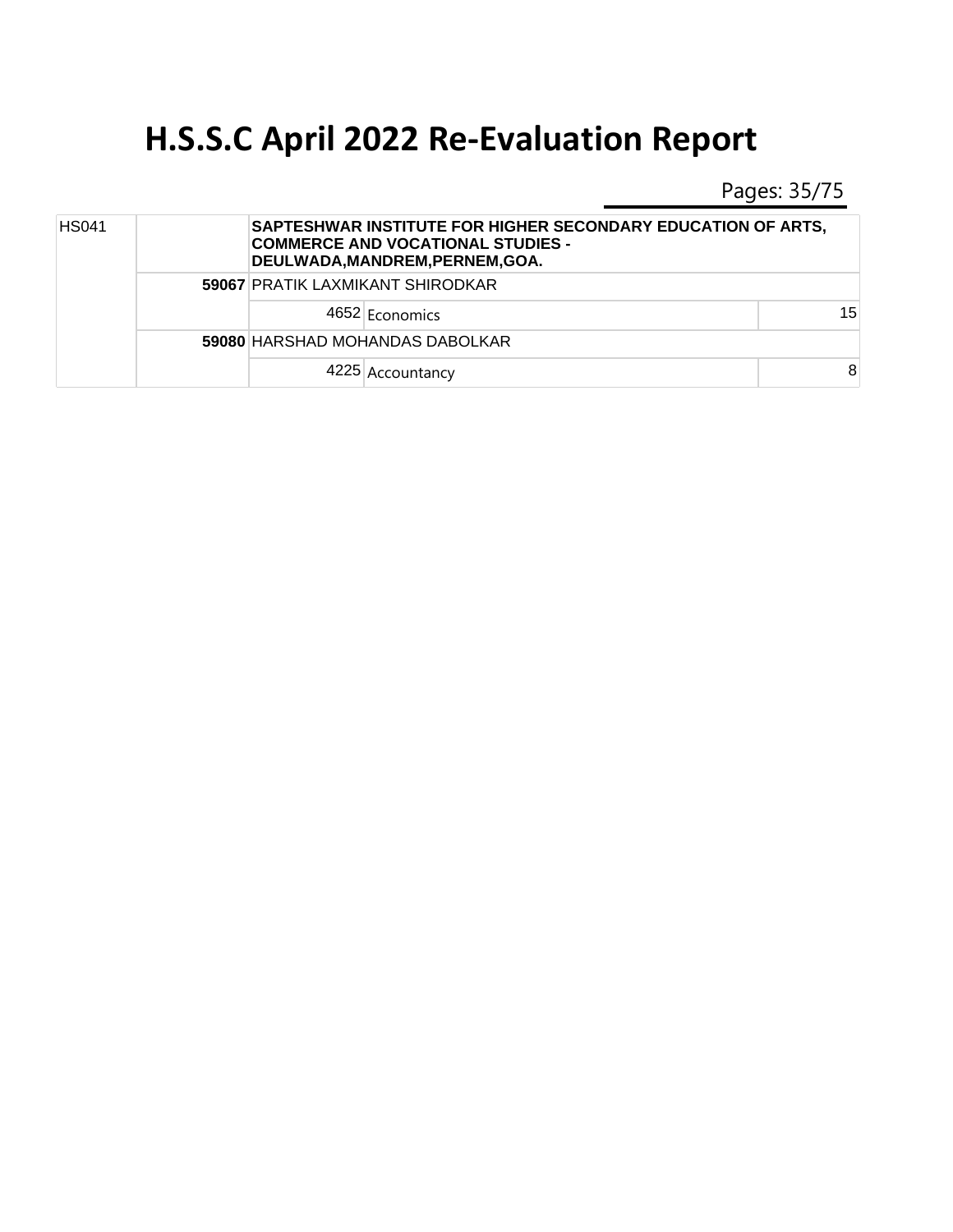Pages: 35/75

| <b>HS041</b> |  |                                  | SAPTESHWAR INSTITUTE FOR HIGHER SECONDARY EDUCATION OF ARTS.<br><b>COMMERCE AND VOCATIONAL STUDIES -</b><br>DEULWADA, MANDREM, PERNEM, GOA. |    |
|--------------|--|----------------------------------|---------------------------------------------------------------------------------------------------------------------------------------------|----|
|              |  | 59067 PRATIK LAXMIKANT SHIRODKAR |                                                                                                                                             |    |
|              |  |                                  | 4652 Economics                                                                                                                              | 15 |
|              |  | 59080 HARSHAD MOHANDAS DABOLKAR  |                                                                                                                                             |    |
|              |  |                                  | 4225 Accountancy                                                                                                                            | 8  |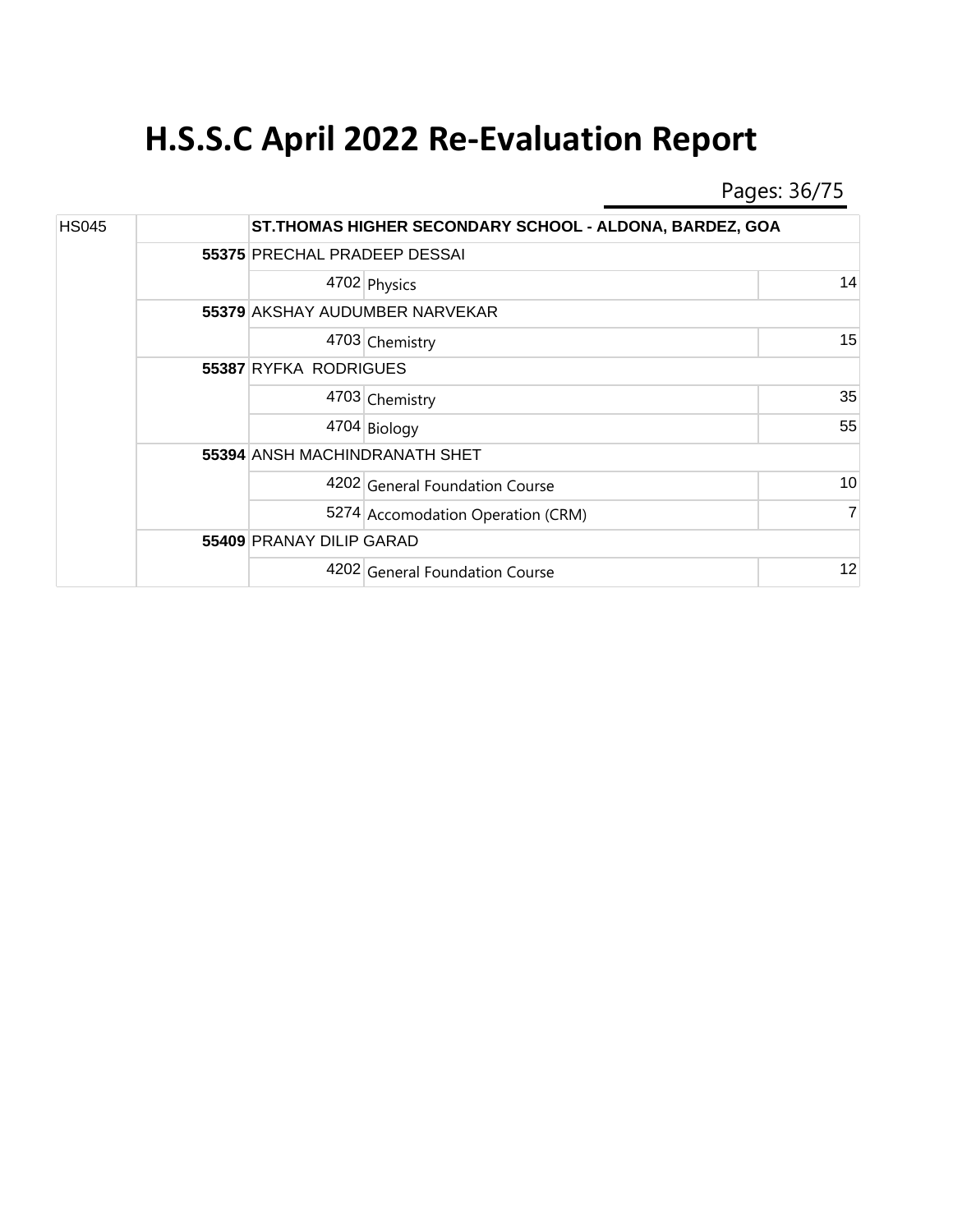Pages: 36/75

| <b>HS045</b> |  |                               | ST. THOMAS HIGHER SECONDARY SCHOOL - ALDONA, BARDEZ, GOA |                |  |  |
|--------------|--|-------------------------------|----------------------------------------------------------|----------------|--|--|
|              |  |                               | 55375 PRECHAL PRADEEP DESSAI                             |                |  |  |
|              |  |                               | 4702 Physics                                             | 14             |  |  |
|              |  |                               | <b>55379 AKSHAY AUDUMBER NARVEKAR</b>                    |                |  |  |
|              |  |                               | 4703 Chemistry                                           | 15             |  |  |
|              |  | 55387 RYFKA RODRIGUES         |                                                          |                |  |  |
|              |  |                               | 4703 Chemistry                                           | 35             |  |  |
|              |  |                               | 4704 Biology                                             | 55             |  |  |
|              |  | 55394 ANSH MACHINDRANATH SHET |                                                          |                |  |  |
|              |  |                               | 4202 General Foundation Course                           | 10             |  |  |
|              |  |                               | 5274 Accomodation Operation (CRM)                        | $\overline{7}$ |  |  |
|              |  |                               | 55409 PRANAY DILIP GARAD                                 |                |  |  |
|              |  |                               | 4202 General Foundation Course                           | 12             |  |  |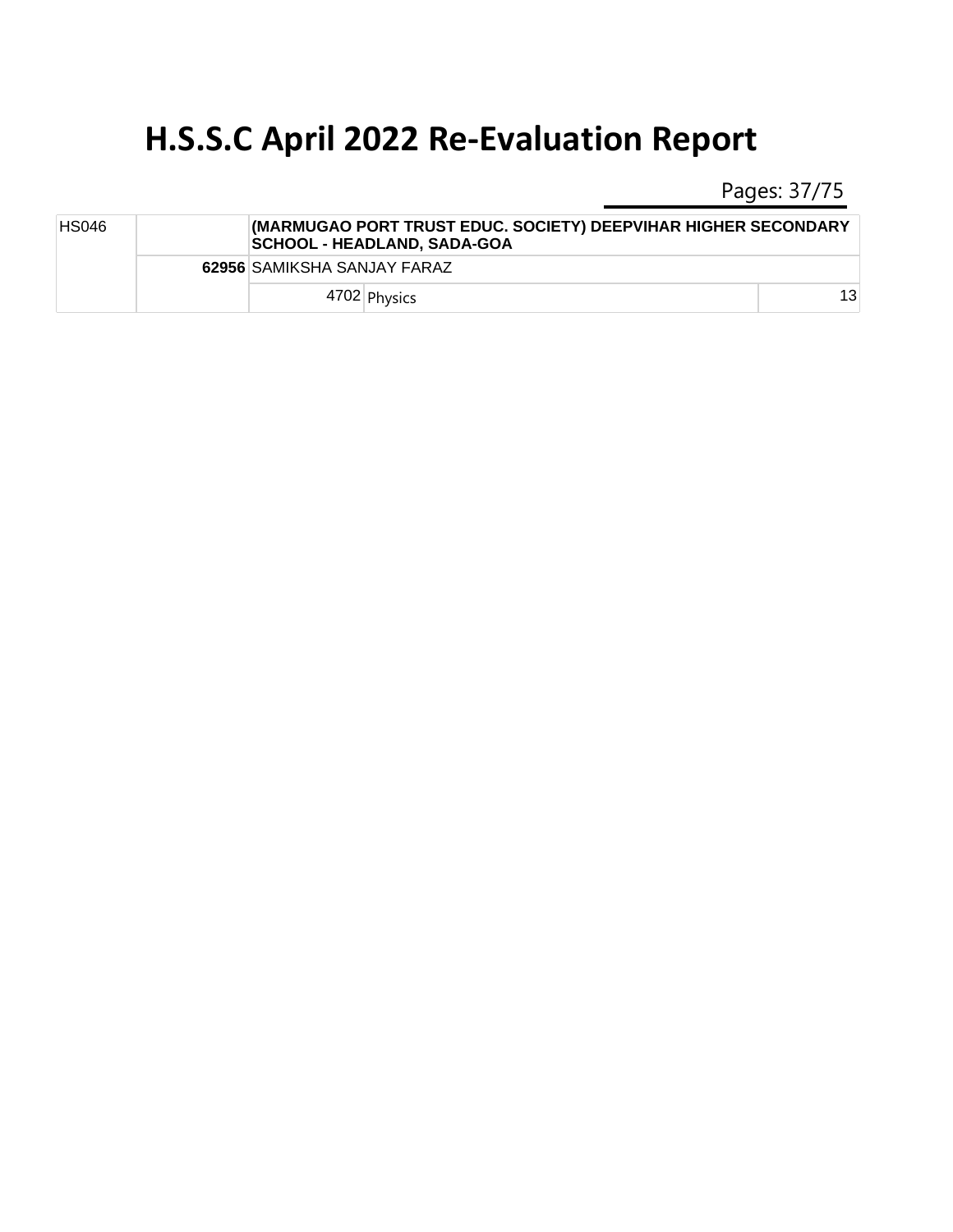Pages: 37/75

| <b>HS046</b> |  | (MARMUGAO PORT TRUST EDUC. SOCIETY) DEEPVIHAR HIGHER SECONDARY<br><b>SCHOOL - HEADLAND, SADA-GOA</b> |    |
|--------------|--|------------------------------------------------------------------------------------------------------|----|
|              |  | 62956 SAMIKSHA SANJAY FARAZ                                                                          |    |
|              |  | 4702 Physics                                                                                         | 13 |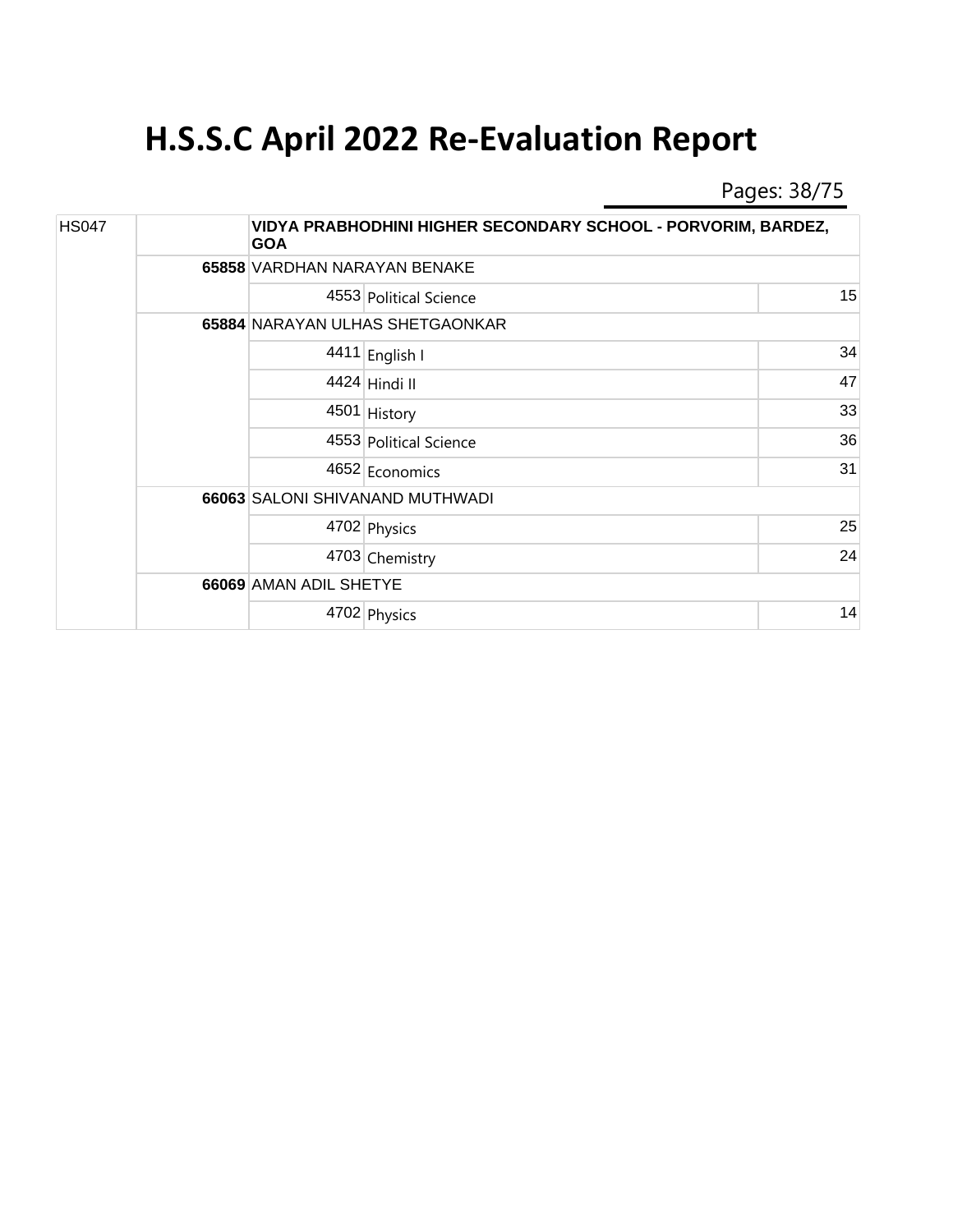Pages: 38/75

| <b>HS047</b> |  | <b>GOA</b>             | VIDYA PRABHODHINI HIGHER SECONDARY SCHOOL - PORVORIM, BARDEZ, |    |  |  |  |
|--------------|--|------------------------|---------------------------------------------------------------|----|--|--|--|
|              |  |                        | 65858 VARDHAN NARAYAN BENAKE                                  |    |  |  |  |
|              |  |                        | 4553 Political Science                                        | 15 |  |  |  |
|              |  |                        | 65884 NARAYAN ULHAS SHETGAONKAR                               |    |  |  |  |
|              |  |                        | 4411 English I                                                | 34 |  |  |  |
|              |  |                        | 4424 Hindi II                                                 | 47 |  |  |  |
|              |  |                        | 4501 History                                                  | 33 |  |  |  |
|              |  |                        | 4553 Political Science                                        | 36 |  |  |  |
|              |  |                        | 4652 Economics                                                | 31 |  |  |  |
|              |  |                        | 66063 SALONI SHIVANAND MUTHWADI                               |    |  |  |  |
|              |  |                        | 4702 Physics                                                  | 25 |  |  |  |
|              |  |                        | 4703 Chemistry                                                | 24 |  |  |  |
|              |  | 66069 AMAN ADIL SHETYE |                                                               |    |  |  |  |
|              |  |                        | 4702 Physics                                                  | 14 |  |  |  |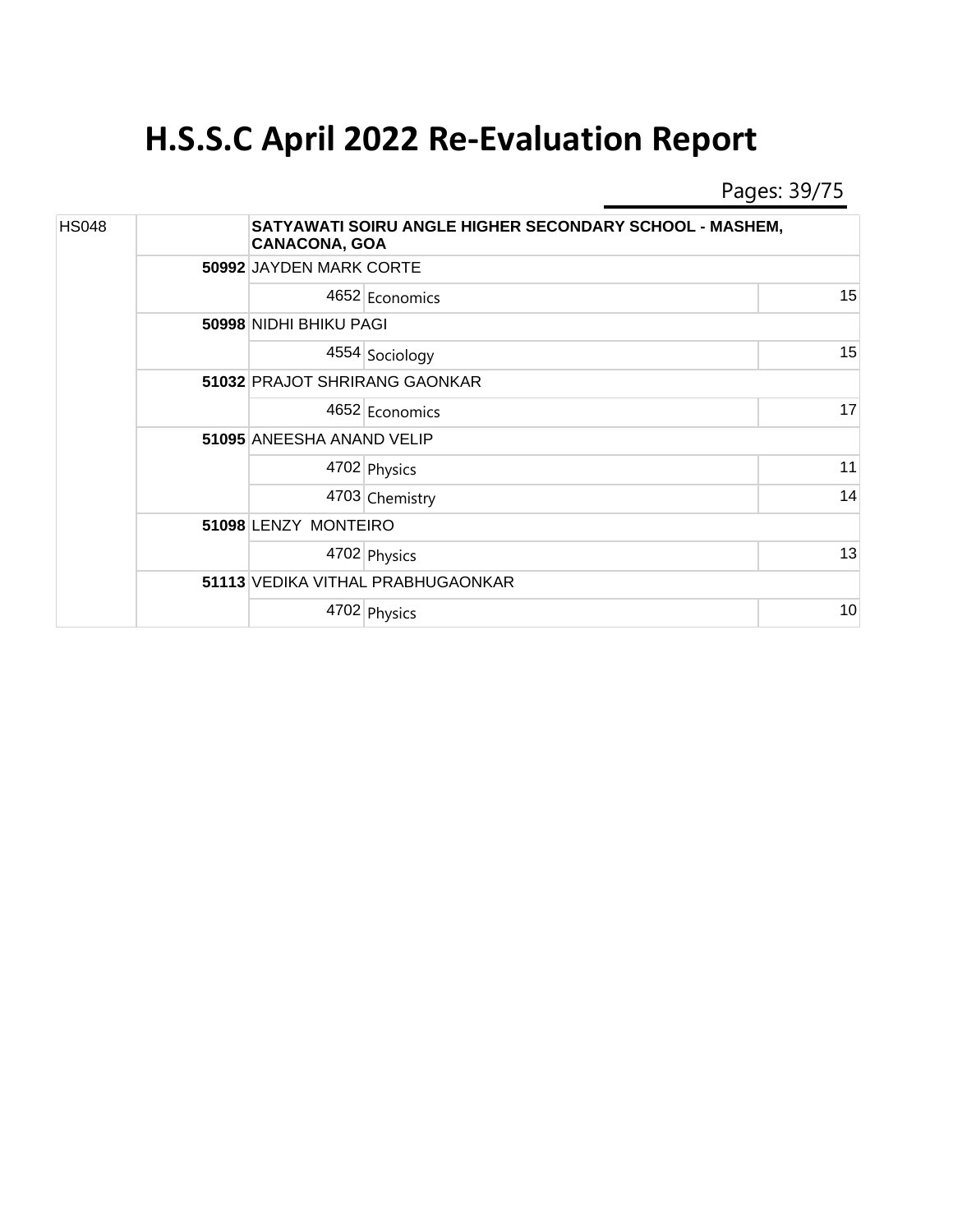Pages: 39/75

| <b>HS048</b> |  | <b>CANACONA, GOA</b>      | SATYAWATI SOIRU ANGLE HIGHER SECONDARY SCHOOL - MASHEM, |    |  |
|--------------|--|---------------------------|---------------------------------------------------------|----|--|
|              |  |                           | 50992 JAYDEN MARK CORTE                                 |    |  |
|              |  |                           | 4652 Economics                                          | 15 |  |
|              |  | 50998 NIDHI BHIKU PAGI    |                                                         |    |  |
|              |  |                           | 4554 Sociology                                          | 15 |  |
|              |  |                           | 51032 PRAJOT SHRIRANG GAONKAR                           |    |  |
|              |  |                           | 4652 Economics                                          | 17 |  |
|              |  | 51095 ANEESHA ANAND VELIP |                                                         |    |  |
|              |  |                           | 4702 Physics                                            | 11 |  |
|              |  |                           | 4703 Chemistry                                          | 14 |  |
|              |  | 51098 LENZY MONTEIRO      |                                                         |    |  |
|              |  |                           | 4702 Physics                                            | 13 |  |
|              |  |                           | 51113 VEDIKA VITHAL PRABHUGAONKAR                       |    |  |
|              |  |                           | 4702 Physics                                            | 10 |  |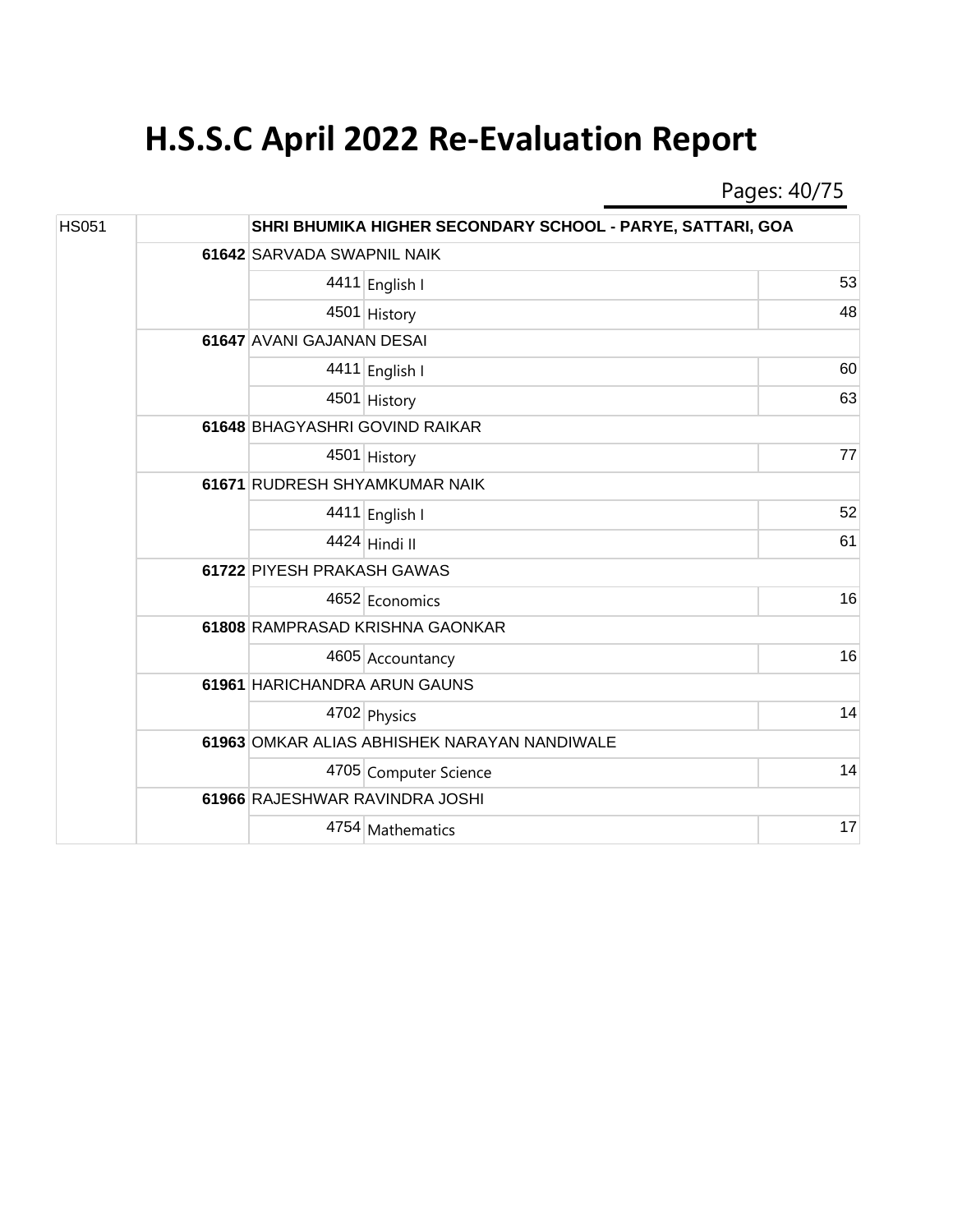Pages: 40/75

| <b>HS051</b> |  |                               | SHRI BHUMIKA HIGHER SECONDARY SCHOOL - PARYE, SATTARI, GOA |    |  |
|--------------|--|-------------------------------|------------------------------------------------------------|----|--|
|              |  |                               | 61642 SARVADA SWAPNIL NAIK                                 |    |  |
|              |  |                               | 4411 English I                                             | 53 |  |
|              |  |                               | 4501 History                                               | 48 |  |
|              |  | 61647 AVANI GAJANAN DESAI     |                                                            |    |  |
|              |  |                               | 4411 English I                                             | 60 |  |
|              |  |                               | 4501 History                                               | 63 |  |
|              |  |                               | 61648 BHAGYASHRI GOVIND RAIKAR                             |    |  |
|              |  |                               | 4501 History                                               | 77 |  |
|              |  | 61671 RUDRESH SHYAMKUMAR NAIK |                                                            |    |  |
|              |  |                               | 4411 English I                                             | 52 |  |
|              |  |                               | 4424 Hindi II                                              | 61 |  |
|              |  | 61722 PIYESH PRAKASH GAWAS    |                                                            |    |  |
|              |  |                               | 4652 Economics                                             | 16 |  |
|              |  |                               | 61808 RAMPRASAD KRISHNA GAONKAR                            |    |  |
|              |  |                               | 4605 Accountancy                                           | 16 |  |
|              |  | 61961 HARICHANDRA ARUN GAUNS  |                                                            |    |  |
|              |  |                               | 4702 Physics                                               | 14 |  |
|              |  |                               | 61963 OMKAR ALIAS ABHISHEK NARAYAN NANDIWALE               |    |  |
|              |  |                               | 4705 Computer Science                                      | 14 |  |
|              |  |                               | 61966 RAJESHWAR RAVINDRA JOSHI                             |    |  |
|              |  |                               | 4754 Mathematics                                           | 17 |  |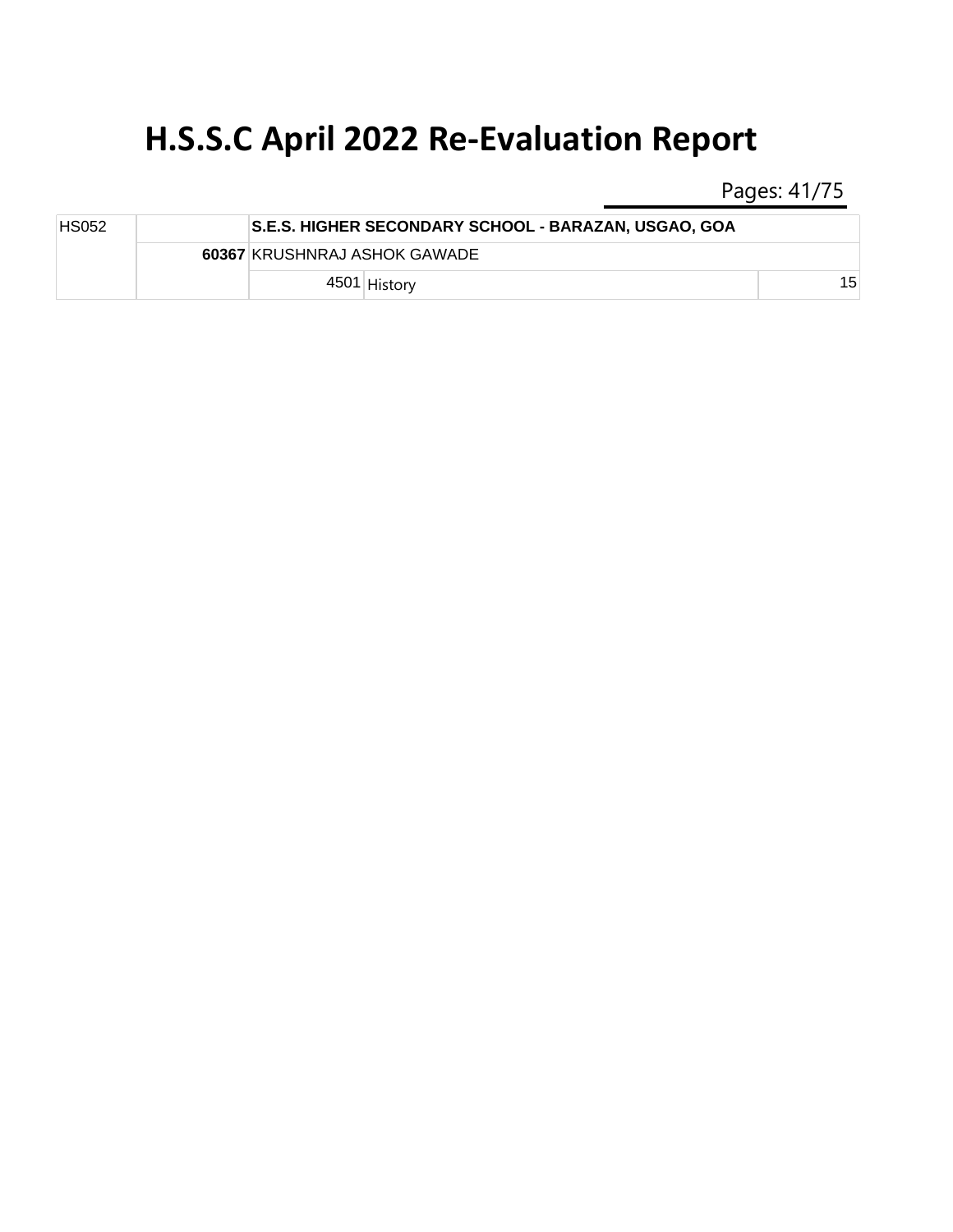Pages: 41/75

| <b>HS052</b> |  | <b>S.E.S. HIGHER SECONDARY SCHOOL - BARAZAN, USGAO, GOA</b> |    |
|--------------|--|-------------------------------------------------------------|----|
|              |  | 60367 KRUSHNRAJ ASHOK GAWADE                                |    |
|              |  | 4501 History                                                | 15 |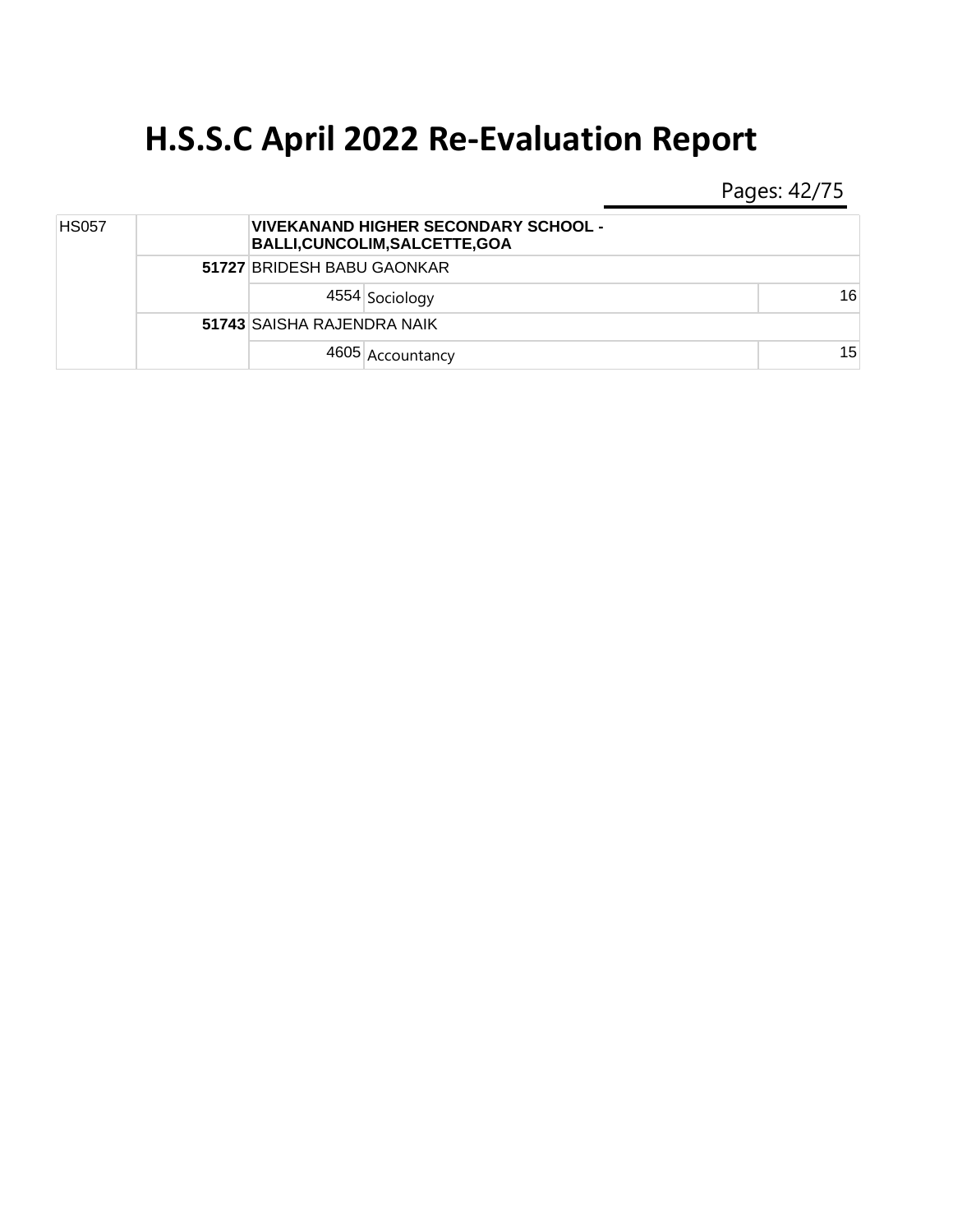Pages: 42/75

| <b>HS057</b> |  |                            | <b>VIVEKANAND HIGHER SECONDARY SCHOOL -</b><br><b>BALLI, CUNCOLIM, SALCETTE, GOA</b> |    |
|--------------|--|----------------------------|--------------------------------------------------------------------------------------|----|
|              |  | 51727 BRIDESH BABU GAONKAR |                                                                                      |    |
|              |  |                            | 4554 Sociology                                                                       | 16 |
|              |  | 51743 SAISHA RAJENDRA NAIK |                                                                                      |    |
|              |  |                            | 4605 Accountancy                                                                     | 15 |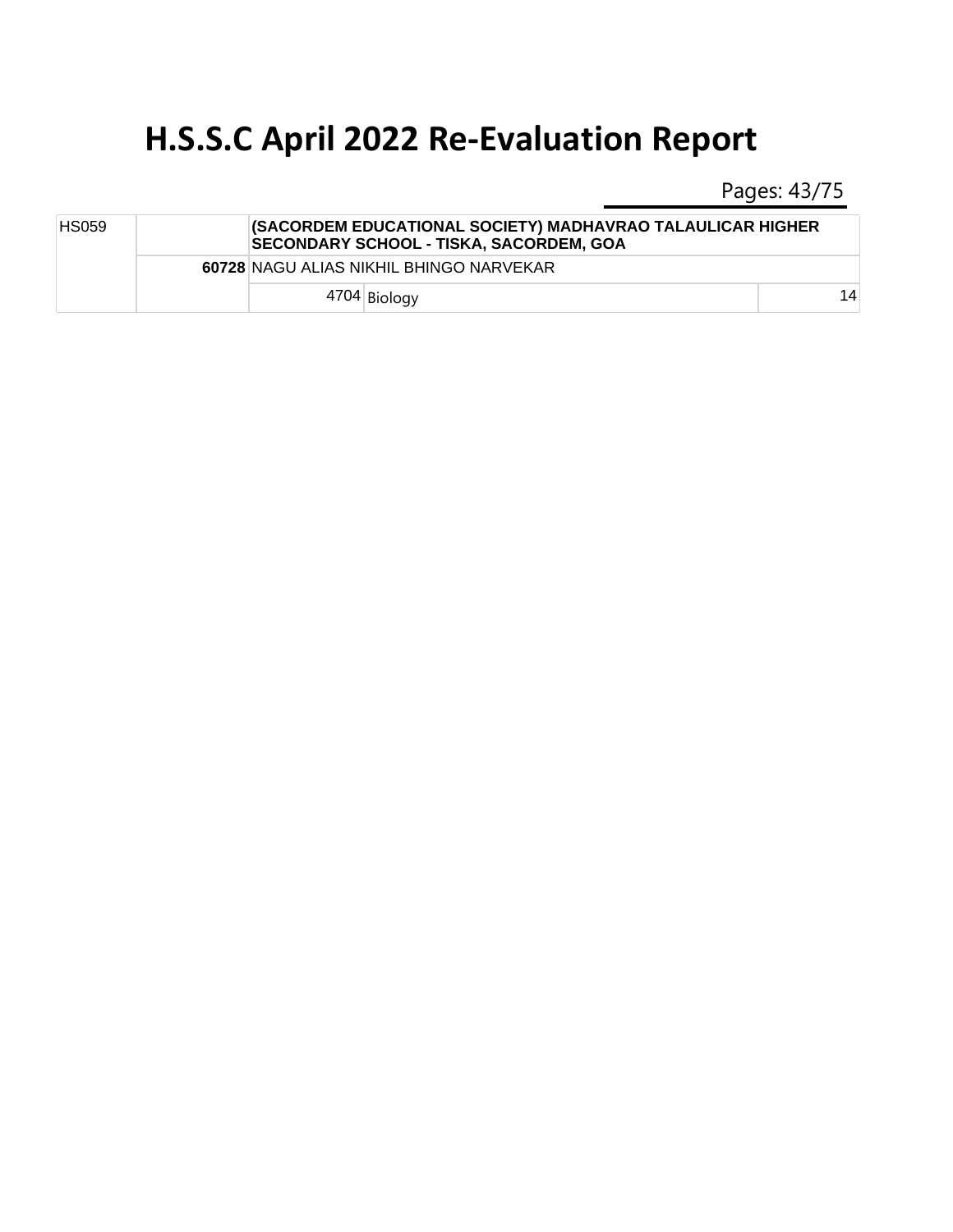Pages: 43/75

| <b>HS059</b> |  | (SACORDEM EDUCATIONAL SOCIETY) MADHAVRAO TALAULICAR HIGHER<br><b>SECONDARY SCHOOL - TISKA, SACORDEM, GOA</b> |    |
|--------------|--|--------------------------------------------------------------------------------------------------------------|----|
|              |  | 60728 NAGU ALIAS NIKHIL BHINGO NARVEKAR                                                                      |    |
|              |  | 4704 Biology                                                                                                 | 14 |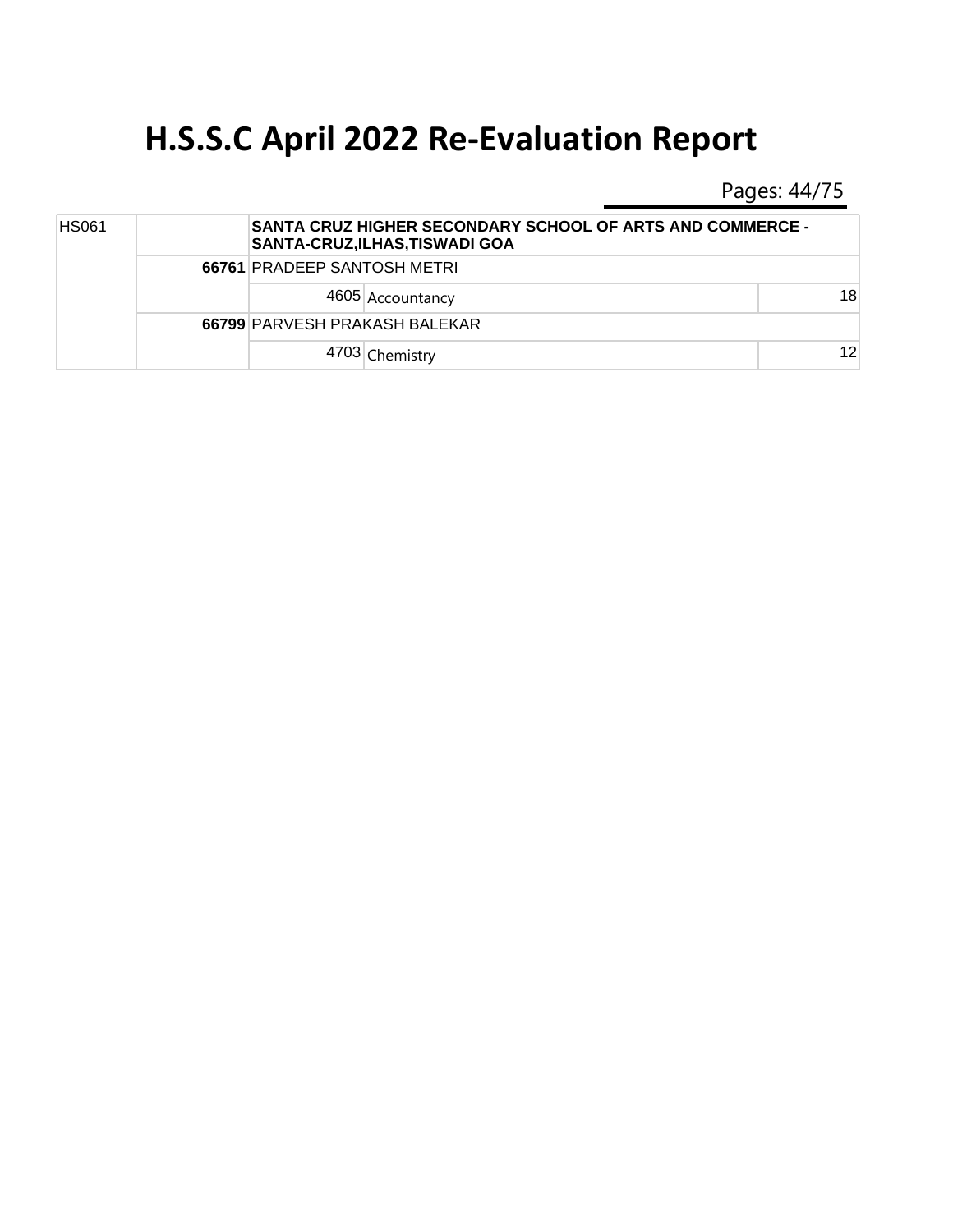Pages: 44/75

| <b>HS061</b> |  | <b>SANTA CRUZ HIGHER SECONDARY SCHOOL OF ARTS AND COMMERCE -</b><br>SANTA-CRUZ,ILHAS,TISWADI GOA |    |  |
|--------------|--|--------------------------------------------------------------------------------------------------|----|--|
|              |  | <b>66761 PRADEEP SANTOSH METRI</b>                                                               |    |  |
|              |  | 4605 Accountancy                                                                                 | 18 |  |
|              |  | 66799 PARVESH PRAKASH BALEKAR                                                                    |    |  |
|              |  | 4703 Chemistry                                                                                   | 12 |  |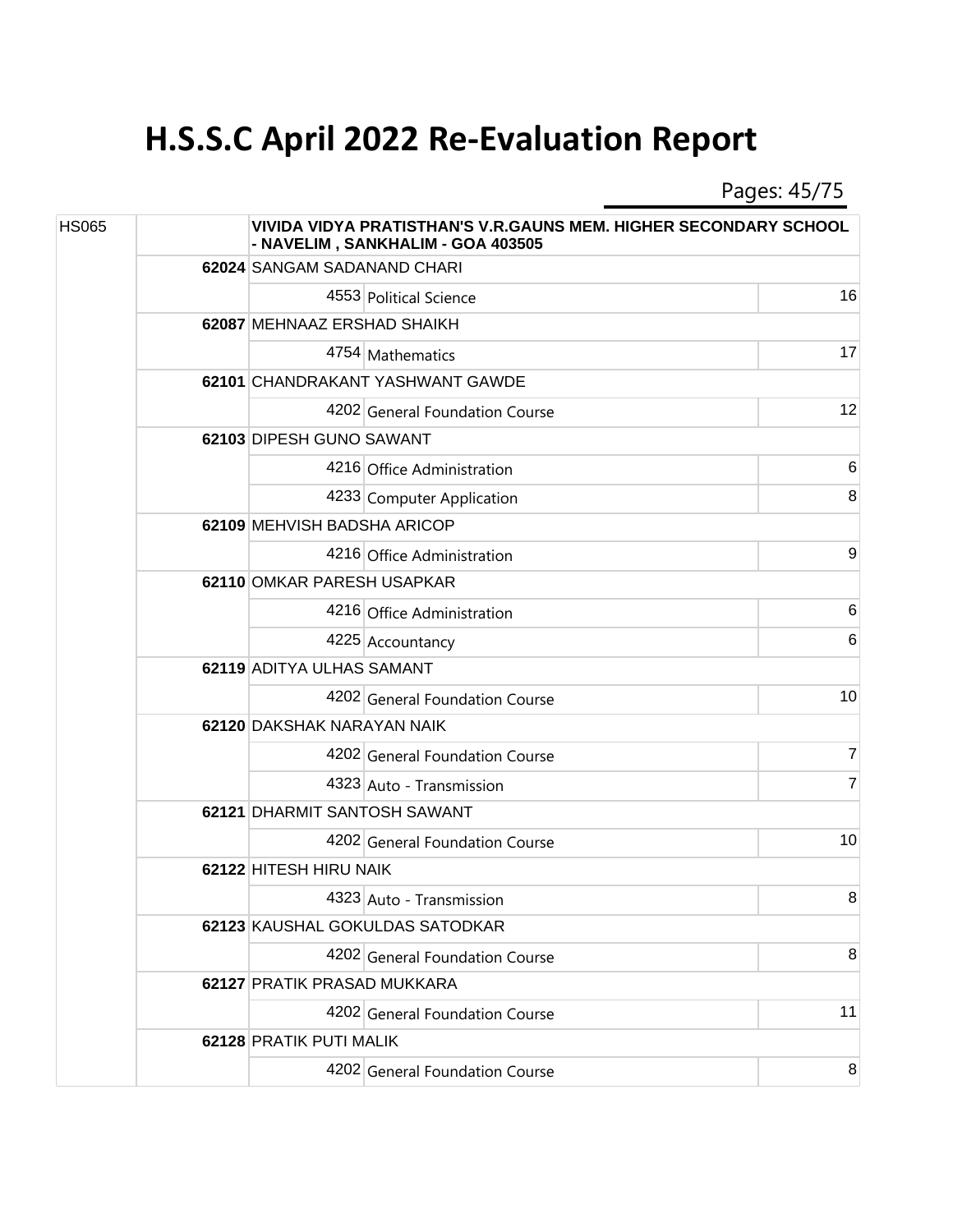Pages: 45/75

| <b>HS065</b> |  |                              | VIVIDA VIDYA PRATISTHAN'S V.R.GAUNS MEM. HIGHER SECONDARY SCHOOL<br>- NAVELIM, SANKHALIM - GOA 403505 |                 |  |
|--------------|--|------------------------------|-------------------------------------------------------------------------------------------------------|-----------------|--|
|              |  | 62024 SANGAM SADANAND CHARI  |                                                                                                       |                 |  |
|              |  |                              | 4553 Political Science                                                                                | 16              |  |
|              |  | 62087 MEHNAAZ ERSHAD SHAIKH  |                                                                                                       |                 |  |
|              |  |                              | 4754 Mathematics                                                                                      | 17              |  |
|              |  |                              | 62101 CHANDRAKANT YASHWANT GAWDE                                                                      |                 |  |
|              |  |                              | 4202 General Foundation Course                                                                        | 12              |  |
|              |  | 62103 DIPESH GUNO SAWANT     |                                                                                                       |                 |  |
|              |  |                              | 4216 Office Administration                                                                            | $6\phantom{1}6$ |  |
|              |  |                              | 4233 Computer Application                                                                             | 8               |  |
|              |  | 62109 MEHVISH BADSHA ARICOP  |                                                                                                       |                 |  |
|              |  |                              | 4216 Office Administration                                                                            | 9               |  |
|              |  |                              | 62110 OMKAR PARESH USAPKAR                                                                            |                 |  |
|              |  |                              | 4216 Office Administration                                                                            | 6               |  |
|              |  |                              | 4225 Accountancy                                                                                      | 6               |  |
|              |  | 62119 ADITYA ULHAS SAMANT    |                                                                                                       |                 |  |
|              |  |                              | 4202 General Foundation Course                                                                        | 10              |  |
|              |  | 62120 DAKSHAK NARAYAN NAIK   |                                                                                                       |                 |  |
|              |  |                              | 4202 General Foundation Course                                                                        | 7               |  |
|              |  |                              | 4323 Auto - Transmission                                                                              | 7               |  |
|              |  | 62121 DHARMIT SANTOSH SAWANT |                                                                                                       |                 |  |
|              |  |                              | 4202 General Foundation Course                                                                        | 10              |  |
|              |  | 62122 HITESH HIRU NAIK       |                                                                                                       |                 |  |
|              |  |                              | 4323 Auto - Transmission                                                                              | 8               |  |
|              |  |                              | 62123 KAUSHAL GOKULDAS SATODKAR                                                                       |                 |  |
|              |  |                              | 4202 General Foundation Course                                                                        | 8               |  |
|              |  | 62127 PRATIK PRASAD MUKKARA  |                                                                                                       |                 |  |
|              |  |                              | 4202 General Foundation Course                                                                        | 11              |  |
|              |  | 62128 PRATIK PUTI MALIK      |                                                                                                       |                 |  |
|              |  |                              | 4202 General Foundation Course                                                                        | 8               |  |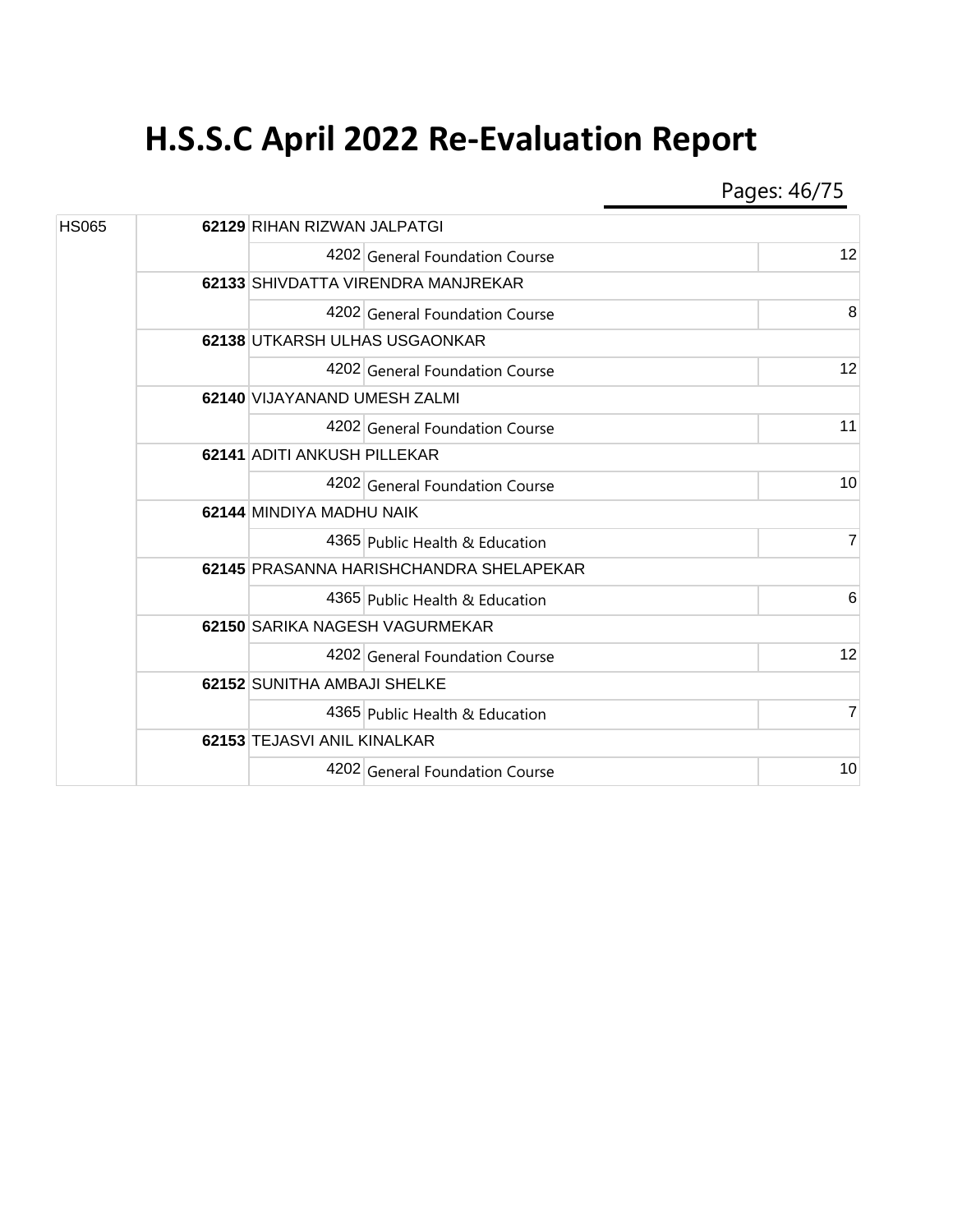Pages: 46/75

| <b>HS065</b> |  | 62129 RIHAN RIZWAN JALPATGI             |                |  |
|--------------|--|-----------------------------------------|----------------|--|
|              |  | 4202 General Foundation Course          | 12             |  |
|              |  | 62133 SHIVDATTA VIRENDRA MANJREKAR      |                |  |
|              |  | 4202 General Foundation Course          | 8              |  |
|              |  | 62138 UTKARSH ULHAS USGAONKAR           |                |  |
|              |  | 4202 General Foundation Course          | 12             |  |
|              |  | 62140 VIJAYANAND UMESH ZALMI            |                |  |
|              |  | 4202 General Foundation Course          | 11             |  |
|              |  | 62141 ADITI ANKUSH PILLEKAR             |                |  |
|              |  | 4202 General Foundation Course          | 10             |  |
|              |  | 62144 MINDIYA MADHU NAIK                |                |  |
|              |  | 4365 Public Health & Education          | $\overline{7}$ |  |
|              |  | 62145 PRASANNA HARISHCHANDRA SHELAPEKAR |                |  |
|              |  | 4365 Public Health & Education          | 6              |  |
|              |  | 62150 SARIKA NAGESH VAGURMEKAR          |                |  |
|              |  | 4202 General Foundation Course          | 12             |  |
|              |  | 62152 SUNITHA AMBAJI SHELKE             |                |  |
|              |  | 4365 Public Health & Education          | 7              |  |
|              |  | 62153 TEJASVI ANIL KINALKAR             |                |  |
|              |  | 4202 General Foundation Course          | 10             |  |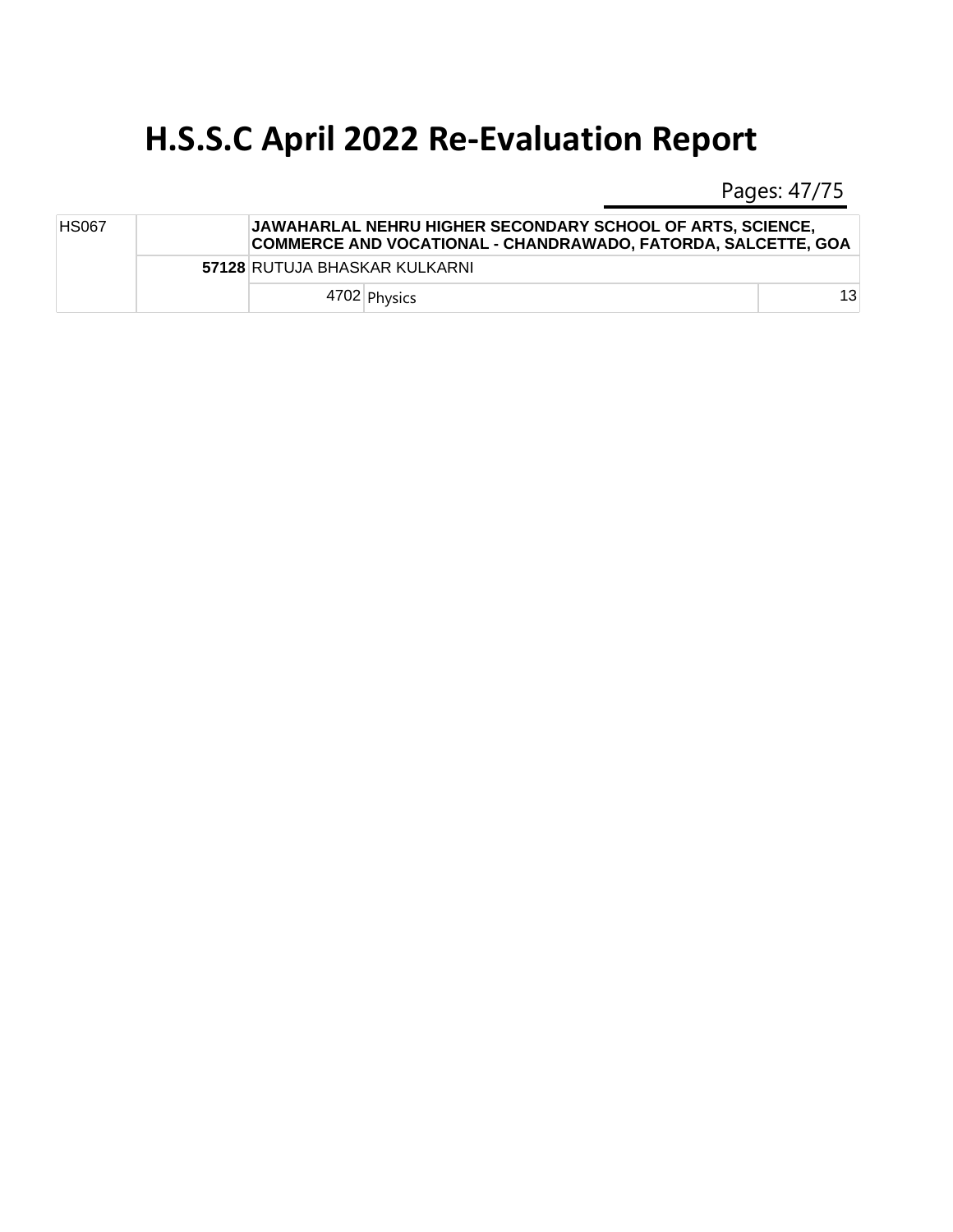Pages: 47/75

| <b>HS067</b> |  | <b>JAWAHARLAL NEHRU HIGHER SECONDARY SCHOOL OF ARTS. SCIENCE.</b><br>COMMERCE AND VOCATIONAL - CHANDRAWADO, FATORDA, SALCETTE, GOA |    |
|--------------|--|------------------------------------------------------------------------------------------------------------------------------------|----|
|              |  | 57128 RUTUJA BHASKAR KULKARNI                                                                                                      |    |
|              |  | 4702 Physics                                                                                                                       | 13 |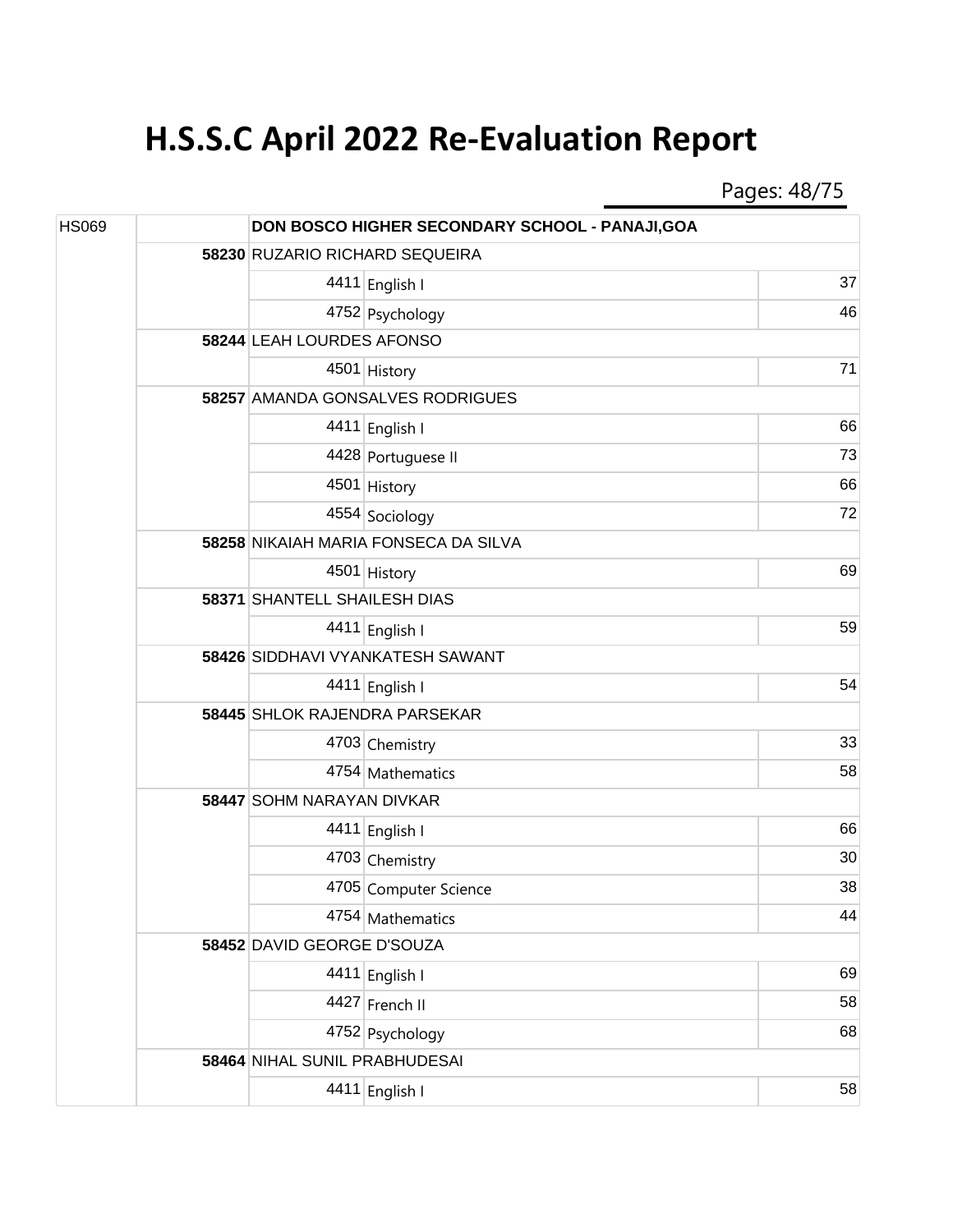Pages: 48/75

| <b>HS069</b> |  |                                         | DON BOSCO HIGHER SECONDARY SCHOOL - PANAJI, GOA |    |  |  |
|--------------|--|-----------------------------------------|-------------------------------------------------|----|--|--|
|              |  |                                         | 58230 RUZARIO RICHARD SEQUEIRA                  |    |  |  |
|              |  |                                         | 4411 English I                                  | 37 |  |  |
|              |  |                                         | 4752 Psychology                                 | 46 |  |  |
|              |  | 58244 LEAH LOURDES AFONSO               |                                                 |    |  |  |
|              |  |                                         | 4501 History                                    | 71 |  |  |
|              |  |                                         | 58257 AMANDA GONSALVES RODRIGUES                |    |  |  |
|              |  |                                         | 4411 English I                                  | 66 |  |  |
|              |  |                                         | 4428 Portuguese II                              | 73 |  |  |
|              |  |                                         | 4501 History                                    | 66 |  |  |
|              |  |                                         | 4554 Sociology                                  | 72 |  |  |
|              |  |                                         | 58258 NIKAIAH MARIA FONSECA DA SILVA            |    |  |  |
|              |  |                                         | 4501 History                                    | 69 |  |  |
|              |  | 58371 SHANTELL SHAILESH DIAS            |                                                 |    |  |  |
|              |  |                                         | 4411 English I                                  | 59 |  |  |
|              |  | <b>58426 SIDDHAVI VYANKATESH SAWANT</b> |                                                 |    |  |  |
|              |  |                                         | 4411 English I                                  | 54 |  |  |
|              |  | 58445 SHLOK RAJENDRA PARSEKAR           |                                                 |    |  |  |
|              |  |                                         | 4703 Chemistry                                  | 33 |  |  |
|              |  |                                         | 4754 Mathematics                                | 58 |  |  |
|              |  |                                         | 58447 SOHM NARAYAN DIVKAR                       |    |  |  |
|              |  |                                         | 4411 English I                                  | 66 |  |  |
|              |  |                                         | 4703 Chemistry                                  | 30 |  |  |
|              |  |                                         | 4705 Computer Science                           | 38 |  |  |
|              |  |                                         | 4754 Mathematics                                | 44 |  |  |
|              |  | 58452 DAVID GEORGE D'SOUZA              |                                                 |    |  |  |
|              |  |                                         | 4411 English I                                  | 69 |  |  |
|              |  |                                         | 4427 French II                                  | 58 |  |  |
|              |  |                                         | 4752 Psychology                                 | 68 |  |  |
|              |  | 58464 NIHAL SUNIL PRABHUDESAI           |                                                 |    |  |  |
|              |  |                                         | 4411 English I                                  | 58 |  |  |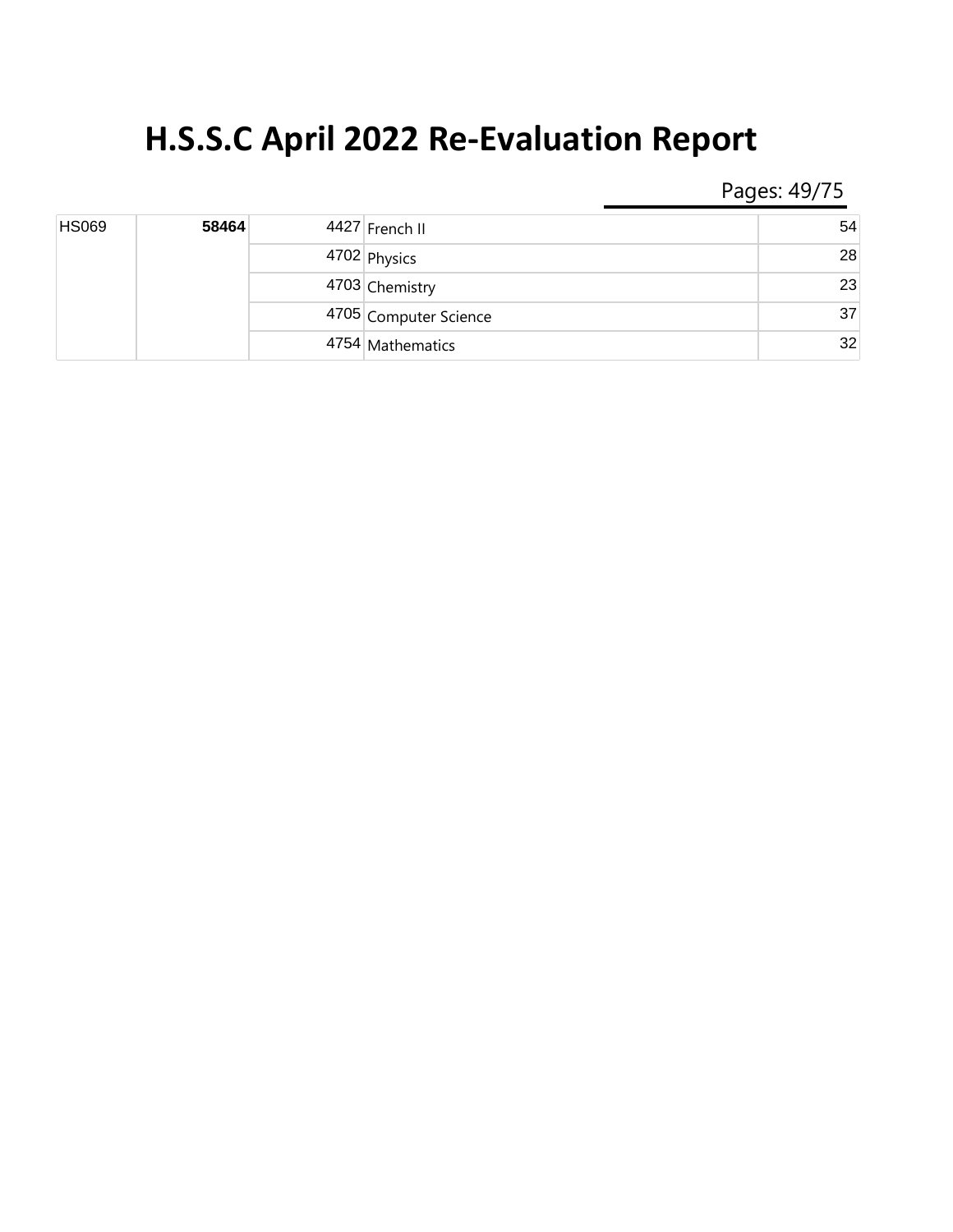Pages: 49/75

| <b>HS069</b> | 58464 | 4427 French II        | 54             |    |
|--------------|-------|-----------------------|----------------|----|
|              |       | 4702 Physics          | 28             |    |
|              |       |                       | 4703 Chemistry | 23 |
|              |       | 4705 Computer Science | 37             |    |
|              |       | 4754 Mathematics      | 32             |    |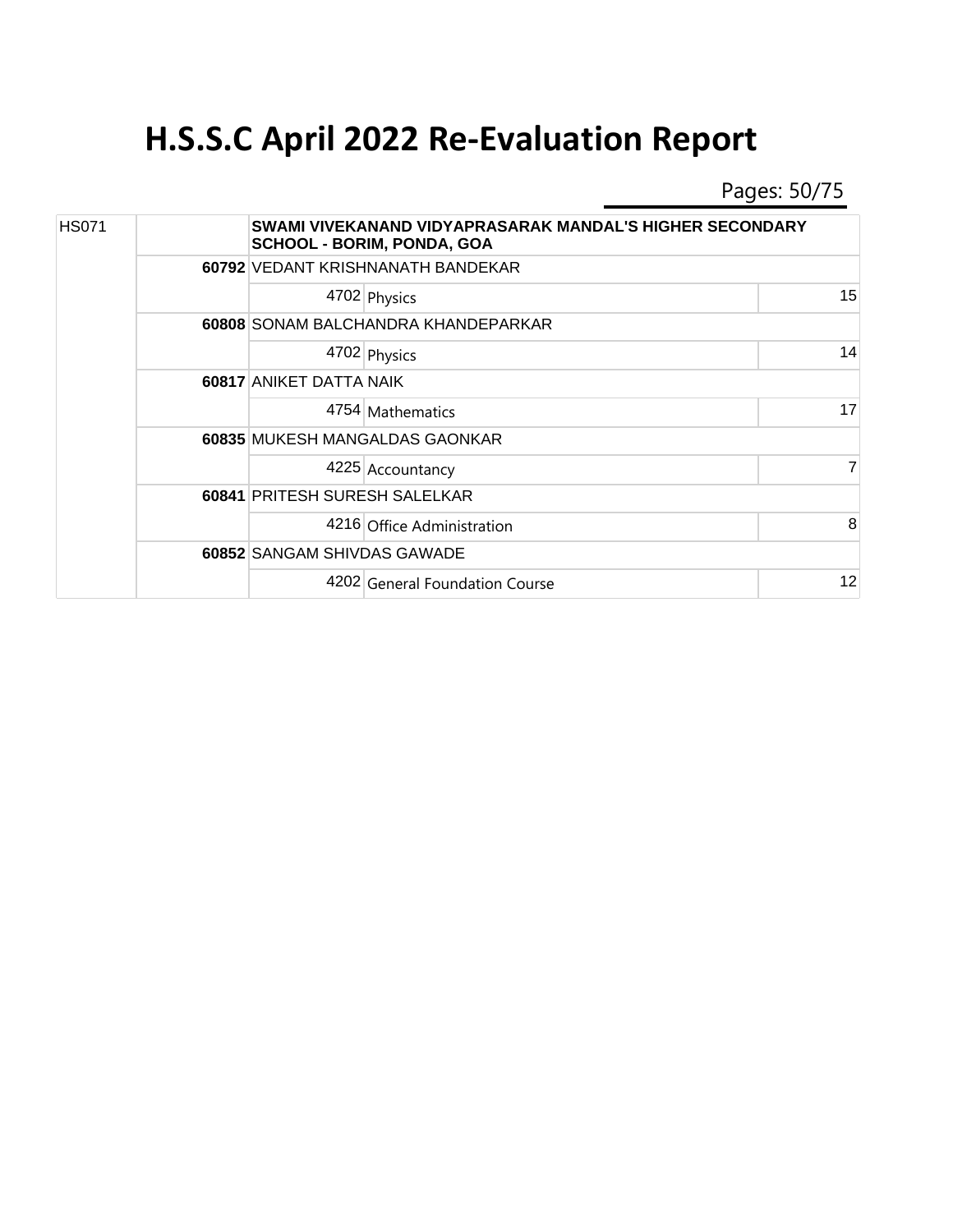Pages: 50/75

| <b>HS071</b> |  | SWAMI VIVEKANAND VIDYAPRASARAK MANDAL'S HIGHER SECONDARY<br><b>SCHOOL - BORIM, PONDA, GOA</b> |    |  |  |
|--------------|--|-----------------------------------------------------------------------------------------------|----|--|--|
|              |  | 60792 VEDANT KRISHNANATH BANDEKAR                                                             |    |  |  |
|              |  | 4702 Physics                                                                                  | 15 |  |  |
|              |  | 60808 SONAM BALCHANDRA KHANDEPARKAR                                                           |    |  |  |
|              |  | 4702 Physics                                                                                  | 14 |  |  |
|              |  | 60817 ANIKET DATTA NAIK                                                                       |    |  |  |
|              |  | 4754 Mathematics                                                                              | 17 |  |  |
|              |  | 60835 MUKESH MANGALDAS GAONKAR                                                                |    |  |  |
|              |  | 4225 Accountancy                                                                              | 7  |  |  |
|              |  | 60841 PRITESH SURESH SALELKAR                                                                 |    |  |  |
|              |  | 4216 Office Administration                                                                    | 8  |  |  |
|              |  | 60852 SANGAM SHIVDAS GAWADE                                                                   |    |  |  |
|              |  | 4202 General Foundation Course                                                                | 12 |  |  |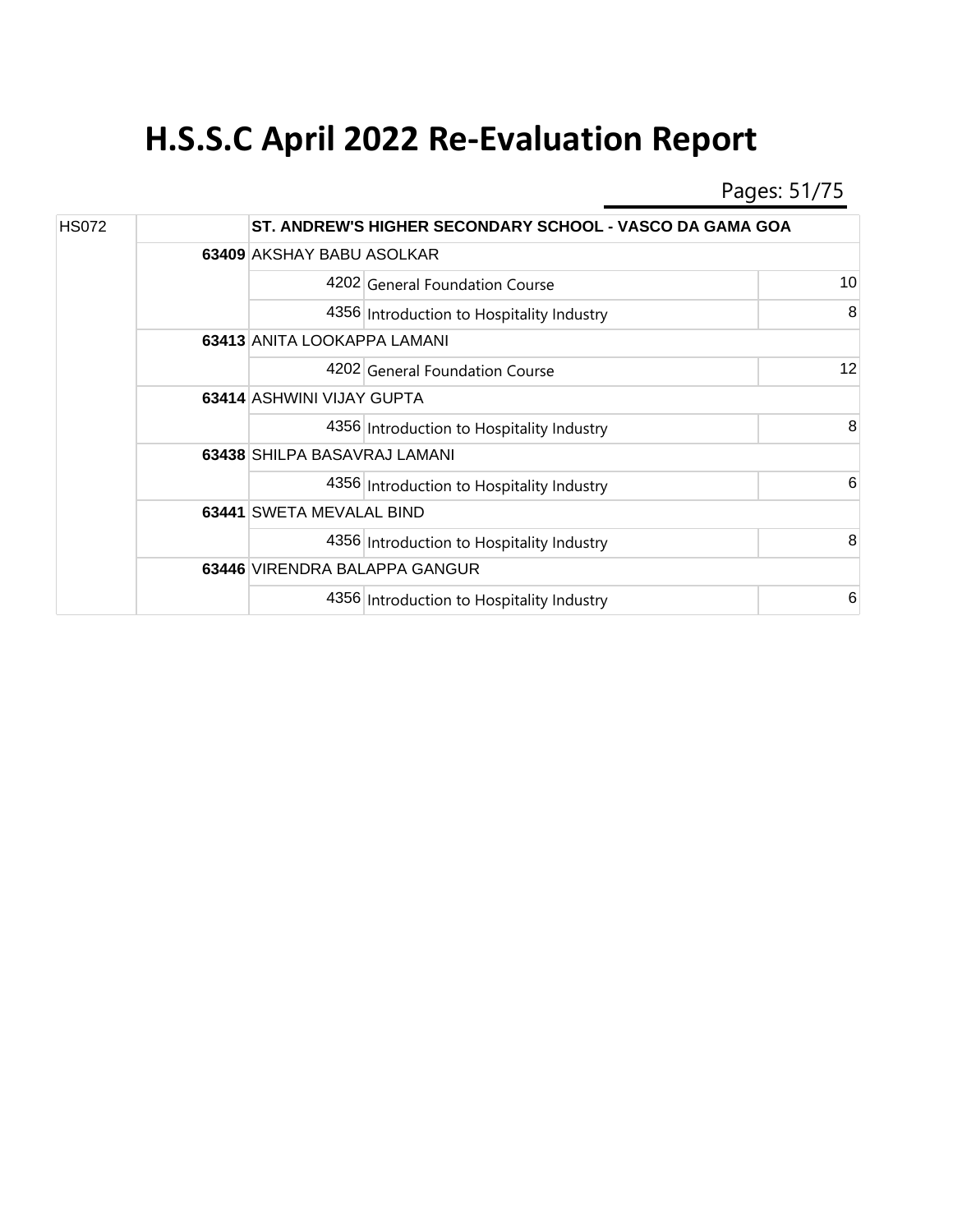Pages: 51/75

| <b>HS072</b> |  |                               | ST. ANDREW'S HIGHER SECONDARY SCHOOL - VASCO DA GAMA GOA |    |  |
|--------------|--|-------------------------------|----------------------------------------------------------|----|--|
|              |  |                               | 63409 AKSHAY BABU ASOLKAR                                |    |  |
|              |  |                               | 4202 General Foundation Course                           | 10 |  |
|              |  |                               | 4356 Introduction to Hospitality Industry                | 8  |  |
|              |  | 63413 ANITA LOOKAPPA LAMANI   |                                                          |    |  |
|              |  |                               | 4202 General Foundation Course                           | 12 |  |
|              |  | 63414 ASHWINI VIJAY GUPTA     |                                                          |    |  |
|              |  |                               | 4356 Introduction to Hospitality Industry                | 8  |  |
|              |  | 63438 SHILPA BASAVRAJ LAMANI  |                                                          |    |  |
|              |  |                               | 4356 Introduction to Hospitality Industry                | 6  |  |
|              |  | 63441 SWETA MEVALAL BIND      |                                                          |    |  |
|              |  |                               | 4356 Introduction to Hospitality Industry                | 8  |  |
|              |  | 63446 VIRENDRA BALAPPA GANGUR |                                                          |    |  |
|              |  |                               | 4356 Introduction to Hospitality Industry                | 6  |  |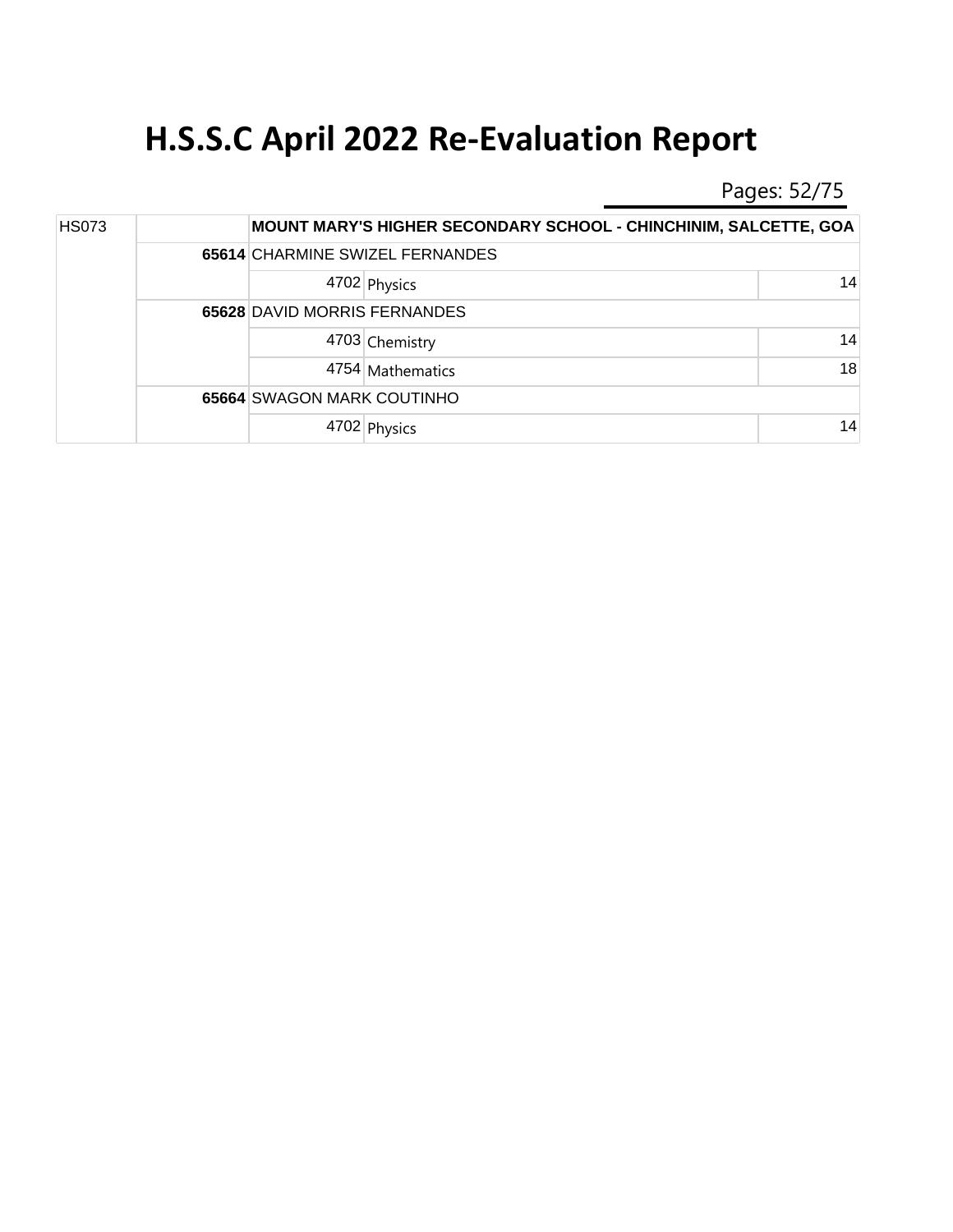Pages: 52/75

| <b>HS073</b> |  |                                 | <b>MOUNT MARY'S HIGHER SECONDARY SCHOOL - CHINCHINIM, SALCETTE, GOA</b> |    |
|--------------|--|---------------------------------|-------------------------------------------------------------------------|----|
|              |  | 65614 CHARMINE SWIZEL FERNANDES |                                                                         |    |
|              |  |                                 | 4702 Physics                                                            | 14 |
|              |  | 65628 DAVID MORRIS FERNANDES    |                                                                         |    |
|              |  |                                 | 4703 Chemistry                                                          | 14 |
|              |  |                                 | 4754 Mathematics                                                        | 18 |
|              |  | 65664 SWAGON MARK COUTINHO      |                                                                         |    |
|              |  |                                 | 4702 Physics                                                            | 14 |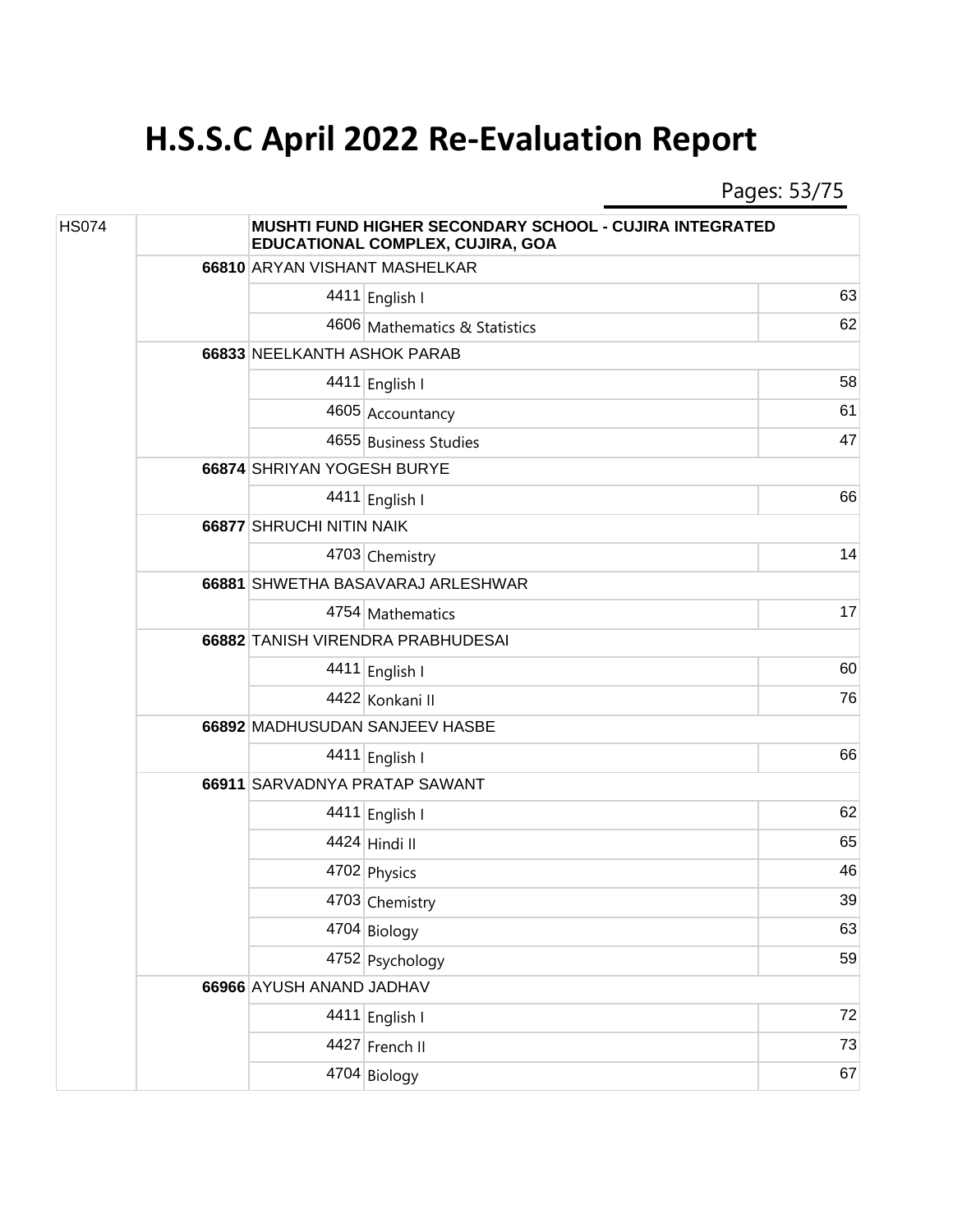Pages: 53/75

| <b>HS074</b> |  |                                   | MUSHTI FUND HIGHER SECONDARY SCHOOL - CUJIRA INTEGRATED<br>EDUCATIONAL COMPLEX, CUJIRA, GOA |    |  |
|--------------|--|-----------------------------------|---------------------------------------------------------------------------------------------|----|--|
|              |  | 66810 ARYAN VISHANT MASHELKAR     |                                                                                             |    |  |
|              |  |                                   | 4411 English I                                                                              | 63 |  |
|              |  |                                   | 4606 Mathematics & Statistics                                                               | 62 |  |
|              |  | 66833 NEELKANTH ASHOK PARAB       |                                                                                             |    |  |
|              |  |                                   | 4411 English I                                                                              | 58 |  |
|              |  |                                   | 4605 Accountancy                                                                            | 61 |  |
|              |  |                                   | 4655 Business Studies                                                                       | 47 |  |
|              |  | 66874 SHRIYAN YOGESH BURYE        |                                                                                             |    |  |
|              |  |                                   | 4411 English I                                                                              | 66 |  |
|              |  | 66877 SHRUCHI NITIN NAIK          |                                                                                             |    |  |
|              |  |                                   | 4703 Chemistry                                                                              | 14 |  |
|              |  | 66881 SHWETHA BASAVARAJ ARLESHWAR |                                                                                             |    |  |
|              |  |                                   | 4754 Mathematics                                                                            | 17 |  |
|              |  | 66882 TANISH VIRENDRA PRABHUDESAI |                                                                                             |    |  |
|              |  |                                   | 4411 English I                                                                              | 60 |  |
|              |  |                                   | 4422 Konkani II                                                                             | 76 |  |
|              |  | 66892 MADHUSUDAN SANJEEV HASBE    |                                                                                             |    |  |
|              |  |                                   | 4411 English I                                                                              | 66 |  |
|              |  |                                   | 66911 SARVADNYA PRATAP SAWANT                                                               |    |  |
|              |  |                                   | 4411 English I                                                                              | 62 |  |
|              |  |                                   | 4424 Hindi II                                                                               | 65 |  |
|              |  |                                   | 4702 Physics                                                                                | 46 |  |
|              |  |                                   | 4703 Chemistry                                                                              | 39 |  |
|              |  |                                   | 4704 Biology                                                                                | 63 |  |
|              |  |                                   | 4752 Psychology                                                                             | 59 |  |
|              |  | 66966 AYUSH ANAND JADHAV          |                                                                                             |    |  |
|              |  |                                   | 4411 English I                                                                              | 72 |  |
|              |  |                                   | 4427 French II                                                                              | 73 |  |
|              |  |                                   | 4704 Biology                                                                                | 67 |  |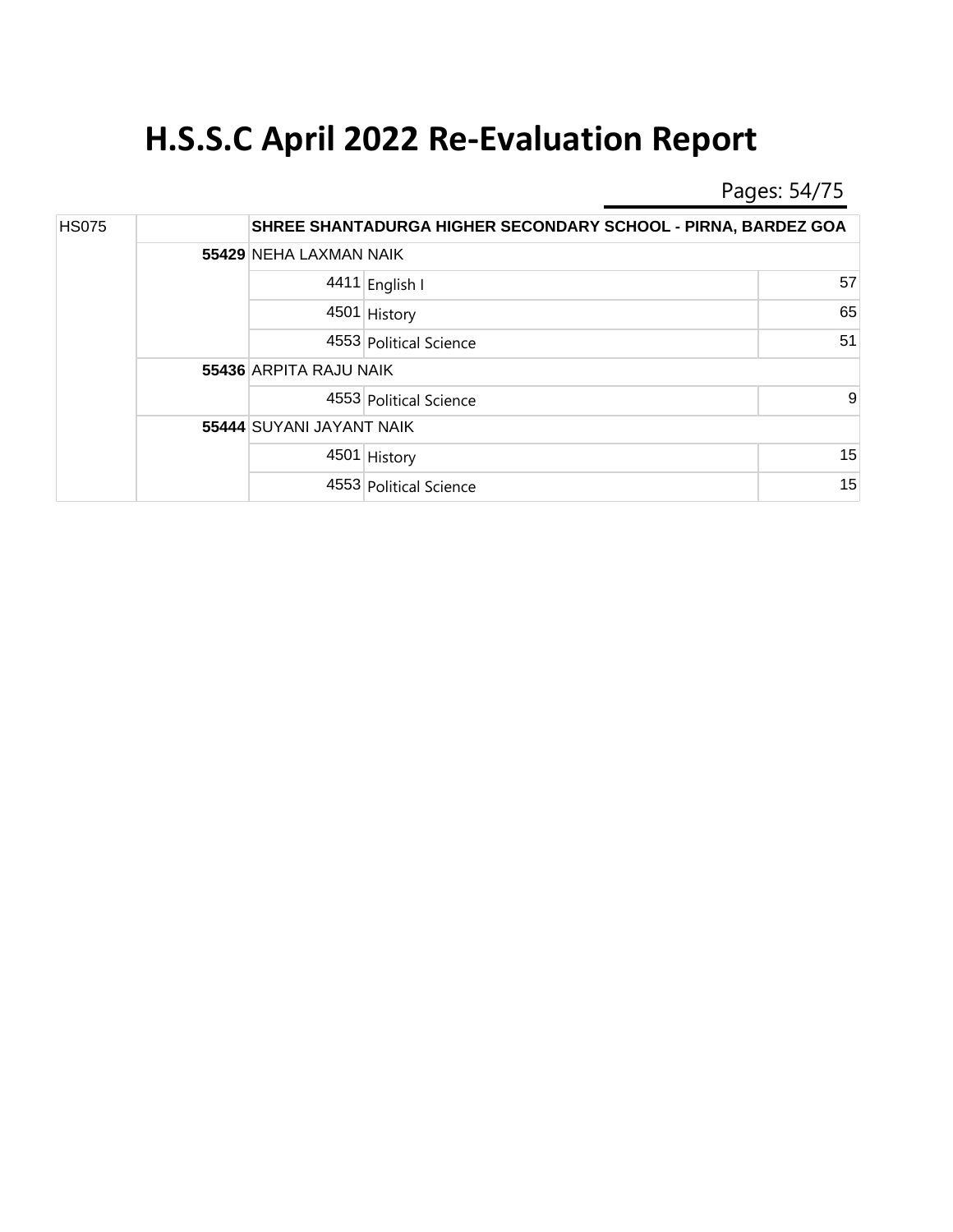Pages: 54/75

| <b>HS075</b> |  |                          | SHREE SHANTADURGA HIGHER SECONDARY SCHOOL - PIRNA, BARDEZ GOA |    |  |  |
|--------------|--|--------------------------|---------------------------------------------------------------|----|--|--|
|              |  |                          | 55429 NEHA LAXMAN NAIK                                        |    |  |  |
|              |  |                          | 4411 English I                                                | 57 |  |  |
|              |  |                          | 4501 History                                                  | 65 |  |  |
|              |  |                          | 4553 Political Science                                        | 51 |  |  |
|              |  | 55436 ARPITA RAJU NAIK   |                                                               |    |  |  |
|              |  |                          | 4553 Political Science                                        | 9  |  |  |
|              |  | 55444 SUYANI JAYANT NAIK |                                                               |    |  |  |
|              |  |                          | 4501 History                                                  | 15 |  |  |
|              |  |                          | 4553 Political Science                                        | 15 |  |  |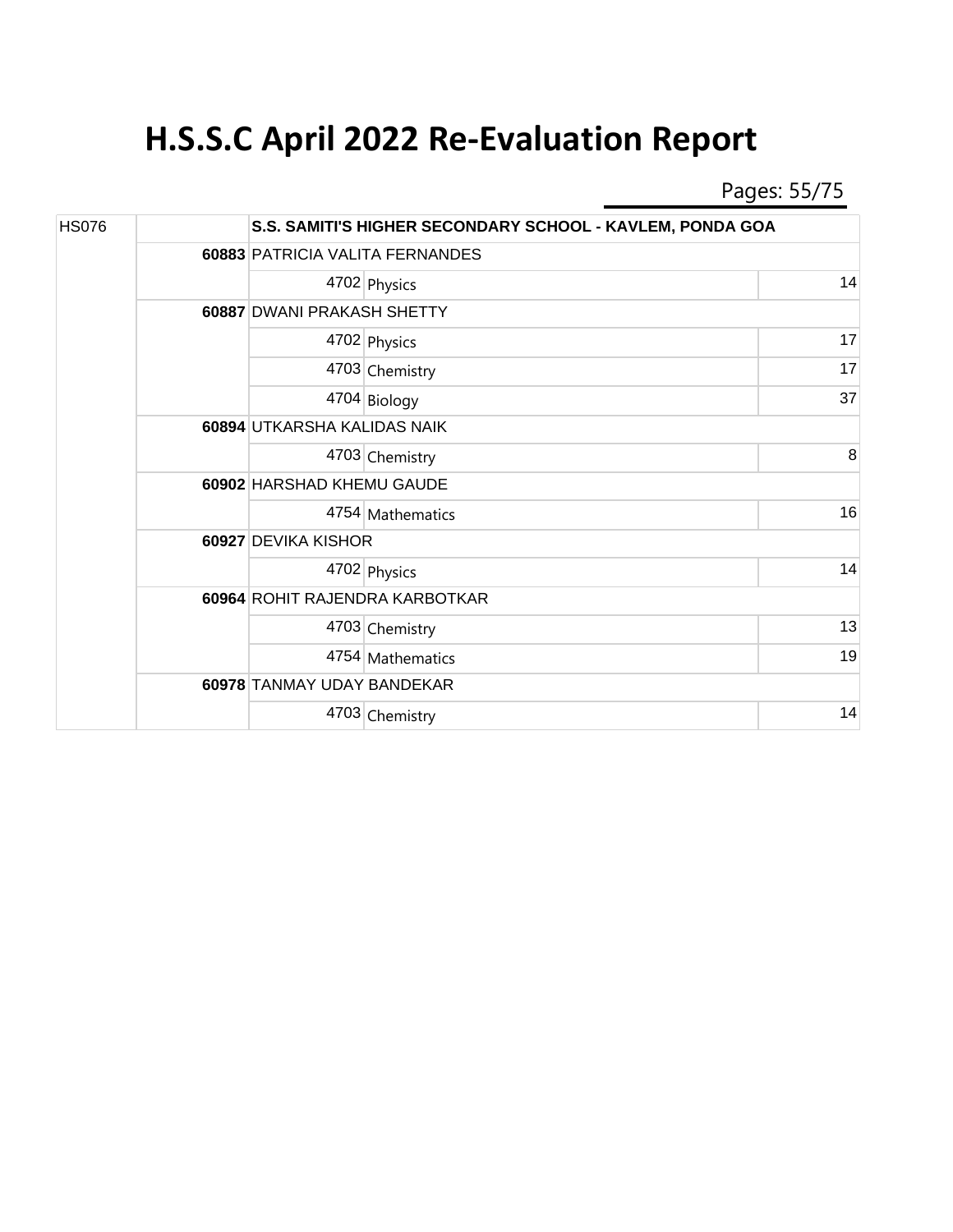Pages: 55/75

| <b>HS076</b> |  | S.S. SAMITI'S HIGHER SECONDARY SCHOOL - KAVLEM, PONDA GOA |                            |    |  |
|--------------|--|-----------------------------------------------------------|----------------------------|----|--|
|              |  | 60883 PATRICIA VALITA FERNANDES                           |                            |    |  |
|              |  |                                                           | 4702 Physics               | 14 |  |
|              |  |                                                           | 60887 DWANI PRAKASH SHETTY |    |  |
|              |  |                                                           | 4702 Physics               | 17 |  |
|              |  |                                                           | 4703 Chemistry             | 17 |  |
|              |  |                                                           | 4704 Biology               | 37 |  |
|              |  | 60894 UTKARSHA KALIDAS NAIK                               |                            |    |  |
|              |  |                                                           | 4703 Chemistry             | 8  |  |
|              |  | 60902 HARSHAD KHEMU GAUDE                                 |                            |    |  |
|              |  |                                                           | 4754 Mathematics           | 16 |  |
|              |  | 60927 DEVIKA KISHOR                                       |                            |    |  |
|              |  |                                                           | 4702 Physics               | 14 |  |
|              |  | 60964 ROHIT RAJENDRA KARBOTKAR                            |                            |    |  |
|              |  |                                                           | 4703 Chemistry             | 13 |  |
|              |  |                                                           | 4754 Mathematics           | 19 |  |
|              |  | 60978 TANMAY UDAY BANDEKAR                                |                            |    |  |
|              |  |                                                           | 4703 Chemistry             | 14 |  |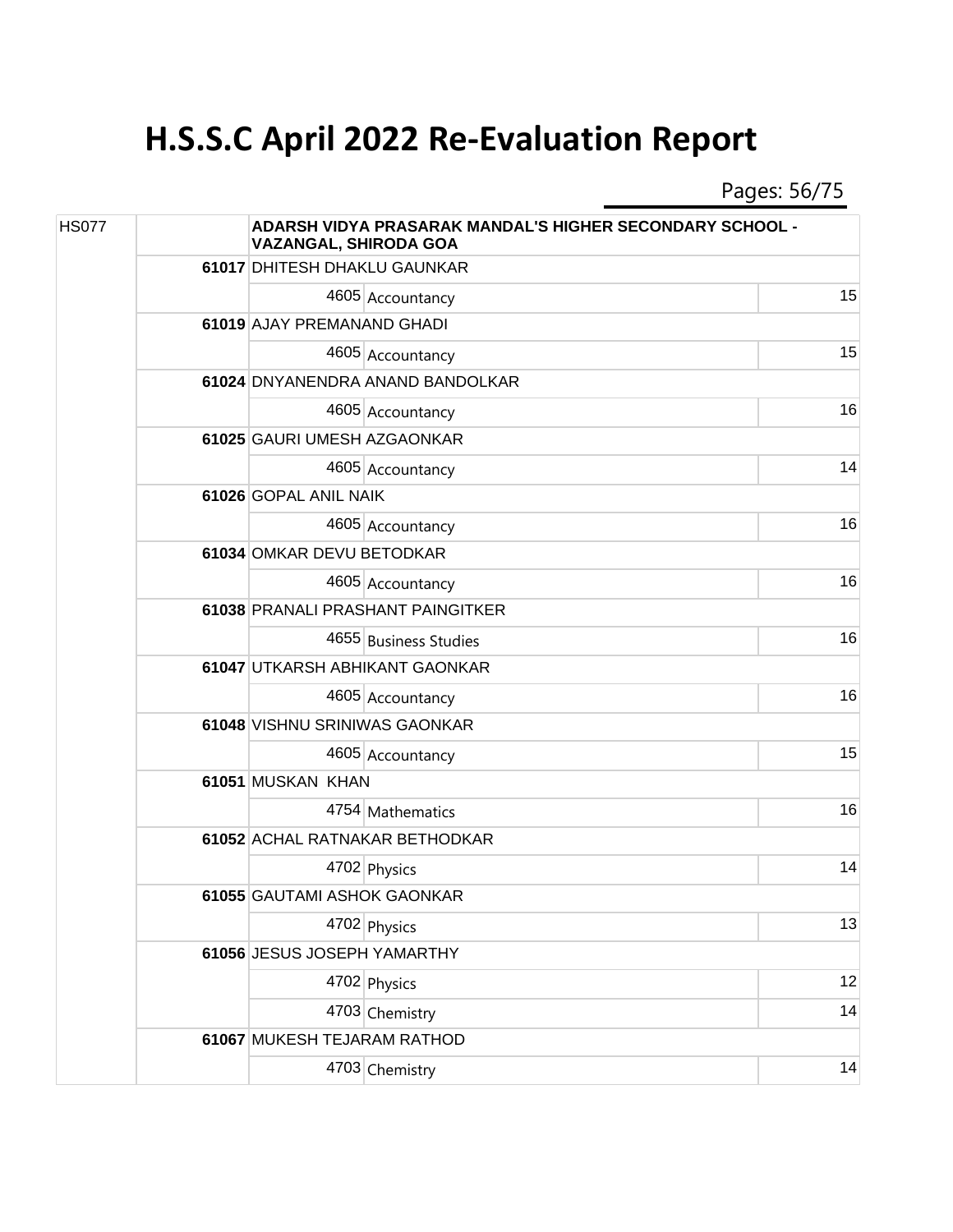Pages: 56/75

| <b>HS077</b> |  | <b>ADARSH VIDYA PRASARAK MANDAL'S HIGHER SECONDARY SCHOOL -</b><br><b>VAZANGAL, SHIRODA GOA</b> |                                  |    |  |
|--------------|--|-------------------------------------------------------------------------------------------------|----------------------------------|----|--|
|              |  | 61017 DHITESH DHAKLU GAUNKAR                                                                    |                                  |    |  |
|              |  |                                                                                                 | 4605 Accountancy                 | 15 |  |
|              |  | 61019 AJAY PREMANAND GHADI                                                                      |                                  |    |  |
|              |  |                                                                                                 | 4605 Accountancy                 | 15 |  |
|              |  |                                                                                                 | 61024 DNYANENDRA ANAND BANDOLKAR |    |  |
|              |  |                                                                                                 | 4605 Accountancy                 | 16 |  |
|              |  | 61025 GAURI UMESH AZGAONKAR                                                                     |                                  |    |  |
|              |  |                                                                                                 | 4605 Accountancy                 | 14 |  |
|              |  | 61026 GOPAL ANIL NAIK                                                                           |                                  |    |  |
|              |  |                                                                                                 | 4605 Accountancy                 | 16 |  |
|              |  | 61034 OMKAR DEVU BETODKAR                                                                       |                                  |    |  |
|              |  |                                                                                                 | 4605 Accountancy                 | 16 |  |
|              |  | 61038 PRANALI PRASHANT PAINGITKER                                                               |                                  |    |  |
|              |  |                                                                                                 | 4655 Business Studies            | 16 |  |
|              |  | 61047 UTKARSH ABHIKANT GAONKAR                                                                  |                                  |    |  |
|              |  |                                                                                                 | 4605 Accountancy                 | 16 |  |
|              |  | 61048 VISHNU SRINIWAS GAONKAR                                                                   |                                  |    |  |
|              |  |                                                                                                 | 4605 Accountancy                 | 15 |  |
|              |  | 61051 MUSKAN KHAN                                                                               |                                  |    |  |
|              |  |                                                                                                 | 4754 Mathematics                 | 16 |  |
|              |  |                                                                                                 | 61052 ACHAL RATNAKAR BETHODKAR   |    |  |
|              |  |                                                                                                 | 4702 Physics                     | 14 |  |
|              |  | 61055 GAUTAMI ASHOK GAONKAR                                                                     |                                  |    |  |
|              |  |                                                                                                 | 4702 Physics                     | 13 |  |
|              |  | 61056 JESUS JOSEPH YAMARTHY                                                                     |                                  |    |  |
|              |  |                                                                                                 | 4702 Physics                     | 12 |  |
|              |  |                                                                                                 | 4703 Chemistry                   | 14 |  |
|              |  | 61067 MUKESH TEJARAM RATHOD                                                                     |                                  |    |  |
|              |  |                                                                                                 | 4703 Chemistry                   | 14 |  |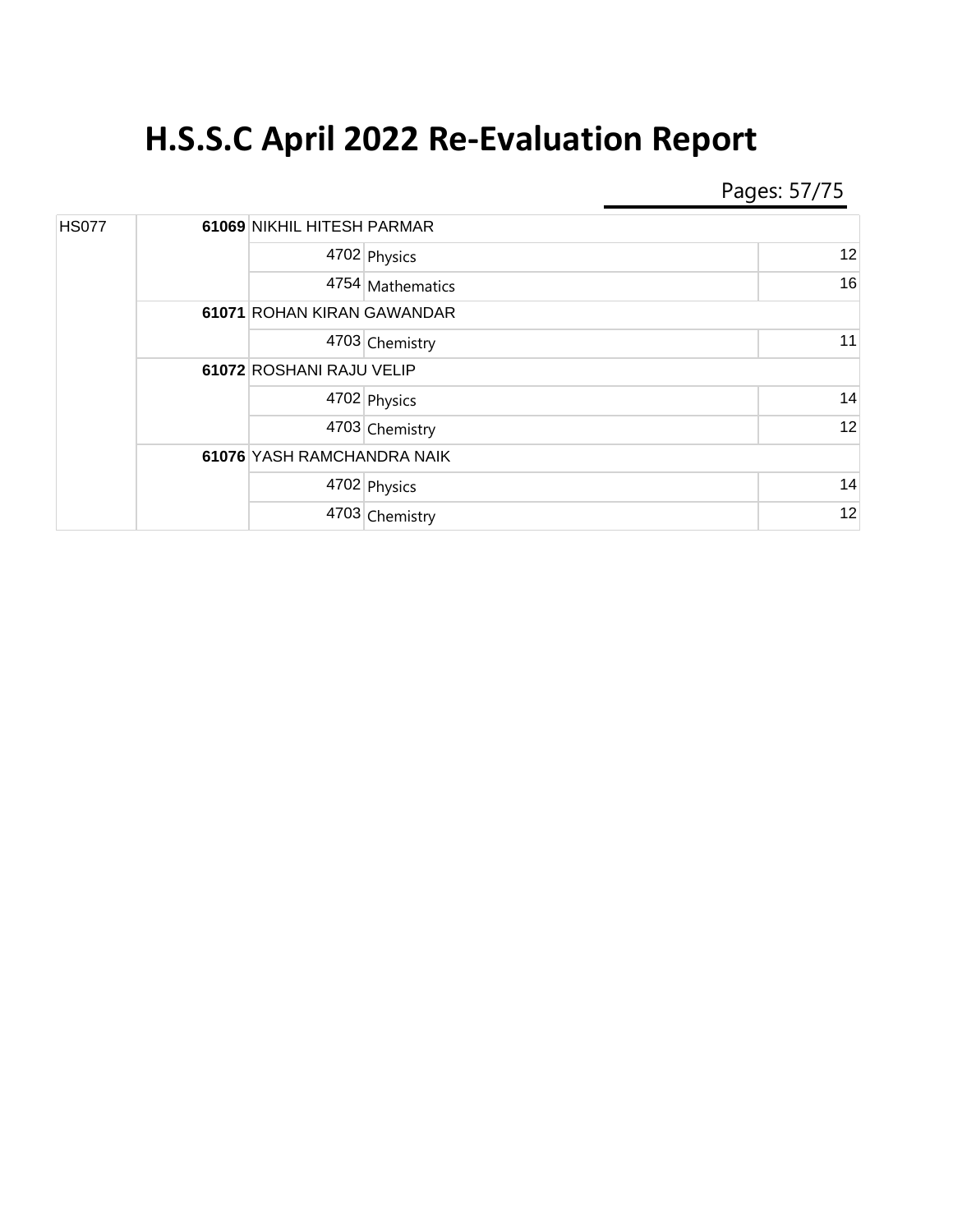Pages: 57/75

| <b>HS077</b> |  | 61069 NIKHIL HITESH PARMAR |                  |    |
|--------------|--|----------------------------|------------------|----|
|              |  |                            | 4702 Physics     | 12 |
|              |  |                            | 4754 Mathematics | 16 |
|              |  | 61071 ROHAN KIRAN GAWANDAR |                  |    |
|              |  |                            | 4703 Chemistry   | 11 |
|              |  | 61072 ROSHANI RAJU VELIP   |                  |    |
|              |  |                            | 4702 Physics     | 14 |
|              |  |                            | 4703 Chemistry   | 12 |
|              |  | 61076 YASH RAMCHANDRA NAIK |                  |    |
|              |  |                            | 4702 Physics     | 14 |
|              |  |                            | 4703 Chemistry   | 12 |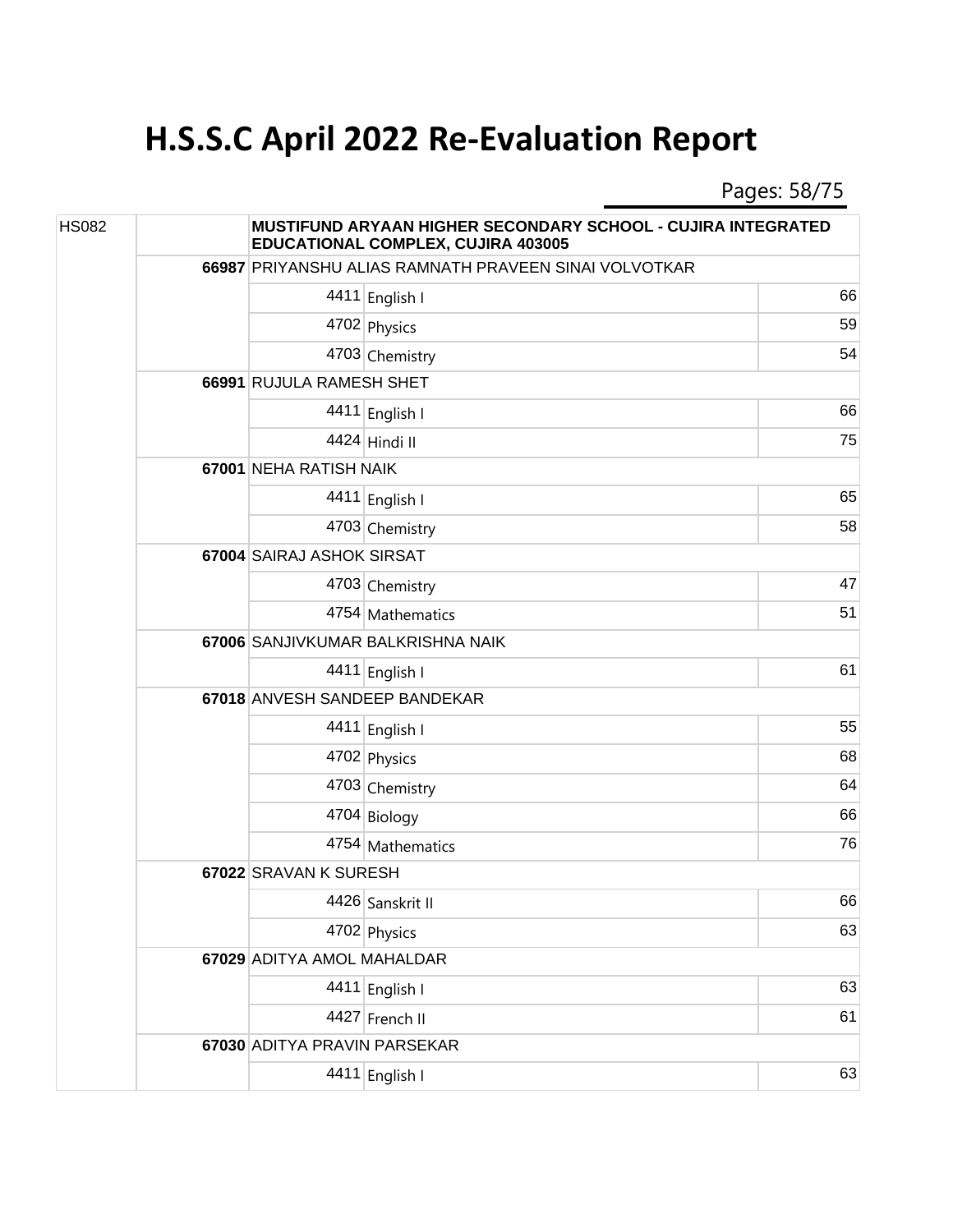Pages: 58/75

| <b>HS082</b> | MUSTIFUND ARYAAN HIGHER SECONDARY SCHOOL - CUJIRA INTEGRATED<br><b>EDUCATIONAL COMPLEX, CUJIRA 403005</b> |                                   |                                                       |    |  |
|--------------|-----------------------------------------------------------------------------------------------------------|-----------------------------------|-------------------------------------------------------|----|--|
|              |                                                                                                           |                                   | 66987 PRIYANSHU ALIAS RAMNATH PRAVEEN SINAI VOLVOTKAR |    |  |
|              |                                                                                                           |                                   | 4411 English I                                        | 66 |  |
|              |                                                                                                           |                                   | 4702 Physics                                          | 59 |  |
|              |                                                                                                           |                                   | 4703 Chemistry                                        | 54 |  |
|              |                                                                                                           | 66991 RUJULA RAMESH SHET          |                                                       |    |  |
|              |                                                                                                           |                                   | 4411 English I                                        | 66 |  |
|              |                                                                                                           |                                   | 4424 Hindi II                                         | 75 |  |
|              |                                                                                                           |                                   | 67001 NEHA RATISH NAIK                                |    |  |
|              |                                                                                                           |                                   | 4411 English I                                        | 65 |  |
|              |                                                                                                           |                                   | 4703 Chemistry                                        | 58 |  |
|              |                                                                                                           | 67004 SAIRAJ ASHOK SIRSAT         |                                                       |    |  |
|              |                                                                                                           |                                   | 4703 Chemistry                                        | 47 |  |
|              |                                                                                                           |                                   | 4754 Mathematics                                      | 51 |  |
|              |                                                                                                           | 67006 SANJIVKUMAR BALKRISHNA NAIK |                                                       |    |  |
|              |                                                                                                           |                                   | 4411 English I                                        | 61 |  |
|              |                                                                                                           | 67018 ANVESH SANDEEP BANDEKAR     |                                                       |    |  |
|              |                                                                                                           |                                   | 4411 English I                                        | 55 |  |
|              |                                                                                                           |                                   | 4702 Physics                                          | 68 |  |
|              |                                                                                                           |                                   | 4703 Chemistry                                        | 64 |  |
|              |                                                                                                           |                                   | 4704 Biology                                          | 66 |  |
|              |                                                                                                           |                                   | 4754 Mathematics                                      | 76 |  |
|              |                                                                                                           | 67022 SRAVAN K SURESH             |                                                       |    |  |
|              |                                                                                                           |                                   | 4426 Sanskrit II                                      | 66 |  |
|              |                                                                                                           |                                   | 4702 Physics                                          | 63 |  |
|              |                                                                                                           | 67029 ADITYA AMOL MAHALDAR        |                                                       |    |  |
|              |                                                                                                           |                                   | 4411 English I                                        | 63 |  |
|              |                                                                                                           |                                   | 4427 French II                                        | 61 |  |
|              |                                                                                                           | 67030 ADITYA PRAVIN PARSEKAR      |                                                       |    |  |
|              |                                                                                                           |                                   | 4411 English I                                        | 63 |  |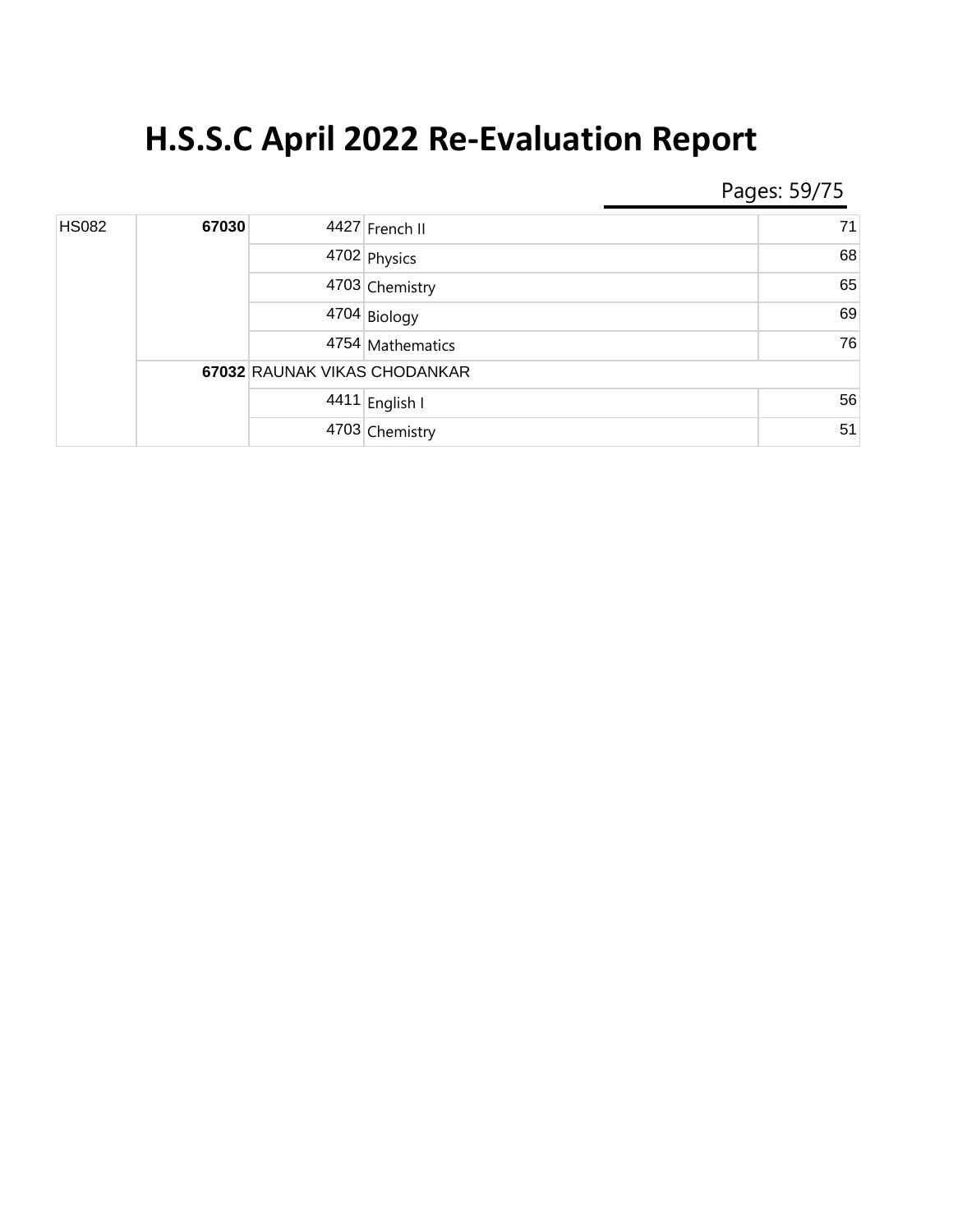Pages: 59/75

| <b>HS082</b> | 67030 |                              | 4427 French II   | 71 |
|--------------|-------|------------------------------|------------------|----|
|              |       |                              | 4702 Physics     | 68 |
|              |       |                              | 4703 Chemistry   | 65 |
|              |       |                              | 4704 Biology     | 69 |
|              |       |                              | 4754 Mathematics | 76 |
|              |       | 67032 RAUNAK VIKAS CHODANKAR |                  |    |
|              |       |                              | 4411 English I   | 56 |
|              |       |                              | 4703 Chemistry   | 51 |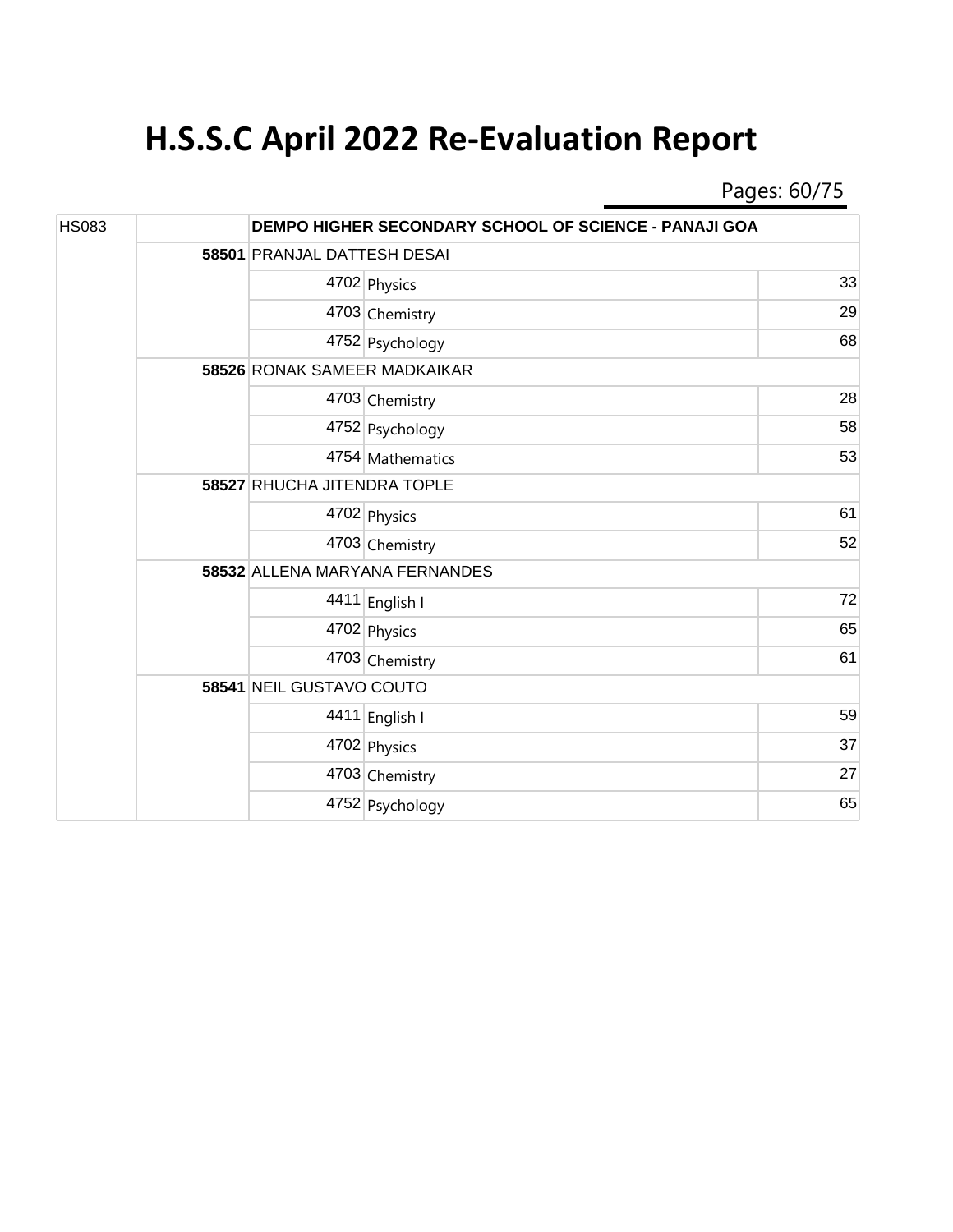Pages: 60/75

| <b>HS083</b> |  | DEMPO HIGHER SECONDARY SCHOOL OF SCIENCE - PANAJI GOA |                  |    |  |
|--------------|--|-------------------------------------------------------|------------------|----|--|
|              |  | 58501 PRANJAL DATTESH DESAI                           |                  |    |  |
|              |  |                                                       | 4702 Physics     | 33 |  |
|              |  |                                                       | 4703 Chemistry   | 29 |  |
|              |  |                                                       | 4752 Psychology  | 68 |  |
|              |  | 58526 RONAK SAMEER MADKAIKAR                          |                  |    |  |
|              |  |                                                       | 4703 Chemistry   | 28 |  |
|              |  |                                                       | 4752 Psychology  | 58 |  |
|              |  |                                                       | 4754 Mathematics | 53 |  |
|              |  | 58527 RHUCHA JITENDRA TOPLE                           |                  |    |  |
|              |  |                                                       | 4702 Physics     | 61 |  |
|              |  |                                                       | 4703 Chemistry   | 52 |  |
|              |  | 58532 ALLENA MARYANA FERNANDES                        |                  |    |  |
|              |  |                                                       | 4411 English I   | 72 |  |
|              |  |                                                       | 4702 Physics     | 65 |  |
|              |  |                                                       | 4703 Chemistry   | 61 |  |
|              |  | 58541 NEIL GUSTAVO COUTO                              |                  |    |  |
|              |  |                                                       | 4411 English I   | 59 |  |
|              |  |                                                       | 4702 Physics     | 37 |  |
|              |  |                                                       | 4703 Chemistry   | 27 |  |
|              |  |                                                       | 4752 Psychology  | 65 |  |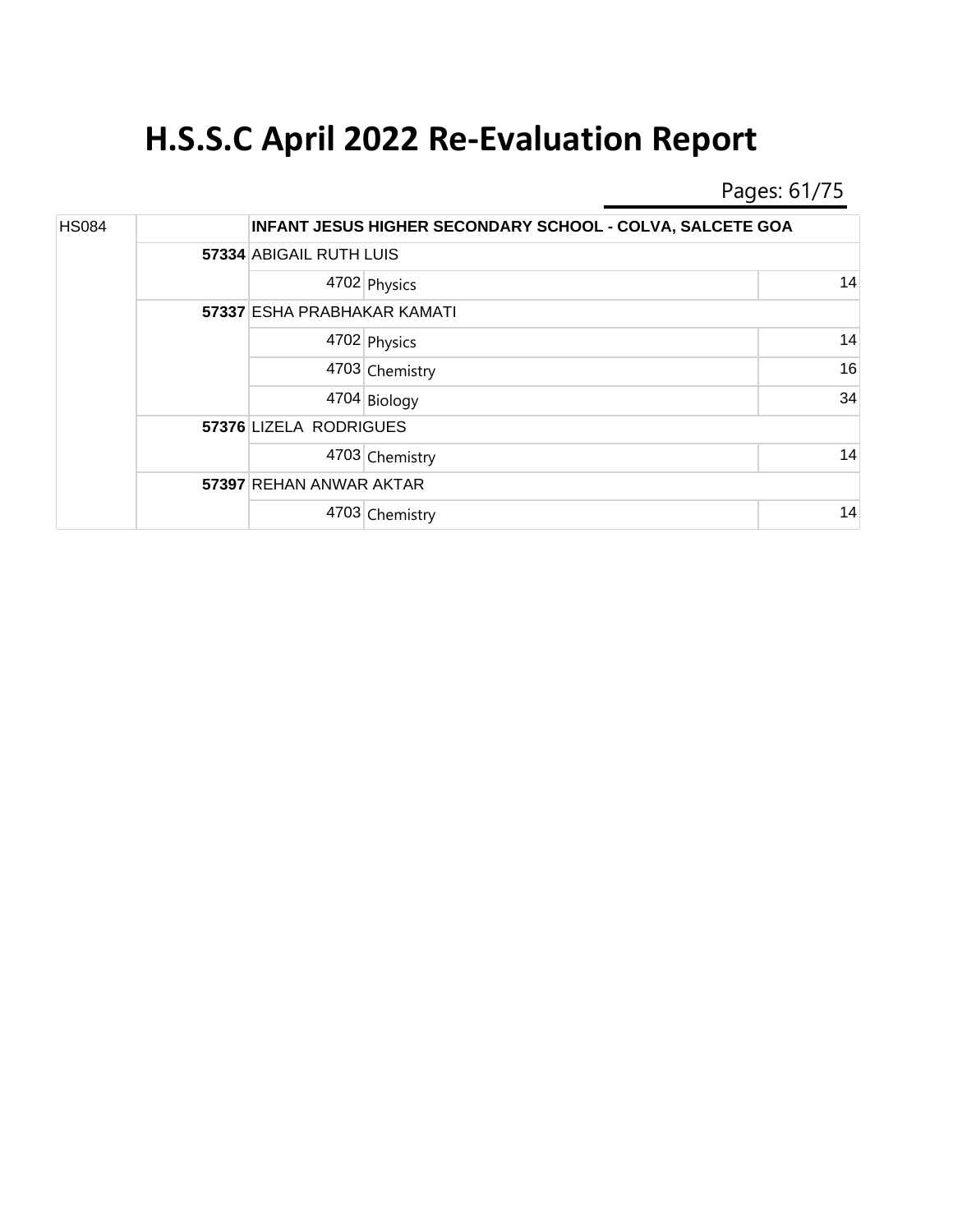Pages: 61/75

| <b>HS084</b> |  |                             | INFANT JESUS HIGHER SECONDARY SCHOOL - COLVA, SALCETE GOA |    |  |
|--------------|--|-----------------------------|-----------------------------------------------------------|----|--|
|              |  |                             | 57334 ABIGAIL RUTH LUIS                                   |    |  |
|              |  |                             | 4702 Physics                                              | 14 |  |
|              |  | 57337 ESHA PRABHAKAR KAMATI |                                                           |    |  |
|              |  |                             | 4702 Physics                                              | 14 |  |
|              |  |                             | 4703 Chemistry                                            | 16 |  |
|              |  |                             | 4704 Biology                                              | 34 |  |
|              |  | 57376 LIZELA RODRIGUES      |                                                           |    |  |
|              |  |                             | 4703 Chemistry                                            | 14 |  |
|              |  | 57397 REHAN ANWAR AKTAR     |                                                           |    |  |
|              |  |                             | 4703 Chemistry                                            | 14 |  |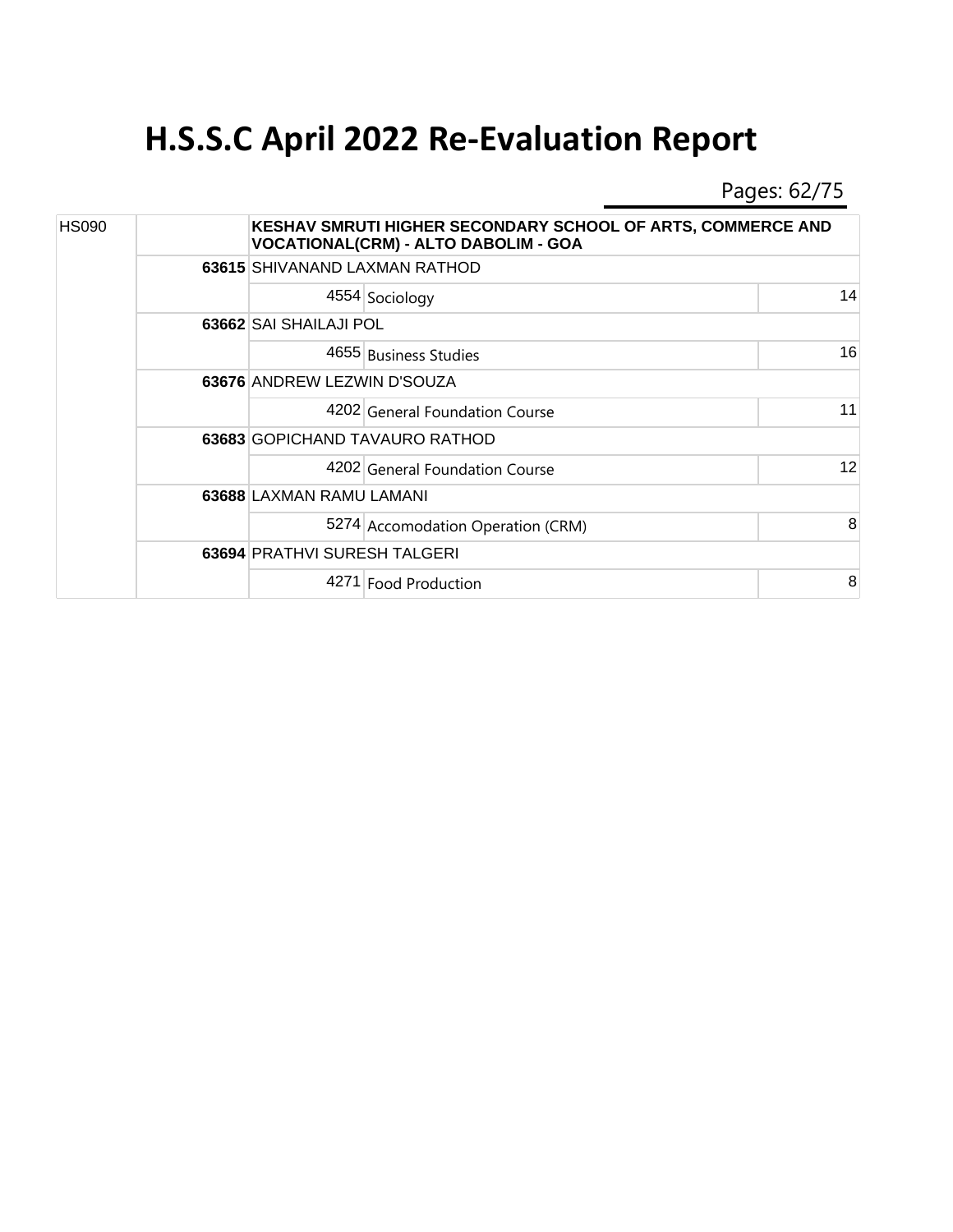Pages: 62/75

| <b>HS090</b> |  |                                     | KESHAV SMRUTI HIGHER SECONDARY SCHOOL OF ARTS, COMMERCE AND<br><b>VOCATIONAL(CRM) - ALTO DABOLIM - GOA</b> |    |  |  |  |
|--------------|--|-------------------------------------|------------------------------------------------------------------------------------------------------------|----|--|--|--|
|              |  | 63615 SHIVANAND LAXMAN RATHOD       |                                                                                                            |    |  |  |  |
|              |  | 4554 Sociology                      |                                                                                                            | 14 |  |  |  |
|              |  | 63662 SAI SHAILAJI POL              |                                                                                                            |    |  |  |  |
|              |  | 4655 Business Studies               |                                                                                                            | 16 |  |  |  |
|              |  | 63676 ANDREW LEZWIN D'SOUZA         |                                                                                                            |    |  |  |  |
|              |  |                                     | 4202 General Foundation Course                                                                             | 11 |  |  |  |
|              |  | 63683 GOPICHAND TAVAURO RATHOD      |                                                                                                            |    |  |  |  |
|              |  |                                     | 4202 General Foundation Course                                                                             | 12 |  |  |  |
|              |  | 63688 LAXMAN RAMU LAMANI            |                                                                                                            |    |  |  |  |
|              |  |                                     | 5274 Accomodation Operation (CRM)                                                                          | 8  |  |  |  |
|              |  | <b>63694 PRATHVI SURESH TALGERI</b> |                                                                                                            |    |  |  |  |
|              |  | 4271 Food Production                |                                                                                                            | 8  |  |  |  |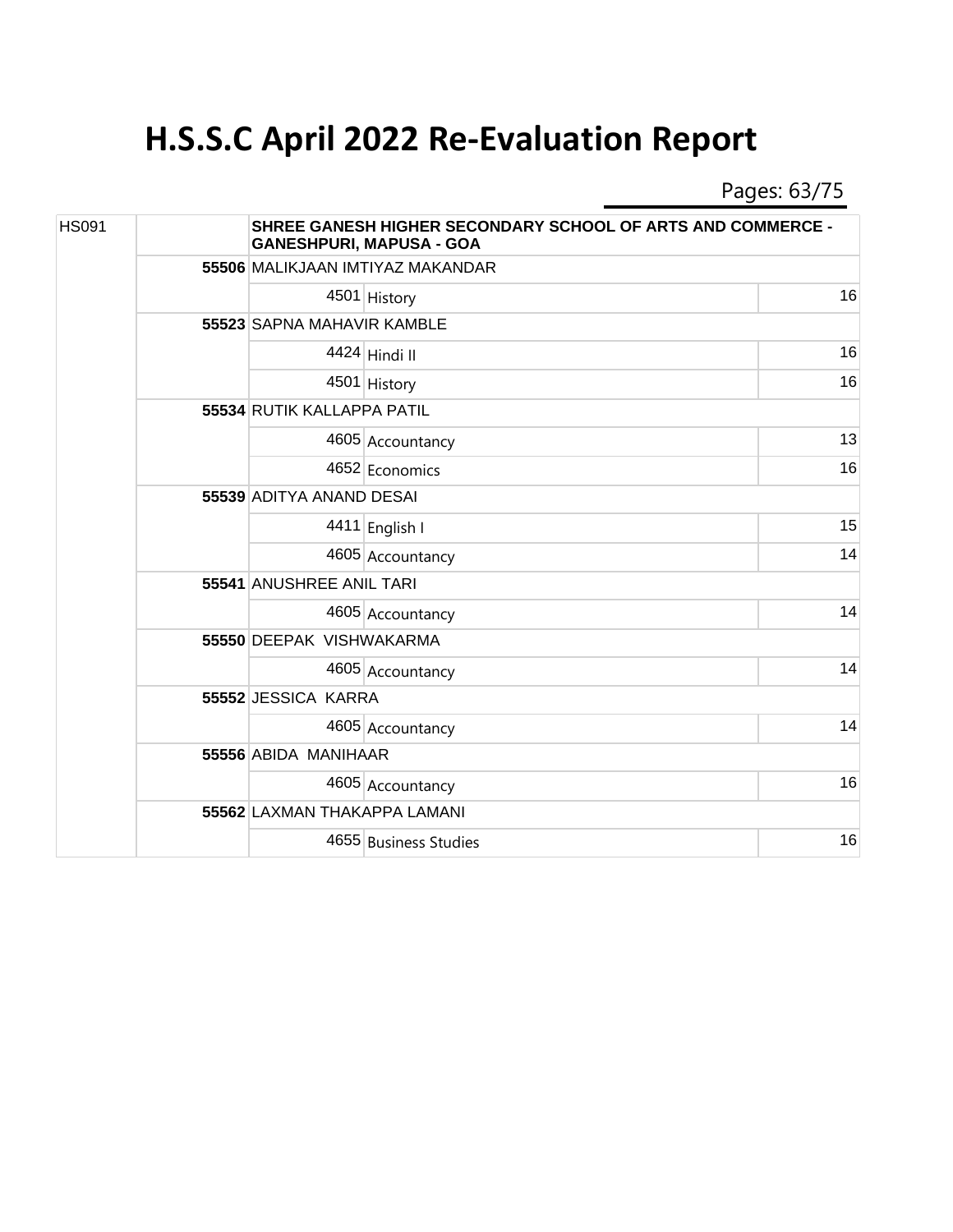Pages: 63/75

| <b>HS091</b> |  |                              | <b>SHREE GANESH HIGHER SECONDARY SCHOOL OF ARTS AND COMMERCE -</b><br><b>GANESHPURI, MAPUSA - GOA</b> |    |  |  |
|--------------|--|------------------------------|-------------------------------------------------------------------------------------------------------|----|--|--|
|              |  |                              | 55506 MALIKJAAN IMTIYAZ MAKANDAR                                                                      |    |  |  |
|              |  |                              | 4501 History                                                                                          | 16 |  |  |
|              |  |                              | 55523 SAPNA MAHAVIR KAMBLE                                                                            |    |  |  |
|              |  |                              | 4424 Hindi II                                                                                         | 16 |  |  |
|              |  |                              | 4501 History                                                                                          | 16 |  |  |
|              |  | 55534 RUTIK KALLAPPA PATIL   |                                                                                                       |    |  |  |
|              |  |                              | 4605 Accountancy                                                                                      | 13 |  |  |
|              |  |                              | 4652 Economics                                                                                        | 16 |  |  |
|              |  | 55539 ADITYA ANAND DESAI     |                                                                                                       |    |  |  |
|              |  |                              | 4411 English I                                                                                        | 15 |  |  |
|              |  |                              | 4605 Accountancy                                                                                      | 14 |  |  |
|              |  | 55541 ANUSHREE ANIL TARI     |                                                                                                       |    |  |  |
|              |  |                              | 4605 Accountancy                                                                                      | 14 |  |  |
|              |  | 55550 DEEPAK VISHWAKARMA     |                                                                                                       |    |  |  |
|              |  |                              | 4605 Accountancy                                                                                      | 14 |  |  |
|              |  | 55552 JESSICA KARRA          |                                                                                                       |    |  |  |
|              |  |                              | 4605 Accountancy                                                                                      | 14 |  |  |
|              |  | 55556 ABIDA MANIHAAR         |                                                                                                       |    |  |  |
|              |  |                              | 4605 Accountancy                                                                                      | 16 |  |  |
|              |  | 55562 LAXMAN THAKAPPA LAMANI |                                                                                                       |    |  |  |
|              |  |                              | 4655 Business Studies                                                                                 | 16 |  |  |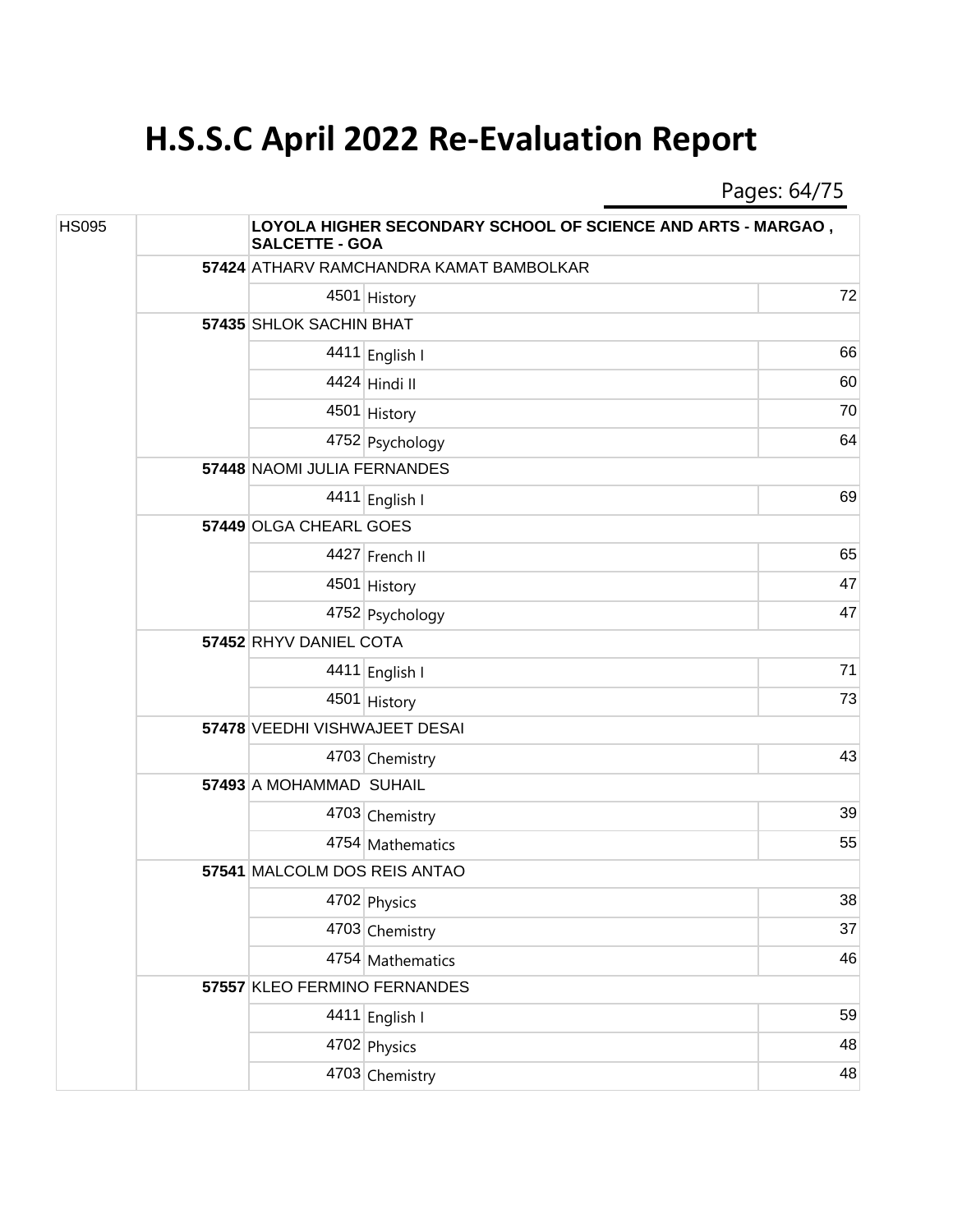Pages: 64/75

| <b>HS095</b> |  | <b>LOYOLA HIGHER SECONDARY SCHOOL OF SCIENCE AND ARTS - MARGAO,</b><br><b>SALCETTE - GOA</b> |                                         |    |  |  |
|--------------|--|----------------------------------------------------------------------------------------------|-----------------------------------------|----|--|--|
|              |  |                                                                                              | 57424 ATHARV RAMCHANDRA KAMAT BAMBOLKAR |    |  |  |
|              |  |                                                                                              | 4501 History                            | 72 |  |  |
|              |  | 57435 SHLOK SACHIN BHAT                                                                      |                                         |    |  |  |
|              |  |                                                                                              | 4411 English I                          | 66 |  |  |
|              |  |                                                                                              | 4424 Hindi II                           | 60 |  |  |
|              |  |                                                                                              | 4501 History                            | 70 |  |  |
|              |  |                                                                                              | 4752 Psychology                         | 64 |  |  |
|              |  | 57448 NAOMI JULIA FERNANDES                                                                  |                                         |    |  |  |
|              |  |                                                                                              | 4411 English I                          | 69 |  |  |
|              |  | 57449 OLGA CHEARL GOES                                                                       |                                         |    |  |  |
|              |  |                                                                                              | 4427 French II                          | 65 |  |  |
|              |  |                                                                                              | 4501 History                            | 47 |  |  |
|              |  |                                                                                              | 4752 Psychology                         | 47 |  |  |
|              |  | 57452 RHYV DANIEL COTA                                                                       |                                         |    |  |  |
|              |  |                                                                                              | 4411 English I                          | 71 |  |  |
|              |  |                                                                                              | 4501 History                            | 73 |  |  |
|              |  | 57478 VEEDHI VISHWAJEET DESAI                                                                |                                         |    |  |  |
|              |  |                                                                                              | 4703 Chemistry                          | 43 |  |  |
|              |  | 57493 A MOHAMMAD SUHAIL                                                                      |                                         |    |  |  |
|              |  |                                                                                              | 4703 Chemistry                          | 39 |  |  |
|              |  |                                                                                              | 4754 Mathematics                        | 55 |  |  |
|              |  | 57541 MALCOLM DOS REIS ANTAO                                                                 |                                         |    |  |  |
|              |  |                                                                                              | 4702 Physics                            | 38 |  |  |
|              |  |                                                                                              | 4703 Chemistry                          | 37 |  |  |
|              |  |                                                                                              | 4754 Mathematics                        | 46 |  |  |
|              |  | 57557 KLEO FERMINO FERNANDES                                                                 |                                         |    |  |  |
|              |  |                                                                                              | 4411 English I                          | 59 |  |  |
|              |  |                                                                                              | 4702 Physics                            | 48 |  |  |
|              |  |                                                                                              | 4703 Chemistry                          | 48 |  |  |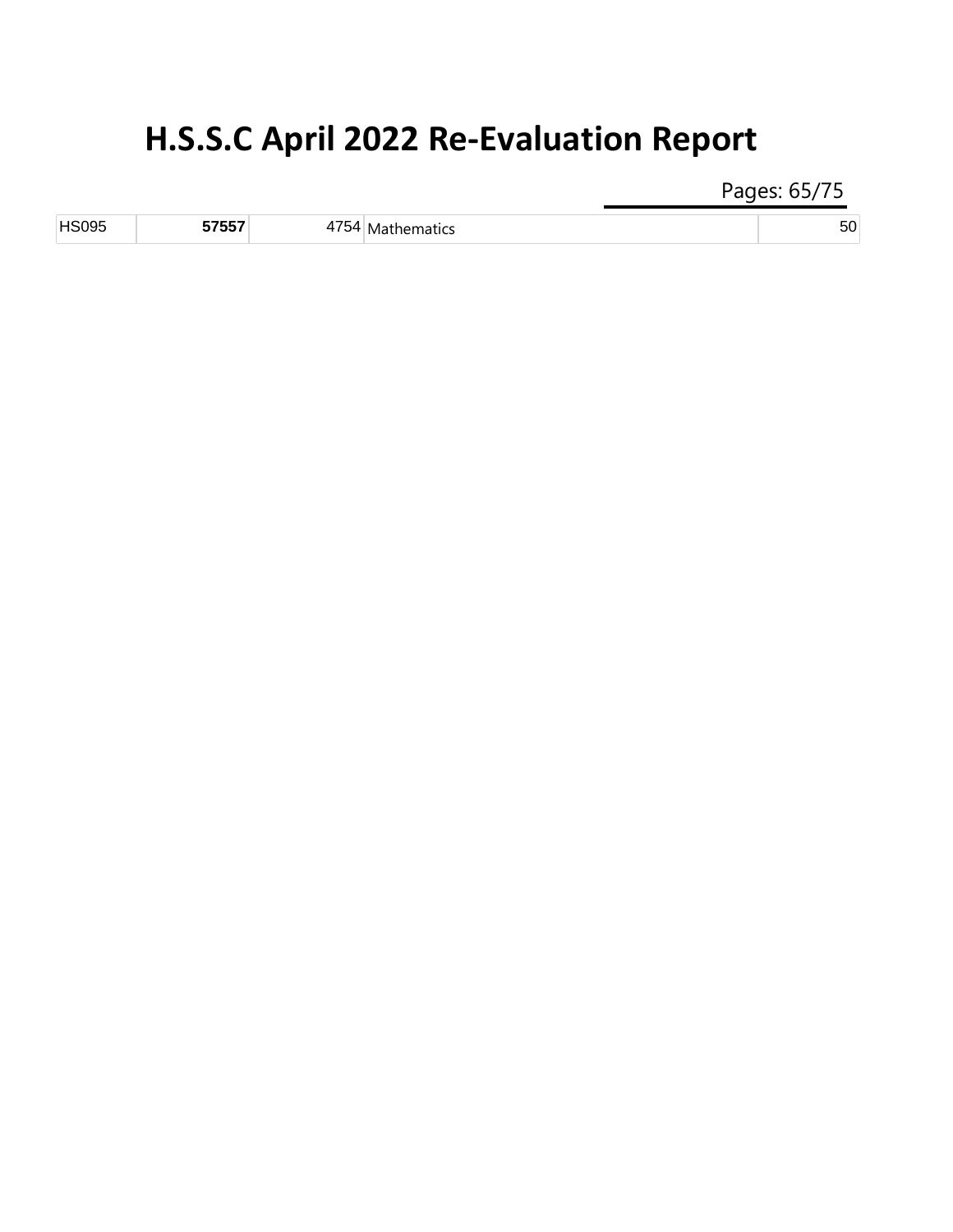Pages: 65/75

| <b>HSOON</b> | --- | ----<br>'HILS<br>ιv<br>$\cdot$<br>__ |  |
|--------------|-----|--------------------------------------|--|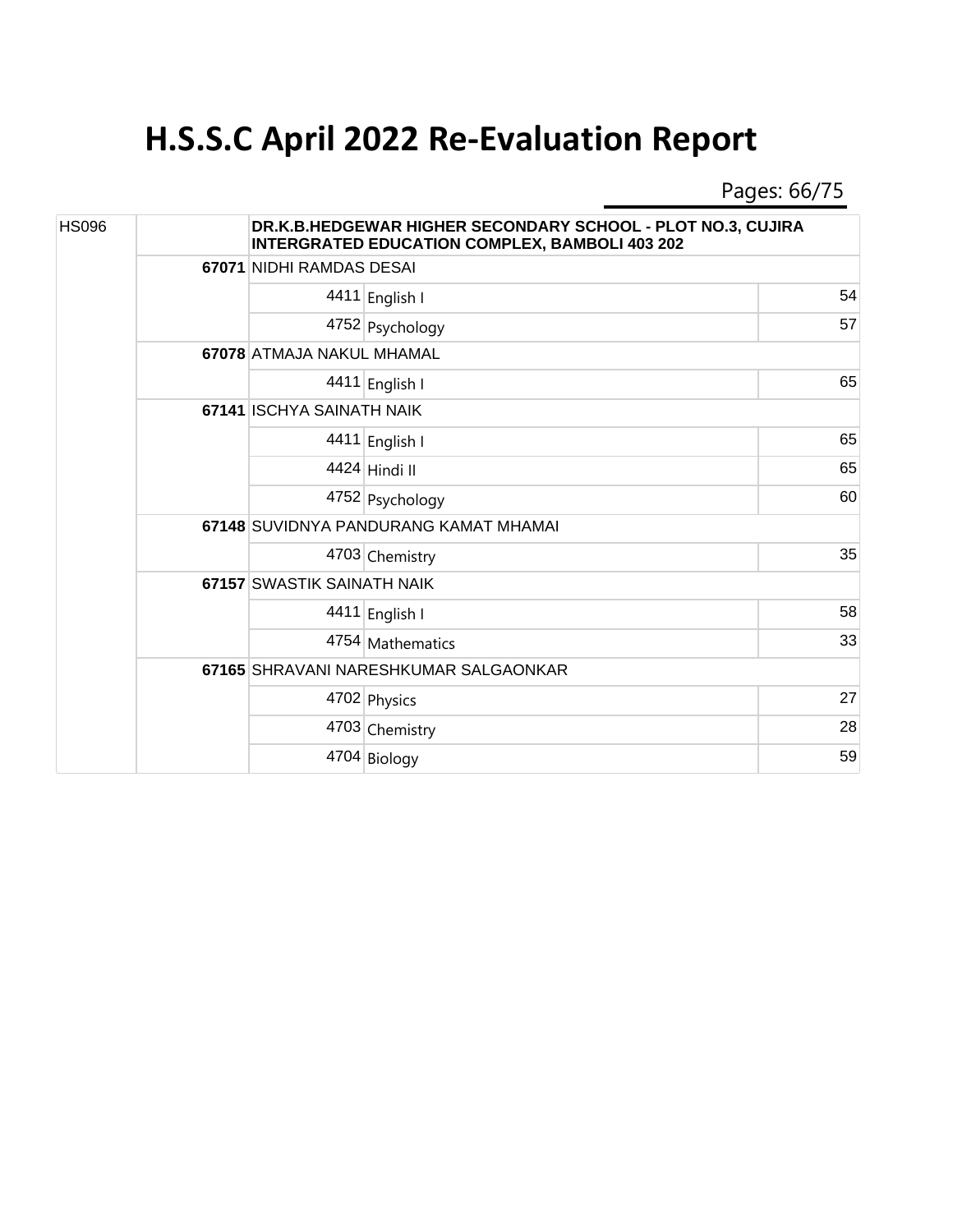Pages: 66/75

| <b>HS096</b> |  |                                       | DR.K.B.HEDGEWAR HIGHER SECONDARY SCHOOL - PLOT NO.3, CUJIRA<br><b>INTERGRATED EDUCATION COMPLEX, BAMBOLI 403 202</b> |    |  |  |  |
|--------------|--|---------------------------------------|----------------------------------------------------------------------------------------------------------------------|----|--|--|--|
|              |  |                                       | 67071 NIDHI RAMDAS DESAI                                                                                             |    |  |  |  |
|              |  |                                       | 4411 English I                                                                                                       | 54 |  |  |  |
|              |  |                                       | 4752 Psychology                                                                                                      | 57 |  |  |  |
|              |  |                                       | 67078 ATMAJA NAKUL MHAMAL                                                                                            |    |  |  |  |
|              |  |                                       | 4411 English I                                                                                                       | 65 |  |  |  |
|              |  | 67141 ISCHYA SAINATH NAIK             |                                                                                                                      |    |  |  |  |
|              |  |                                       | 4411 English I                                                                                                       | 65 |  |  |  |
|              |  |                                       | 4424 Hindi II                                                                                                        | 65 |  |  |  |
|              |  |                                       | 4752 Psychology                                                                                                      | 60 |  |  |  |
|              |  | 67148 SUVIDNYA PANDURANG KAMAT MHAMAI |                                                                                                                      |    |  |  |  |
|              |  |                                       | 4703 Chemistry                                                                                                       | 35 |  |  |  |
|              |  | 67157 SWASTIK SAINATH NAIK            |                                                                                                                      |    |  |  |  |
|              |  |                                       | 4411 English I                                                                                                       | 58 |  |  |  |
|              |  |                                       | 4754 Mathematics                                                                                                     | 33 |  |  |  |
|              |  |                                       | 67165 SHRAVANI NARESHKUMAR SALGAONKAR                                                                                |    |  |  |  |
|              |  |                                       | 4702 Physics                                                                                                         | 27 |  |  |  |
|              |  |                                       | 4703 Chemistry                                                                                                       | 28 |  |  |  |
|              |  |                                       | 4704 Biology                                                                                                         | 59 |  |  |  |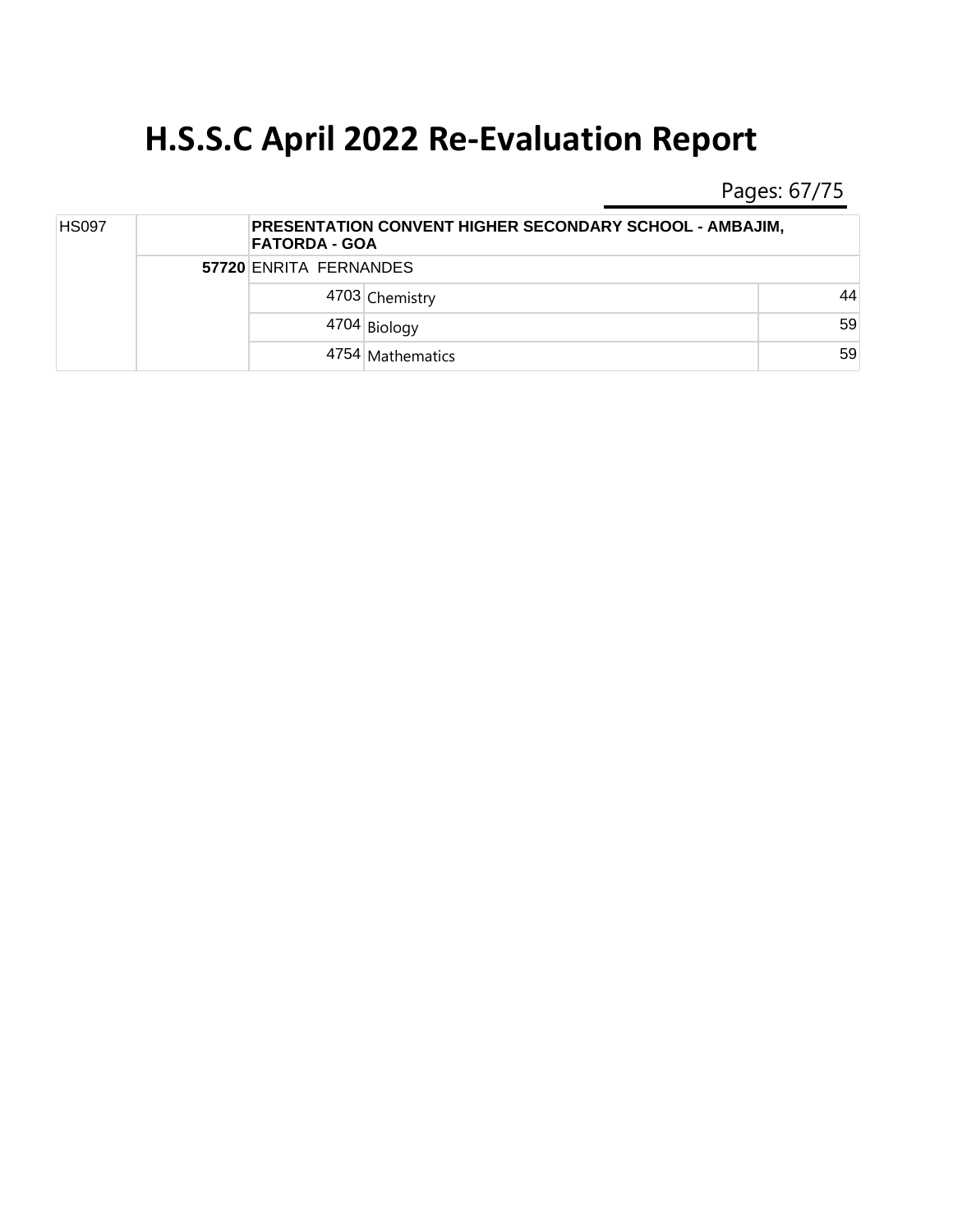Pages: 67/75

| <b>HS097</b> |  | PRESENTATION CONVENT HIGHER SECONDARY SCHOOL - AMBAJIM,<br><b>FATORDA - GOA</b> |    |  |
|--------------|--|---------------------------------------------------------------------------------|----|--|
|              |  | 57720 ENRITA FERNANDES                                                          |    |  |
|              |  | 4703 Chemistry                                                                  | 44 |  |
|              |  | 4704 Biology                                                                    | 59 |  |
|              |  | 4754 Mathematics                                                                | 59 |  |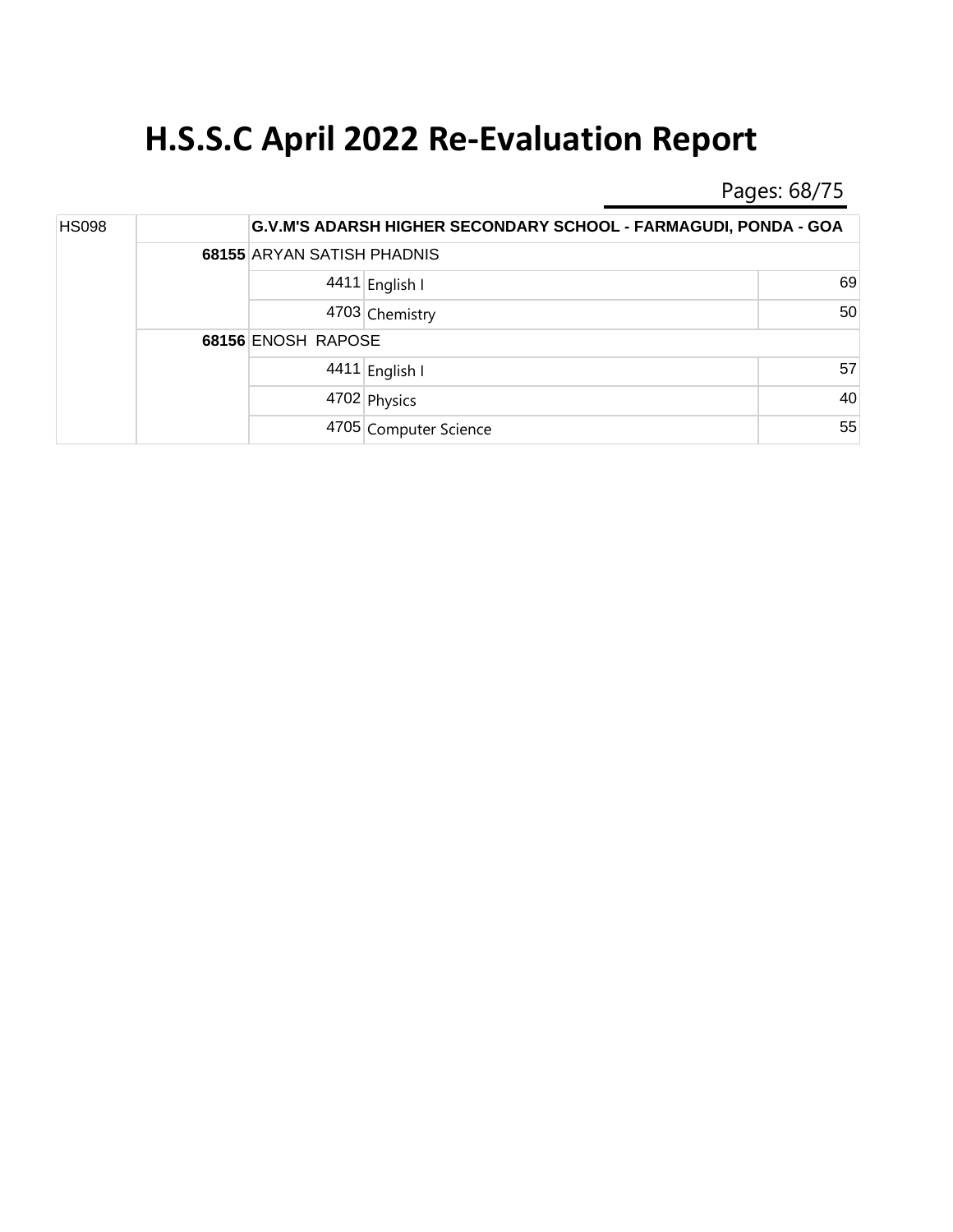Pages: 68/75

| <b>HS098</b> |  |                            | G.V.M'S ADARSH HIGHER SECONDARY SCHOOL - FARMAGUDI, PONDA - GOA |    |  |  |
|--------------|--|----------------------------|-----------------------------------------------------------------|----|--|--|
|              |  | 68155 ARYAN SATISH PHADNIS |                                                                 |    |  |  |
|              |  |                            | 4411 English I                                                  | 69 |  |  |
|              |  |                            | 4703 Chemistry                                                  | 50 |  |  |
|              |  | 68156 ENOSH RAPOSE         |                                                                 |    |  |  |
|              |  |                            | 4411 English I                                                  | 57 |  |  |
|              |  |                            | 4702 Physics                                                    | 40 |  |  |
|              |  |                            | 4705 Computer Science                                           | 55 |  |  |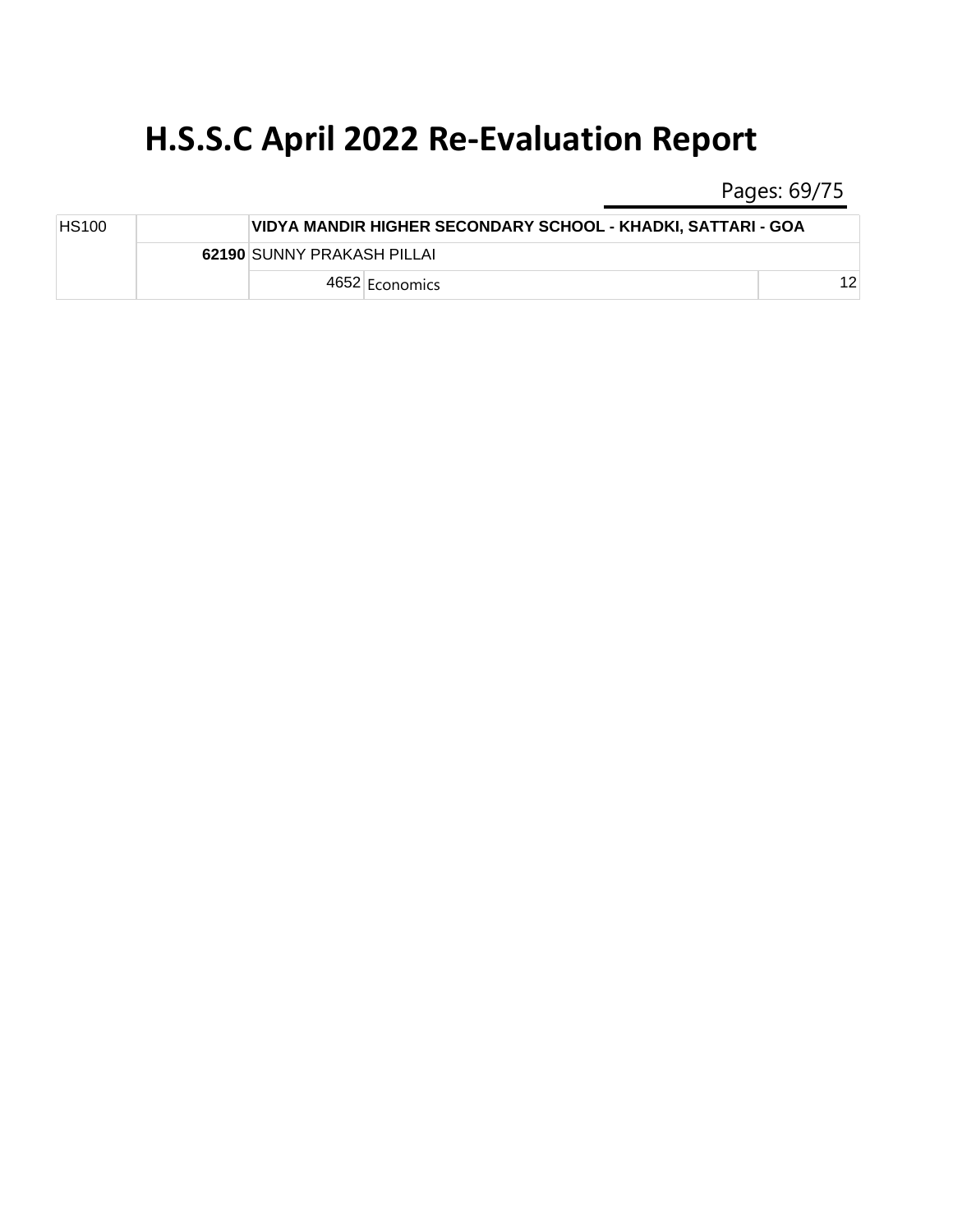Pages: 69/75

| <b>HS100</b> |  |                            | VIDYA MANDIR HIGHER SECONDARY SCHOOL - KHADKI, SATTARI - GOA |    |  |  |
|--------------|--|----------------------------|--------------------------------------------------------------|----|--|--|
|              |  | 62190 SUNNY PRAKASH PILLAI |                                                              |    |  |  |
|              |  |                            | 4652 Economics                                               | 1つ |  |  |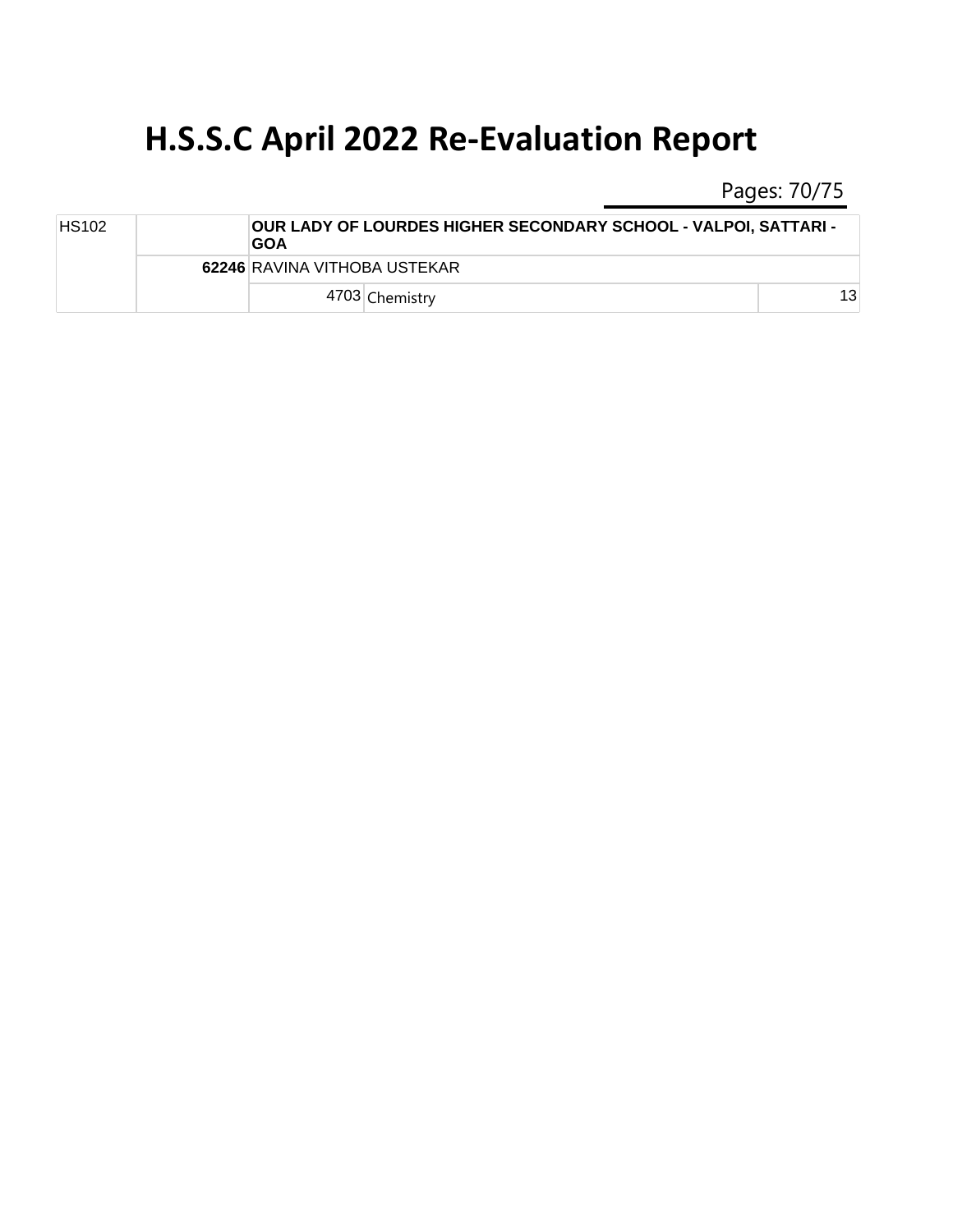Pages: 70/75

| <b>HS102</b> |  | <b>GOA</b>                   | <b>OUR LADY OF LOURDES HIGHER SECONDARY SCHOOL - VALPOI, SATTARI -</b> |    |
|--------------|--|------------------------------|------------------------------------------------------------------------|----|
|              |  | 62246 RAVINA VITHOBA USTEKAR |                                                                        |    |
|              |  |                              | 4703 Chemistry                                                         | 13 |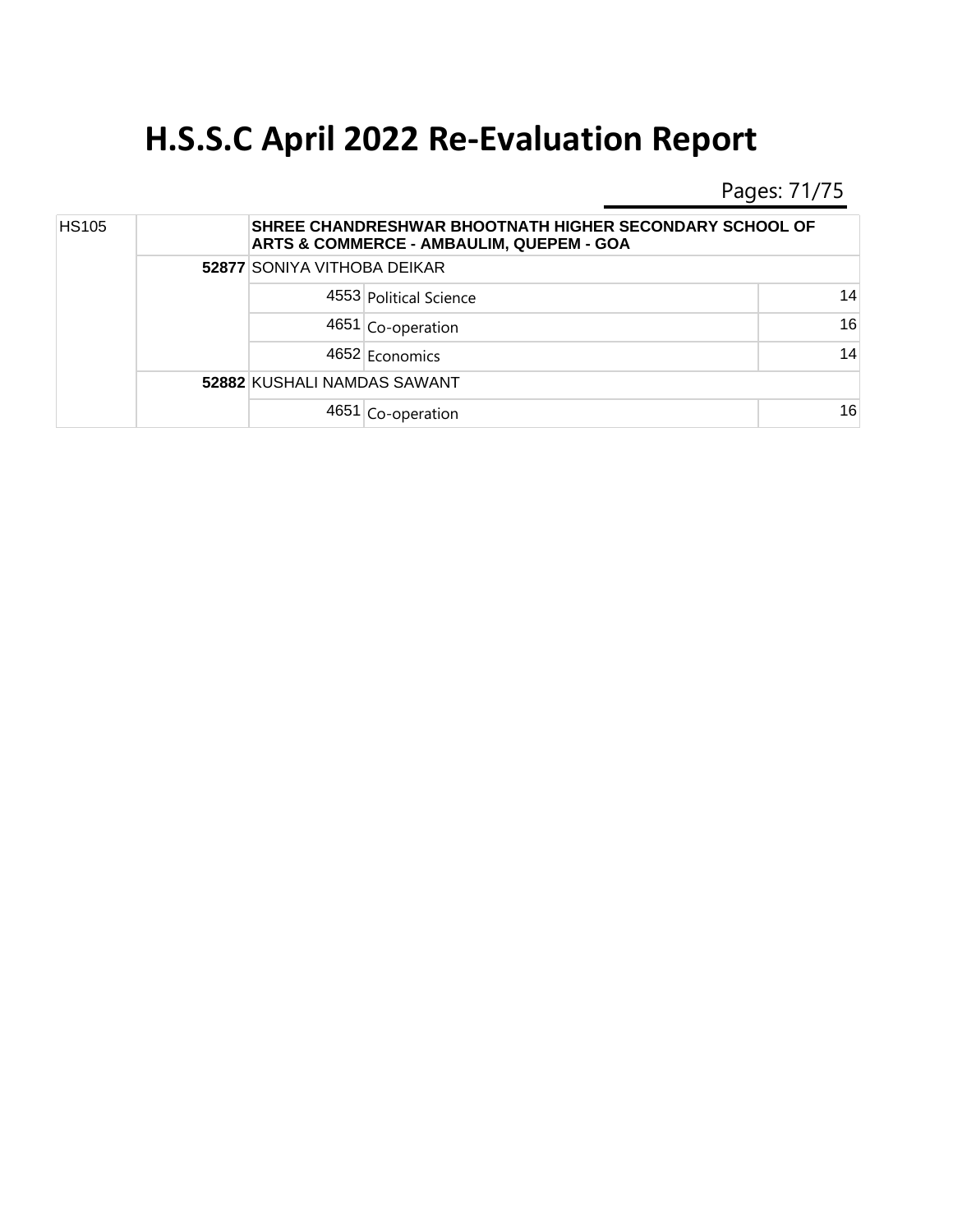Pages: 71/75

| <b>HS105</b> |  |                             | SHREE CHANDRESHWAR BHOOTNATH HIGHER SECONDARY SCHOOL OF<br>ARTS & COMMERCE - AMBAULIM, QUEPEM - GOA |    |  |  |
|--------------|--|-----------------------------|-----------------------------------------------------------------------------------------------------|----|--|--|
|              |  | 52877 SONIYA VITHOBA DEIKAR |                                                                                                     |    |  |  |
|              |  |                             | 4553 Political Science                                                                              | 14 |  |  |
|              |  |                             | $4651$ Co-operation                                                                                 | 16 |  |  |
|              |  |                             | 4652 Economics                                                                                      | 14 |  |  |
|              |  | 52882 KUSHALI NAMDAS SAWANT |                                                                                                     |    |  |  |
|              |  |                             | 4651 Co-operation                                                                                   | 16 |  |  |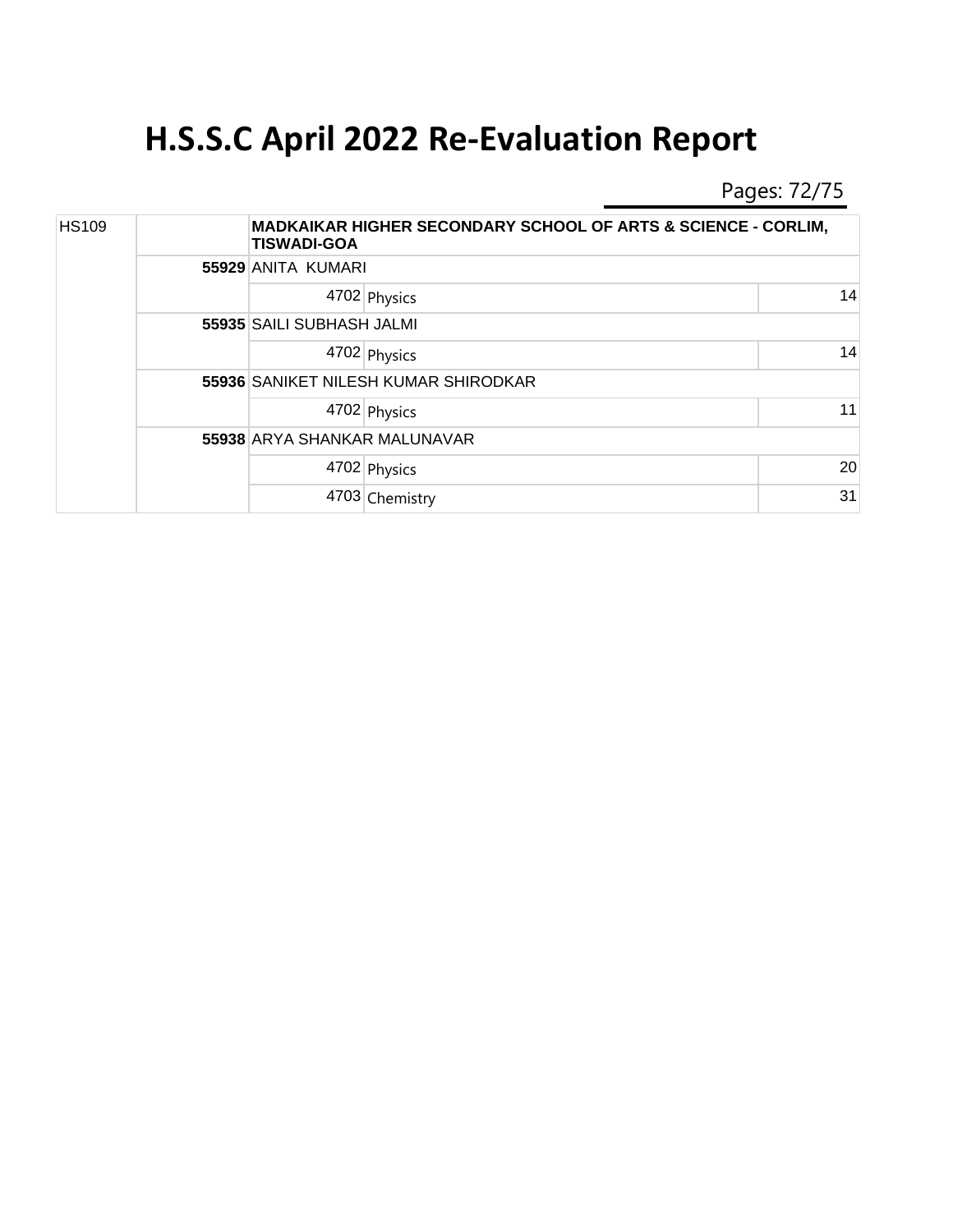Pages: 72/75

| <b>HS109</b> |  | <b>MADKAIKAR HIGHER SECONDARY SCHOOL OF ARTS &amp; SCIENCE - CORLIM,</b><br><b>TISWADI-GOA</b> |  |    |  |  |
|--------------|--|------------------------------------------------------------------------------------------------|--|----|--|--|
|              |  | 55929 ANITA KUMARI                                                                             |  |    |  |  |
|              |  | 4702 Physics                                                                                   |  | 14 |  |  |
|              |  | 55935 SAILI SUBHASH JALMI                                                                      |  |    |  |  |
|              |  | 4702 Physics                                                                                   |  | 14 |  |  |
|              |  | 55936 SANIKET NILESH KUMAR SHIRODKAR                                                           |  |    |  |  |
|              |  | 4702 Physics                                                                                   |  | 11 |  |  |
|              |  | 55938 ARYA SHANKAR MALUNAVAR                                                                   |  |    |  |  |
|              |  | 4702 Physics                                                                                   |  | 20 |  |  |
|              |  | 4703 Chemistry                                                                                 |  | 31 |  |  |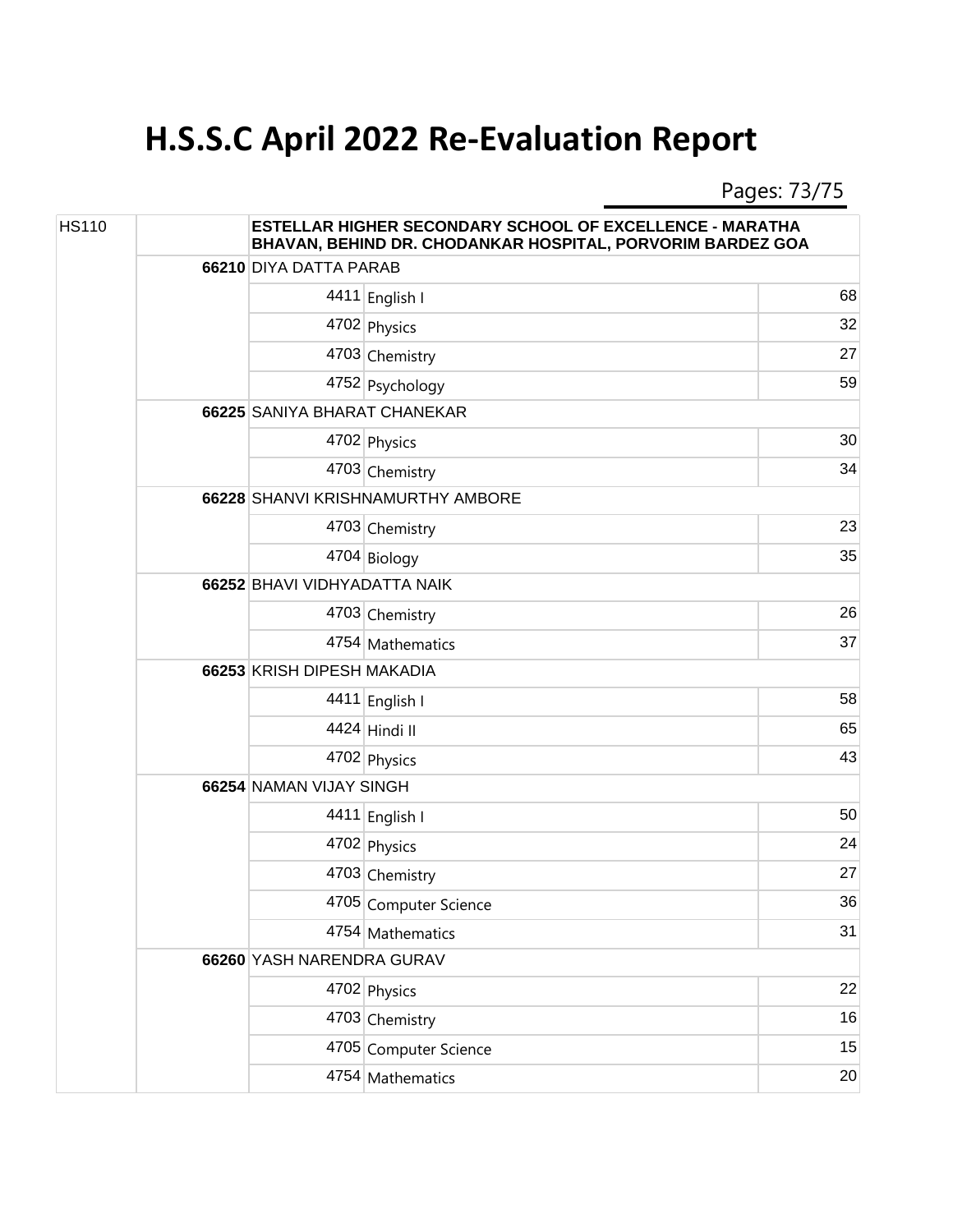## **H.S.S.C April 2022 Re-Evaluation Report**

Pages: 73/75

| <b>HS110</b> |  | <b>ESTELLAR HIGHER SECONDARY SCHOOL OF EXCELLENCE - MARATHA</b><br>BHAVAN, BEHIND DR. CHODANKAR HOSPITAL, PORVORIM BARDEZ GOA |                       |    |  |
|--------------|--|-------------------------------------------------------------------------------------------------------------------------------|-----------------------|----|--|
|              |  | 66210 DIYA DATTA PARAB                                                                                                        |                       |    |  |
|              |  |                                                                                                                               | 4411 English I        | 68 |  |
|              |  |                                                                                                                               | 4702 Physics          | 32 |  |
|              |  |                                                                                                                               | 4703 Chemistry        | 27 |  |
|              |  |                                                                                                                               | 4752 Psychology       | 59 |  |
|              |  | 66225 SANIYA BHARAT CHANEKAR                                                                                                  |                       |    |  |
|              |  |                                                                                                                               | 4702 Physics          | 30 |  |
|              |  |                                                                                                                               | 4703 Chemistry        | 34 |  |
|              |  | 66228 SHANVI KRISHNAMURTHY AMBORE                                                                                             |                       |    |  |
|              |  |                                                                                                                               | 4703 Chemistry        | 23 |  |
|              |  |                                                                                                                               | 4704 Biology          | 35 |  |
|              |  | 66252 BHAVI VIDHYADATTA NAIK                                                                                                  |                       |    |  |
|              |  |                                                                                                                               | 4703 Chemistry        | 26 |  |
|              |  |                                                                                                                               | 4754 Mathematics      | 37 |  |
|              |  | 66253 KRISH DIPESH MAKADIA                                                                                                    |                       |    |  |
|              |  |                                                                                                                               | 4411 English I        | 58 |  |
|              |  |                                                                                                                               | 4424 Hindi II         | 65 |  |
|              |  |                                                                                                                               | 4702 Physics          | 43 |  |
|              |  | 66254 NAMAN VIJAY SINGH                                                                                                       |                       |    |  |
|              |  |                                                                                                                               | 4411 English I        | 50 |  |
|              |  |                                                                                                                               | 4702 Physics          | 24 |  |
|              |  |                                                                                                                               | 4703 Chemistry        | 27 |  |
|              |  |                                                                                                                               | 4705 Computer Science | 36 |  |
|              |  |                                                                                                                               | 4754 Mathematics      | 31 |  |
|              |  | 66260 YASH NARENDRA GURAV                                                                                                     |                       |    |  |
|              |  |                                                                                                                               | 4702 Physics          | 22 |  |
|              |  |                                                                                                                               | 4703 Chemistry        | 16 |  |
|              |  |                                                                                                                               | 4705 Computer Science | 15 |  |
|              |  |                                                                                                                               | 4754 Mathematics      | 20 |  |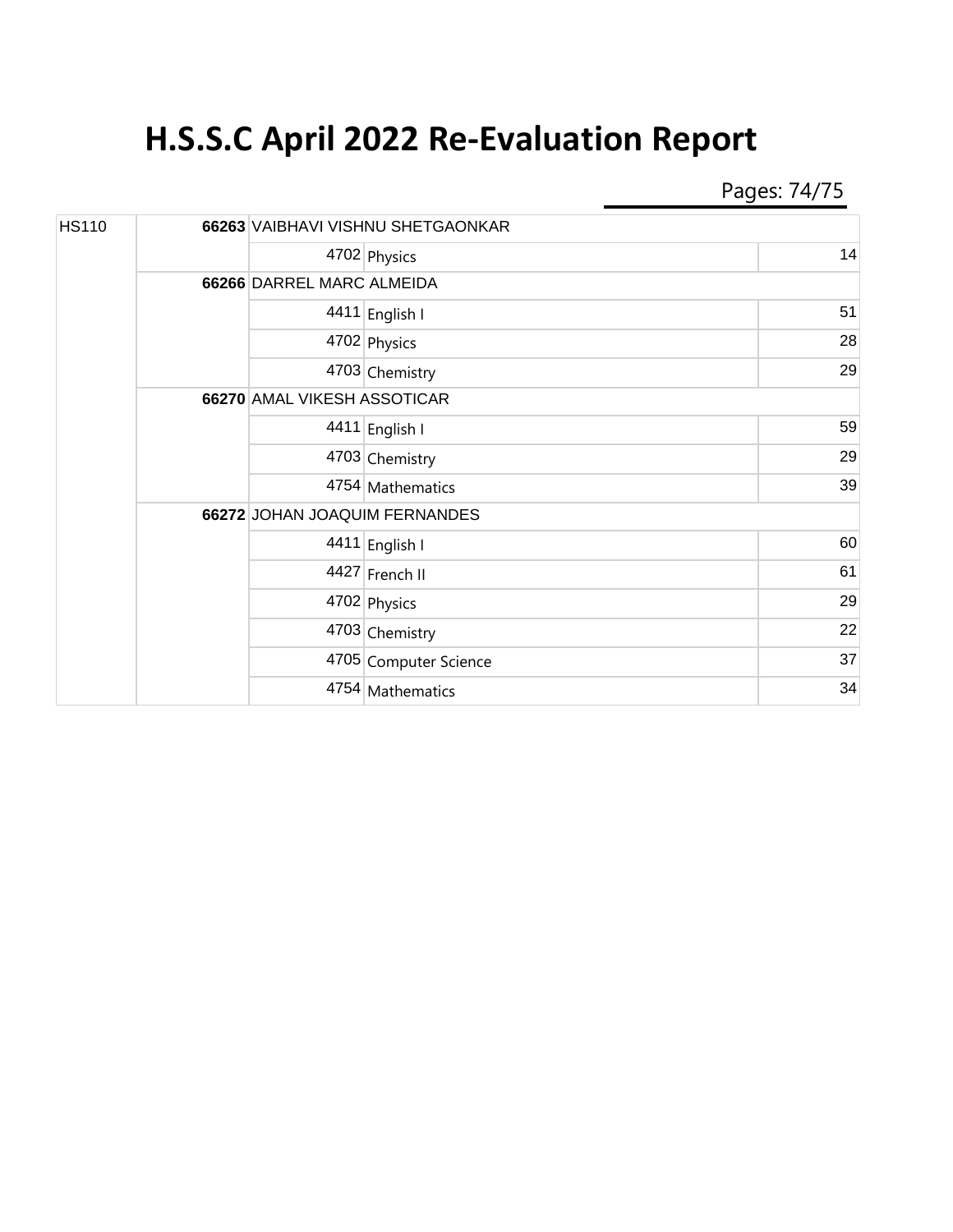## **H.S.S.C April 2022 Re-Evaluation Report**

Pages: 74/75

| <b>HS110</b> |  | 66263 VAIBHAVI VISHNU SHETGAONKAR |                       |    |
|--------------|--|-----------------------------------|-----------------------|----|
|              |  |                                   | 4702 Physics          | 14 |
|              |  | 66266 DARREL MARC ALMEIDA         |                       |    |
|              |  |                                   | 4411 English I        | 51 |
|              |  |                                   | 4702 Physics          | 28 |
|              |  |                                   | 4703 Chemistry        | 29 |
|              |  | 66270 AMAL VIKESH ASSOTICAR       |                       |    |
|              |  |                                   | 4411 English I        | 59 |
|              |  |                                   | 4703 Chemistry        | 29 |
|              |  |                                   | 4754 Mathematics      | 39 |
|              |  | 66272 JOHAN JOAQUIM FERNANDES     |                       |    |
|              |  |                                   | 4411 English I        | 60 |
|              |  |                                   | 4427 French II        | 61 |
|              |  |                                   | 4702 Physics          | 29 |
|              |  |                                   | 4703 Chemistry        | 22 |
|              |  |                                   | 4705 Computer Science | 37 |
|              |  |                                   | 4754 Mathematics      | 34 |